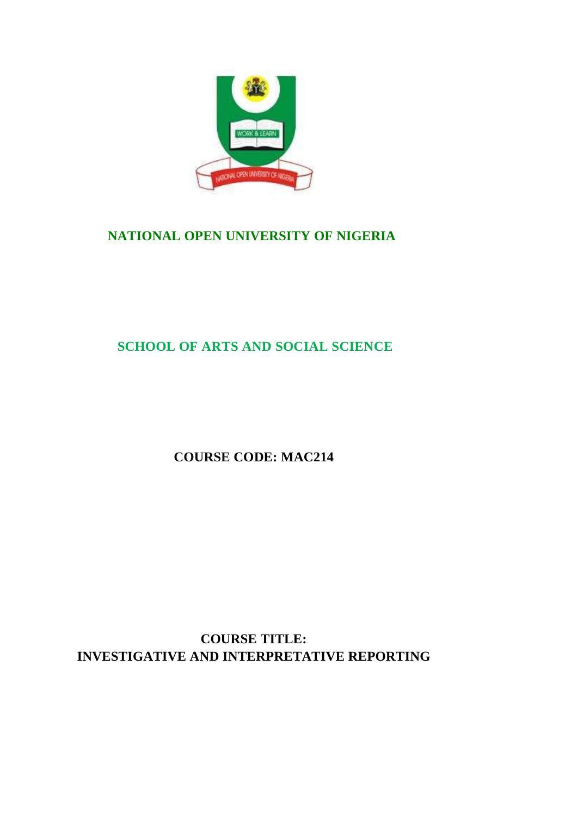

# **NATIONAL OPEN UNIVERSITY OF NIGERIA**

# **SCHOOL OF ARTS AND SOCIAL SCIENCE**

**COURSE CODE: MAC214**

**COURSE TITLE: INVESTIGATIVE AND INTERPRETATIVE REPORTING**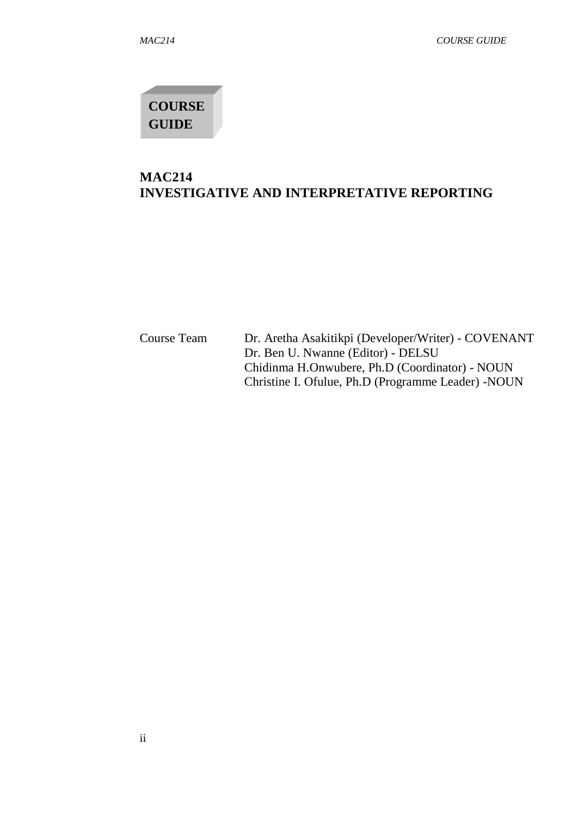# **COURSE GUIDE**

## **MAC214 INVESTIGATIVE AND INTERPRETATIVE REPORTING**

Course Team Dr. Aretha Asakitikpi (Developer/Writer) - COVENANT Dr. Ben U. Nwanne (Editor) - DELSU Chidinma H.Onwubere, Ph.D (Coordinator) - NOUN Christine I. Ofulue, Ph.D (Programme Leader) -NOUN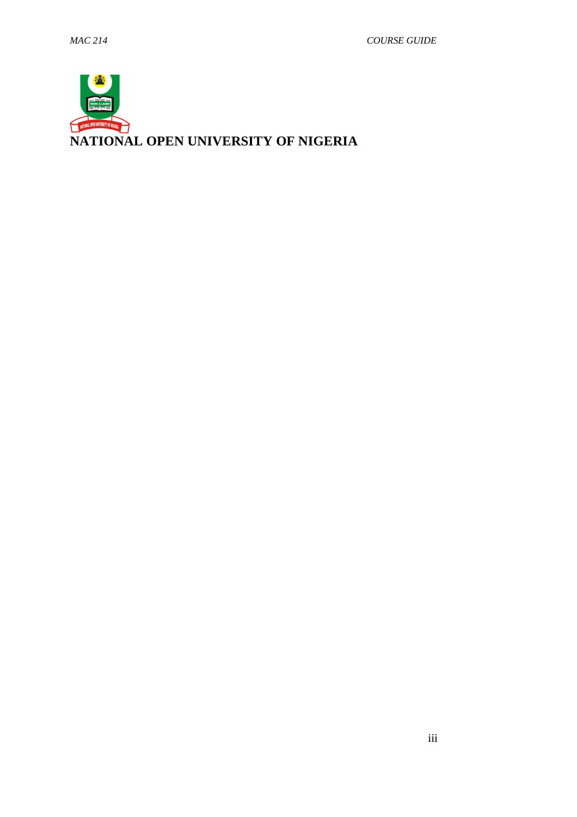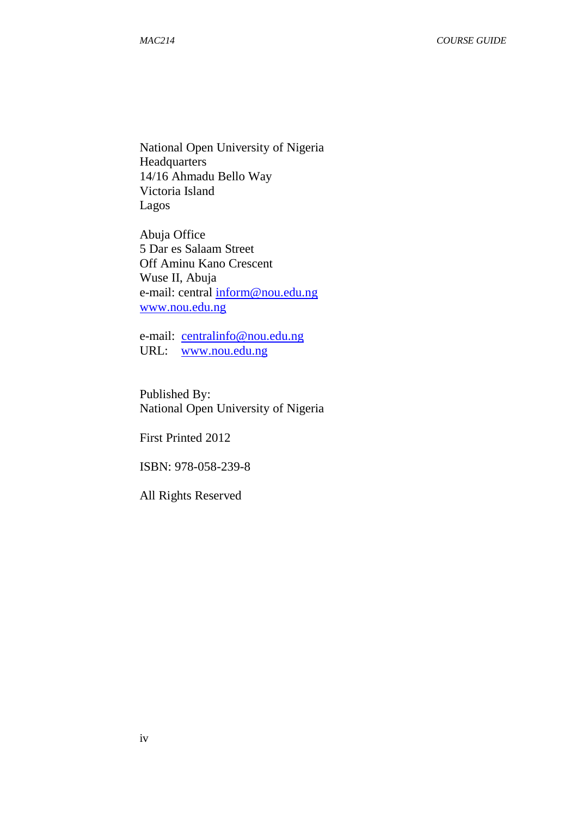National Open University of Nigeria Headquarters 14/16 Ahmadu Bello Way Victoria Island Lagos

Abuja Office 5 Dar es Salaam Street Off Aminu Kano Crescent Wuse II, Abuja e-mail: central *inform@nou.edu.ng* www.nou.edu.ng

e-mail: centralinfo@nou.edu.ng URL: www.nou.edu.ng

Published By: National Open University of Nigeria

First Printed 2012

ISBN: 978-058-239-8

All Rights Reserved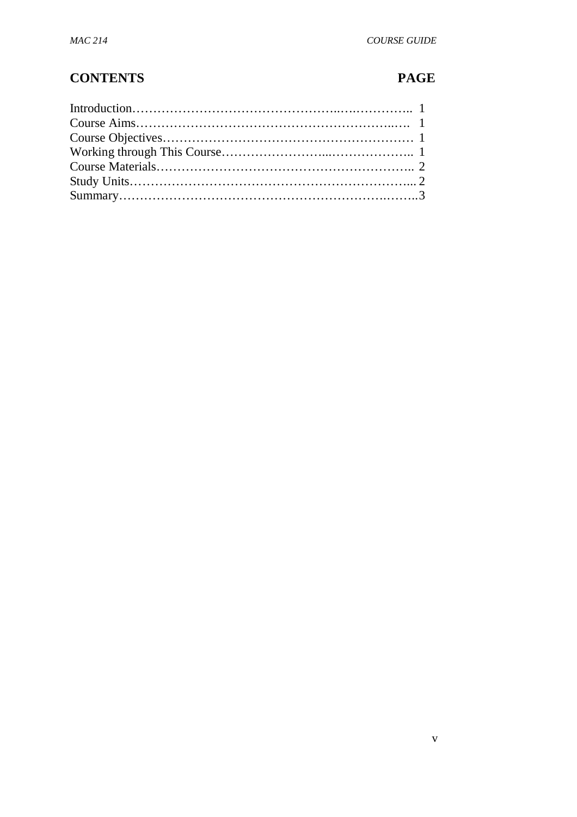# **CONTENTS PAGE**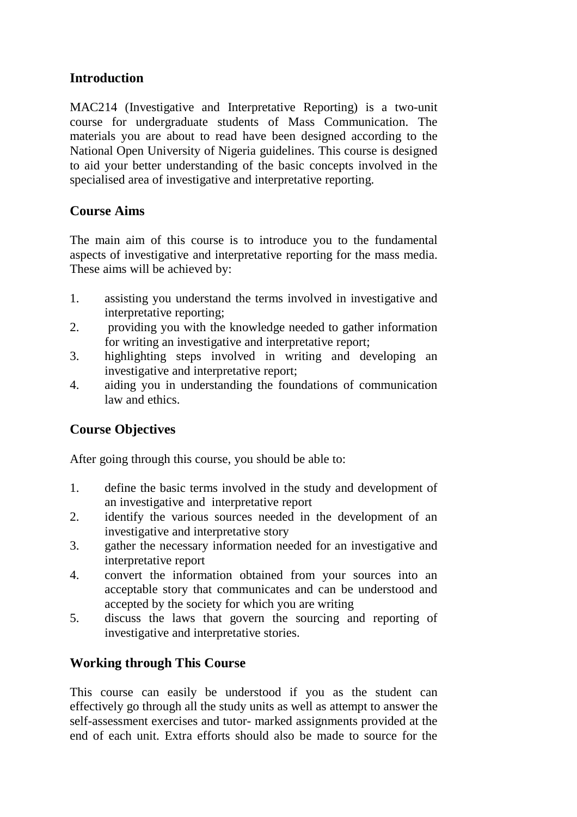## **Introduction**

MAC214 (Investigative and Interpretative Reporting) is a two-unit course for undergraduate students of Mass Communication. The materials you are about to read have been designed according to the National Open University of Nigeria guidelines. This course is designed to aid your better understanding of the basic concepts involved in the specialised area of investigative and interpretative reporting.

## **Course Aims**

The main aim of this course is to introduce you to the fundamental aspects of investigative and interpretative reporting for the mass media. These aims will be achieved by:

- 1. assisting you understand the terms involved in investigative and interpretative reporting;
- 2. providing you with the knowledge needed to gather information for writing an investigative and interpretative report;
- 3. highlighting steps involved in writing and developing an investigative and interpretative report;
- 4. aiding you in understanding the foundations of communication law and ethics.

## **Course Objectives**

After going through this course, you should be able to:

- 1. define the basic terms involved in the study and development of an investigative and interpretative report
- 2. identify the various sources needed in the development of an investigative and interpretative story
- 3. gather the necessary information needed for an investigative and interpretative report
- 4. convert the information obtained from your sources into an acceptable story that communicates and can be understood and accepted by the society for which you are writing
- 5. discuss the laws that govern the sourcing and reporting of investigative and interpretative stories.

## **Working through This Course**

This course can easily be understood if you as the student can effectively go through all the study units as well as attempt to answer the self-assessment exercises and tutor- marked assignments provided at the end of each unit. Extra efforts should also be made to source for the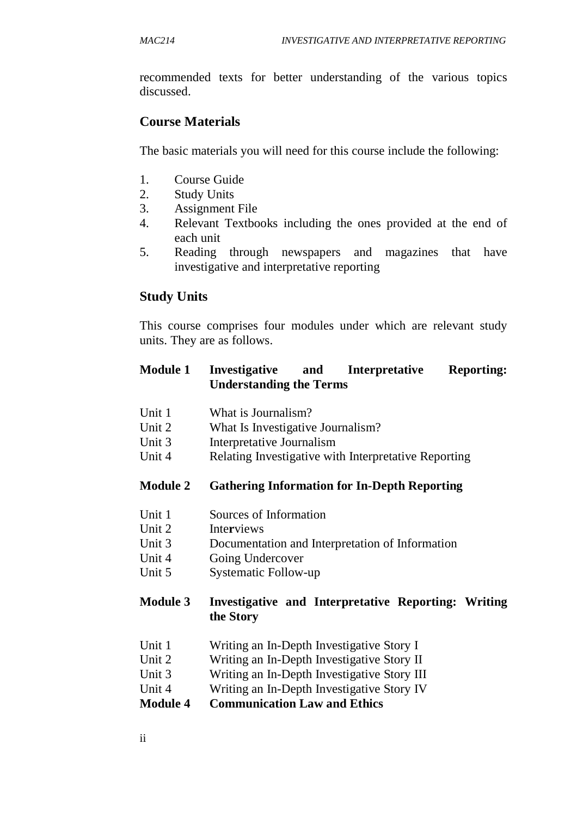recommended texts for better understanding of the various topics discussed.

## **Course Materials**

The basic materials you will need for this course include the following:

- 1. Course Guide
- 2. Study Units
- 3. Assignment File
- 4. Relevant Textbooks including the ones provided at the end of each unit
- 5. Reading through newspapers and magazines that have investigative and interpretative reporting

## **Study Units**

This course comprises four modules under which are relevant study units. They are as follows.

#### **Module 1 Investigative and Interpretative Reporting: Understanding the Terms**

- Unit 1 What is Journalism?
- Unit 2 What Is Investigative Journalism?
- Unit 3 Interpretative Journalism
- Unit 4 Relating Investigative with Interpretative Reporting

#### **Module 2 Gathering Information for In-Depth Reporting**

- Unit 1 Sources of Information
- Unit 2 Inte**r**views
- Unit 3 Documentation and Interpretation of Information
- Unit 4 Going Undercover
- Unit 5 Systematic Follow-up

#### **Module 3 Investigative and Interpretative Reporting: Writing the Story**

- Unit 1 Writing an In-Depth Investigative Story I
- Unit 2 Writing an In-Depth Investigative Story II
- Unit 3 Writing an In-Depth Investigative Story III
- Unit 4 Writing an In-Depth Investigative Story IV
- **Module 4 Communication Law and Ethics**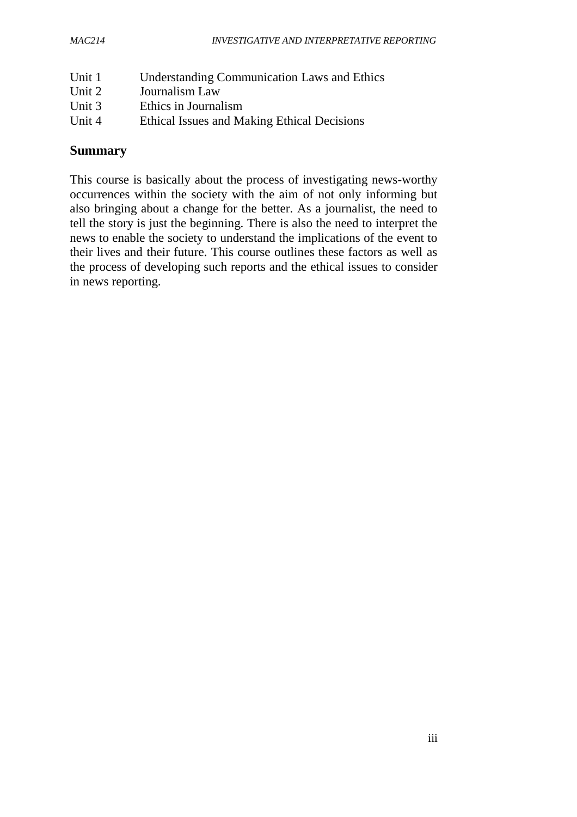| Unit 1 | <b>Understanding Communication Laws and Ethics</b> |
|--------|----------------------------------------------------|
| Unit 2 | Journalism Law                                     |
| Unit 3 | Ethics in Journalism                               |
| Unit 4 | Ethical Issues and Making Ethical Decisions        |

## **Summary**

This course is basically about the process of investigating news-worthy occurrences within the society with the aim of not only informing but also bringing about a change for the better. As a journalist, the need to tell the story is just the beginning. There is also the need to interpret the news to enable the society to understand the implications of the event to their lives and their future. This course outlines these factors as well as the process of developing such reports and the ethical issues to consider in news reporting.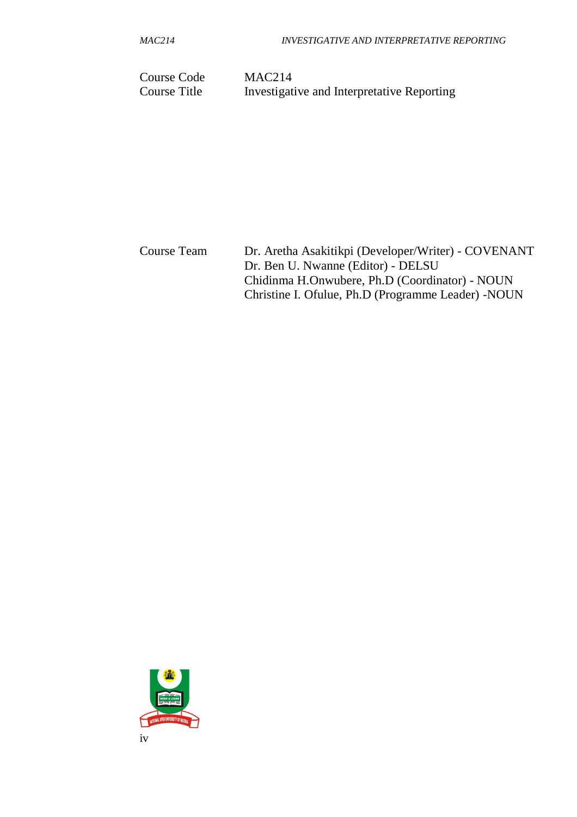*MAC214 INVESTIGATIVE AND INTERPRETATIVE REPORTING*

Course Code MAC214 Course Title Investigative and Interpretative Reporting

Course Team Dr. Aretha Asakitikpi (Developer/Writer) - COVENANT Dr. Ben U. Nwanne (Editor) - DELSU Chidinma H.Onwubere, Ph.D (Coordinator) - NOUN Christine I. Ofulue, Ph.D (Programme Leader) -NOUN

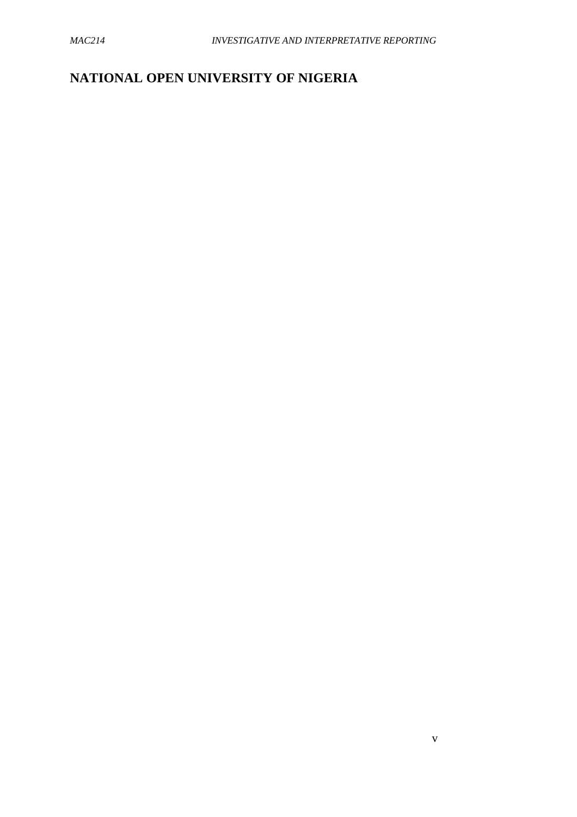## **NATIONAL OPEN UNIVERSITY OF NIGERIA**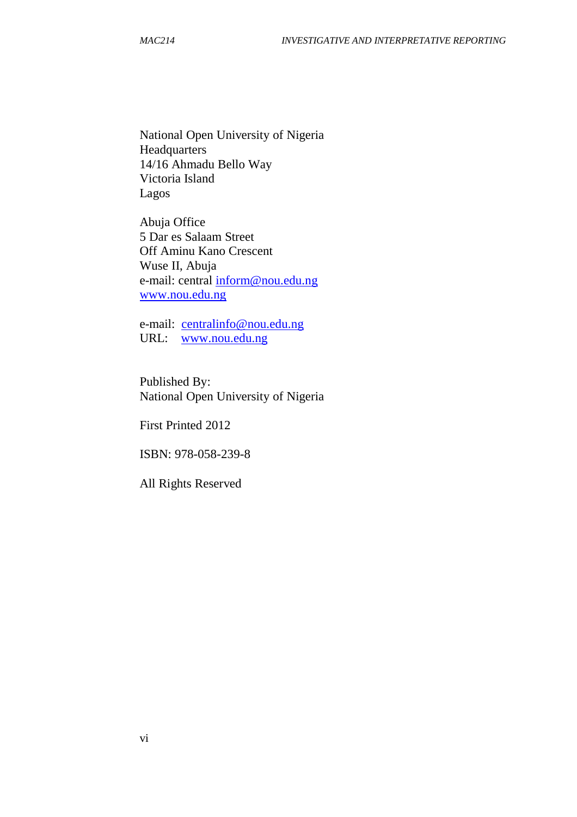National Open University of Nigeria Headquarters 14/16 Ahmadu Bello Way Victoria Island Lagos

Abuja Office 5 Dar es Salaam Street Off Aminu Kano Crescent Wuse II, Abuja e-mail: central inform@nou.edu.ng www.nou.edu.ng

e-mail: centralinfo@nou.edu.ng URL: www.nou.edu.ng

Published By: National Open University of Nigeria

First Printed 2012

ISBN: 978-058-239-8

All Rights Reserved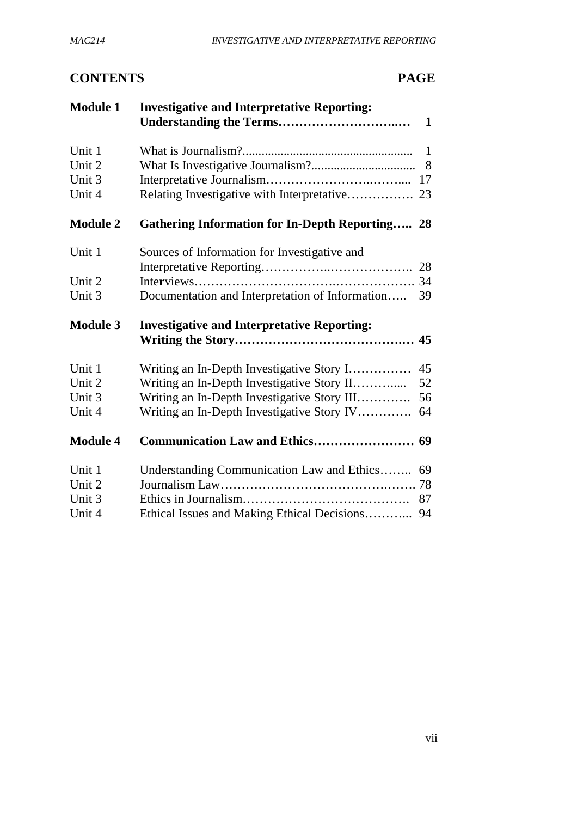## **CONTENTS PAGE**

| <b>Module 1</b> | <b>Investigative and Interpretative Reporting:</b><br>$\mathbf{1}$ |
|-----------------|--------------------------------------------------------------------|
| Unit 1          | $\mathbf{1}$                                                       |
| Unit 2          | 8                                                                  |
| Unit 3          |                                                                    |
| Unit 4          | Relating Investigative with Interpretative 23                      |
| <b>Module 2</b> | <b>Gathering Information for In-Depth Reporting 28</b>             |
| Unit 1          | Sources of Information for Investigative and                       |
|                 |                                                                    |
| Unit 2          |                                                                    |
| Unit 3          | Documentation and Interpretation of Information<br>39              |
| <b>Module 3</b> | <b>Investigative and Interpretative Reporting:</b>                 |
| Unit 1          | Writing an In-Depth Investigative Story I<br>45                    |
| Unit 2          | Writing an In-Depth Investigative Story II<br>52                   |
| Unit 3          | Writing an In-Depth Investigative Story III<br>56                  |
| Unit 4          | Writing an In-Depth Investigative Story IV<br>64                   |
| <b>Module 4</b> |                                                                    |
| Unit 1          | Understanding Communication Law and Ethics 69                      |
| Unit 2          |                                                                    |
| Unit 3          | 87                                                                 |
| Unit 4          | Ethical Issues and Making Ethical Decisions 94                     |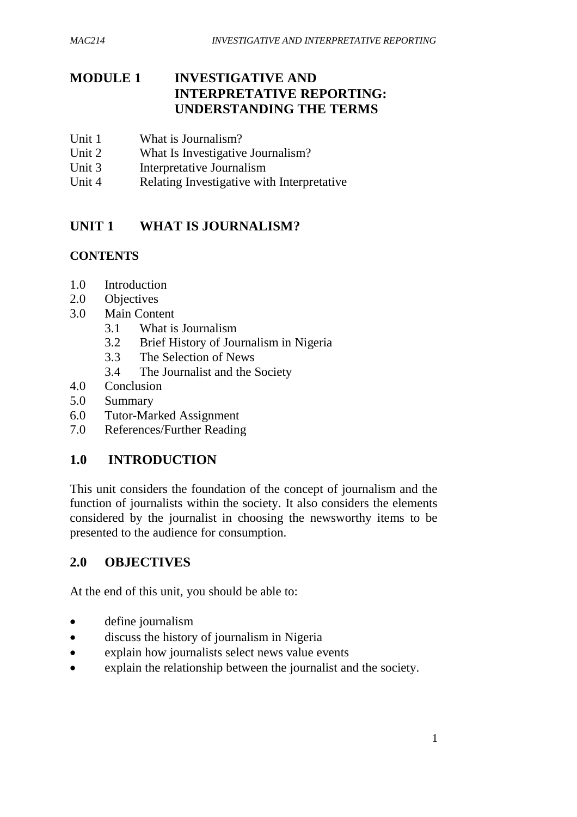## **MODULE 1 INVESTIGATIVE AND INTERPRETATIVE REPORTING: UNDERSTANDING THE TERMS**

- Unit 1 What is Journalism?<br>Unit 2 What Is Investigative
- What Is Investigative Journalism?
- Unit 3 Interpretative Journalism
- Unit 4 Relating Investigative with Interpretative

## **UNIT 1 WHAT IS JOURNALISM?**

#### **CONTENTS**

- 1.0 Introduction
- 2.0 Objectives
- 3.0 Main Content
	- 3.1 What is Journalism
	- 3.2 Brief History of Journalism in Nigeria
	- 3.3 The Selection of News
	- 3.4 The Journalist and the Society
- 4.0 Conclusion
- 5.0 Summary
- 6.0 Tutor-Marked Assignment
- 7.0 References/Further Reading

## **1.0 INTRODUCTION**

This unit considers the foundation of the concept of journalism and the function of journalists within the society. It also considers the elements considered by the journalist in choosing the newsworthy items to be presented to the audience for consumption.

## **2.0 OBJECTIVES**

At the end of this unit, you should be able to:

- define journalism
- discuss the history of journalism in Nigeria
- explain how journalists select news value events
- explain the relationship between the journalist and the society.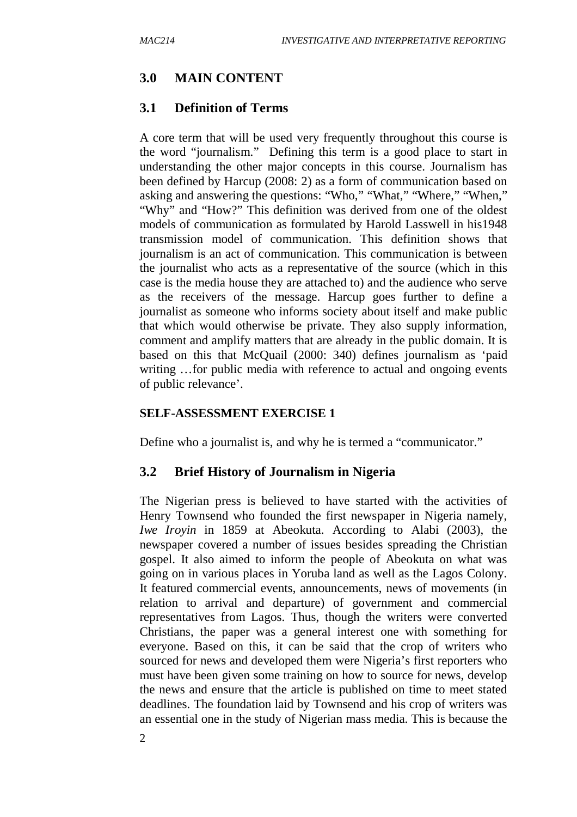#### **3.0 MAIN CONTENT**

#### **3.1 Definition of Terms**

A core term that will be used very frequently throughout this course is the word "journalism." Defining this term is a good place to start in understanding the other major concepts in this course. Journalism has been defined by Harcup (2008: 2) as a form of communication based on asking and answering the questions: "Who," "What," "Where," "When," "Why" and "How?" This definition was derived from one of the oldest models of communication as formulated by Harold Lasswell in his1948 transmission model of communication. This definition shows that journalism is an act of communication. This communication is between the journalist who acts as a representative of the source (which in this case is the media house they are attached to) and the audience who serve as the receivers of the message. Harcup goes further to define a journalist as someone who informs society about itself and make public that which would otherwise be private. They also supply information, comment and amplify matters that are already in the public domain. It is based on this that McQuail (2000: 340) defines journalism as 'paid writing ... for public media with reference to actual and ongoing events of public relevance'.

#### **SELF-ASSESSMENT EXERCISE 1**

Define who a journalist is, and why he is termed a "communicator."

#### **3.2 Brief History of Journalism in Nigeria**

The Nigerian press is believed to have started with the activities of Henry Townsend who founded the first newspaper in Nigeria namely, *Iwe Iroyin* in 1859 at Abeokuta. According to Alabi (2003), the newspaper covered a number of issues besides spreading the Christian gospel. It also aimed to inform the people of Abeokuta on what was going on in various places in Yoruba land as well as the Lagos Colony. It featured commercial events, announcements, news of movements (in relation to arrival and departure) of government and commercial representatives from Lagos. Thus, though the writers were converted Christians, the paper was a general interest one with something for everyone. Based on this, it can be said that the crop of writers who sourced for news and developed them were Nigeria's first reporters who must have been given some training on how to source for news, develop the news and ensure that the article is published on time to meet stated deadlines. The foundation laid by Townsend and his crop of writers was an essential one in the study of Nigerian mass media. This is because the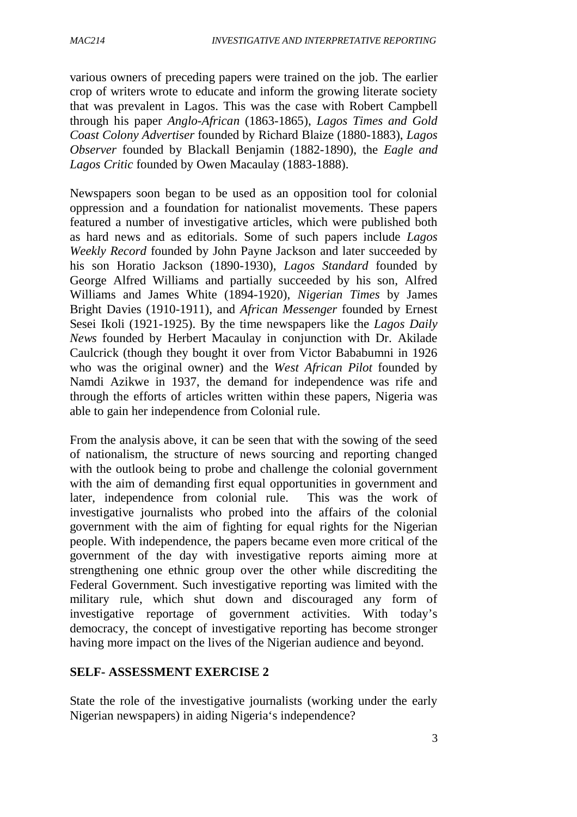various owners of preceding papers were trained on the job. The earlier crop of writers wrote to educate and inform the growing literate society that was prevalent in Lagos. This was the case with Robert Campbell through his paper *Anglo-African* (1863-1865), *Lagos Times and Gold Coast Colony Advertiser* founded by Richard Blaize (1880-1883), *Lagos Observer* founded by Blackall Benjamin (1882-1890), the *Eagle and Lagos Critic* founded by Owen Macaulay (1883-1888).

Newspapers soon began to be used as an opposition tool for colonial oppression and a foundation for nationalist movements. These papers featured a number of investigative articles, which were published both as hard news and as editorials. Some of such papers include *Lagos Weekly Record* founded by John Payne Jackson and later succeeded by his son Horatio Jackson (1890-1930), *Lagos Standard* founded by George Alfred Williams and partially succeeded by his son, Alfred Williams and James White (1894-1920), *Nigerian Times* by James Bright Davies (1910-1911), and *African Messenger* founded by Ernest Sesei Ikoli (1921-1925). By the time newspapers like the *Lagos Daily News* founded by Herbert Macaulay in conjunction with Dr. Akilade Caulcrick (though they bought it over from Victor Bababumni in 1926 who was the original owner) and the *West African Pilot* founded by Namdi Azikwe in 1937, the demand for independence was rife and through the efforts of articles written within these papers, Nigeria was able to gain her independence from Colonial rule.

From the analysis above, it can be seen that with the sowing of the seed of nationalism, the structure of news sourcing and reporting changed with the outlook being to probe and challenge the colonial government with the aim of demanding first equal opportunities in government and later, independence from colonial rule. This was the work of investigative journalists who probed into the affairs of the colonial government with the aim of fighting for equal rights for the Nigerian people. With independence, the papers became even more critical of the government of the day with investigative reports aiming more at strengthening one ethnic group over the other while discrediting the Federal Government. Such investigative reporting was limited with the military rule, which shut down and discouraged any form of investigative reportage of government activities. With today's democracy, the concept of investigative reporting has become stronger having more impact on the lives of the Nigerian audience and beyond.

#### **SELF- ASSESSMENT EXERCISE 2**

State the role of the investigative journalists (working under the early Nigerian newspapers) in aiding Nigeria's independence?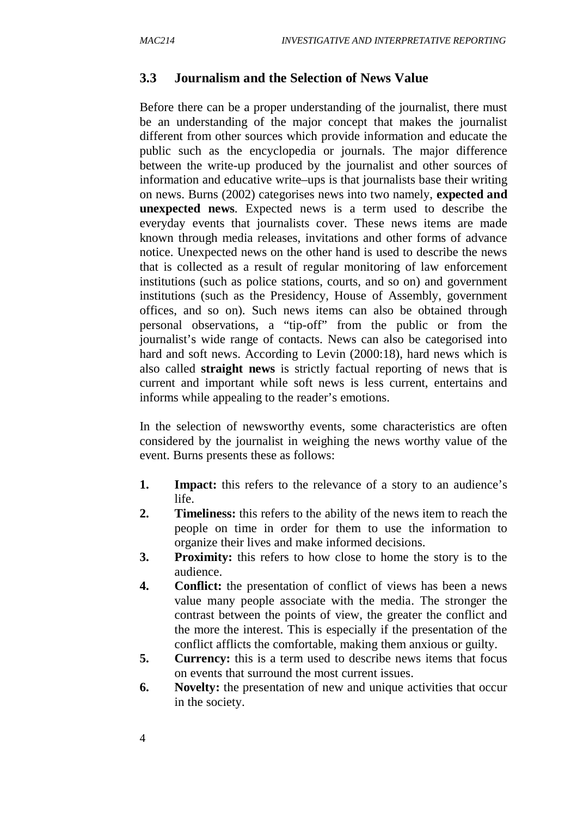#### **3.3 Journalism and the Selection of News Value**

Before there can be a proper understanding of the journalist, there must be an understanding of the major concept that makes the journalist different from other sources which provide information and educate the public such as the encyclopedia or journals. The major difference between the write-up produced by the journalist and other sources of information and educative write–ups is that journalists base their writing on news. Burns (2002) categorises news into two namely, **expected and unexpected news**. Expected news is a term used to describe the everyday events that journalists cover. These news items are made known through media releases, invitations and other forms of advance notice. Unexpected news on the other hand is used to describe the news that is collected as a result of regular monitoring of law enforcement institutions (such as police stations, courts, and so on) and government institutions (such as the Presidency, House of Assembly, government offices, and so on). Such news items can also be obtained through personal observations, a "tip-off" from the public or from the journalist's wide range of contacts. News can also be categorised into hard and soft news. According to Levin (2000:18), hard news which is also called **straight news** is strictly factual reporting of news that is current and important while soft news is less current, entertains and informs while appealing to the reader's emotions.

In the selection of newsworthy events, some characteristics are often considered by the journalist in weighing the news worthy value of the event. Burns presents these as follows:

- **1. Impact:** this refers to the relevance of a story to an audience's life.
- **2. Timeliness:** this refers to the ability of the news item to reach the people on time in order for them to use the information to organize their lives and make informed decisions.
- **3. Proximity:** this refers to how close to home the story is to the audience.
- **4. Conflict:** the presentation of conflict of views has been a news value many people associate with the media. The stronger the contrast between the points of view, the greater the conflict and the more the interest. This is especially if the presentation of the conflict afflicts the comfortable, making them anxious or guilty.
- **5. Currency:** this is a term used to describe news items that focus on events that surround the most current issues.
- **6. Novelty:** the presentation of new and unique activities that occur in the society.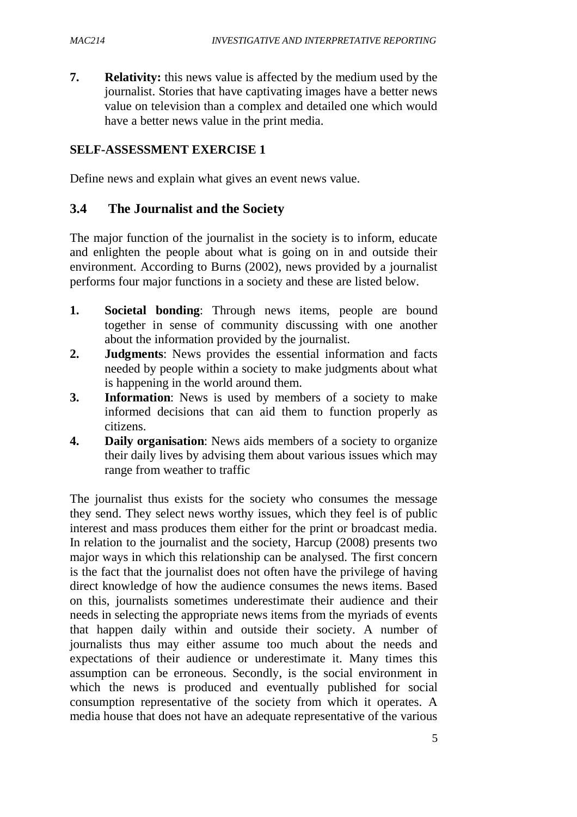**7. Relativity:** this news value is affected by the medium used by the journalist. Stories that have captivating images have a better news value on television than a complex and detailed one which would have a better news value in the print media.

#### **SELF-ASSESSMENT EXERCISE 1**

Define news and explain what gives an event news value.

## **3.4 The Journalist and the Society**

The major function of the journalist in the society is to inform, educate and enlighten the people about what is going on in and outside their environment. According to Burns (2002), news provided by a journalist performs four major functions in a society and these are listed below.

- **1. Societal bonding**: Through news items, people are bound together in sense of community discussing with one another about the information provided by the journalist.
- **2. Judgments**: News provides the essential information and facts needed by people within a society to make judgments about what is happening in the world around them.
- **3. Information**: News is used by members of a society to make informed decisions that can aid them to function properly as citizens.
- **4. Daily organisation**: News aids members of a society to organize their daily lives by advising them about various issues which may range from weather to traffic

The journalist thus exists for the society who consumes the message they send. They select news worthy issues, which they feel is of public interest and mass produces them either for the print or broadcast media. In relation to the journalist and the society, Harcup (2008) presents two major ways in which this relationship can be analysed. The first concern is the fact that the journalist does not often have the privilege of having direct knowledge of how the audience consumes the news items. Based on this, journalists sometimes underestimate their audience and their needs in selecting the appropriate news items from the myriads of events that happen daily within and outside their society. A number of journalists thus may either assume too much about the needs and expectations of their audience or underestimate it. Many times this assumption can be erroneous. Secondly, is the social environment in which the news is produced and eventually published for social consumption representative of the society from which it operates. A media house that does not have an adequate representative of the various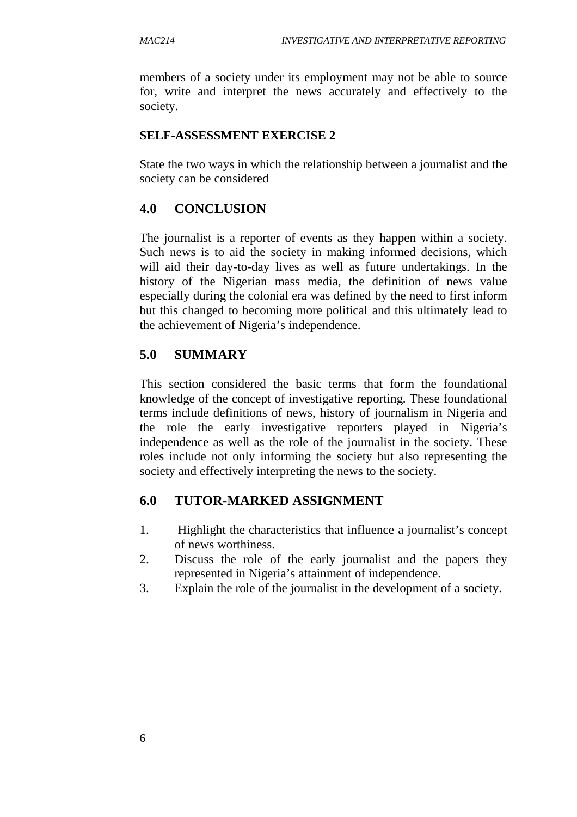members of a society under its employment may not be able to source for, write and interpret the news accurately and effectively to the society.

#### **SELF-ASSESSMENT EXERCISE 2**

State the two ways in which the relationship between a journalist and the society can be considered

#### **4.0 CONCLUSION**

The journalist is a reporter of events as they happen within a society. Such news is to aid the society in making informed decisions, which will aid their day-to-day lives as well as future undertakings. In the history of the Nigerian mass media, the definition of news value especially during the colonial era was defined by the need to first inform but this changed to becoming more political and this ultimately lead to the achievement of Nigeria's independence.

## **5.0 SUMMARY**

This section considered the basic terms that form the foundational knowledge of the concept of investigative reporting. These foundational terms include definitions of news, history of journalism in Nigeria and the role the early investigative reporters played in Nigeria's independence as well as the role of the journalist in the society. These roles include not only informing the society but also representing the society and effectively interpreting the news to the society.

#### **6.0 TUTOR-MARKED ASSIGNMENT**

- 1. Highlight the characteristics that influence a journalist's concept of news worthiness.
- 2. Discuss the role of the early journalist and the papers they represented in Nigeria's attainment of independence.
- 3. Explain the role of the journalist in the development of a society.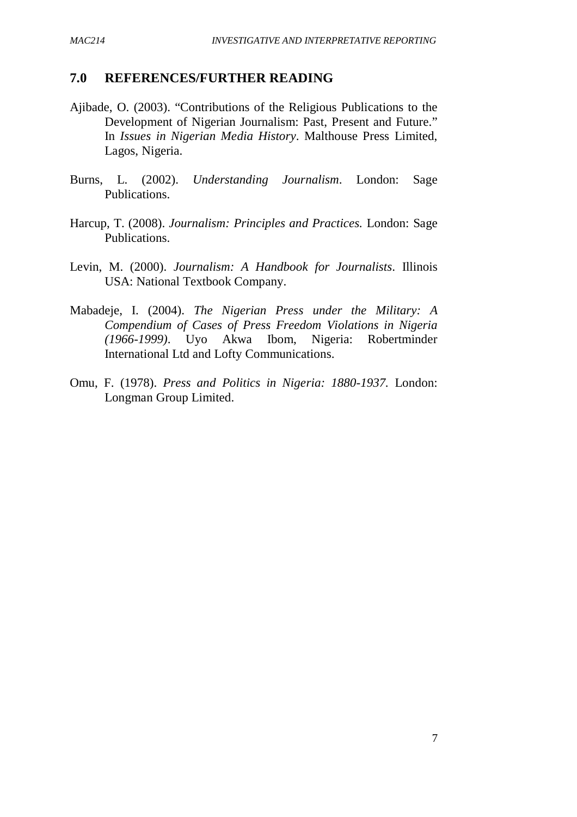#### **7.0 REFERENCES/FURTHER READING**

- Ajibade, O. (2003). "Contributions of the Religious Publications to the Development of Nigerian Journalism: Past, Present and Future." In *Issues in Nigerian Media History*. Malthouse Press Limited, Lagos, Nigeria.
- Burns, L. (2002). *Understanding Journalism*. London: Sage Publications.
- Harcup, T. (2008). *Journalism: Principles and Practices.* London: Sage Publications.
- Levin, M. (2000). *Journalism: A Handbook for Journalists*. Illinois USA: National Textbook Company.
- Mabadeje, I. (2004). *The Nigerian Press under the Military: A Compendium of Cases of Press Freedom Violations in Nigeria (1966-1999)*. Uyo Akwa Ibom, Nigeria: Robertminder International Ltd and Lofty Communications.
- Omu, F. (1978). *Press and Politics in Nigeria: 1880-1937.* London: Longman Group Limited.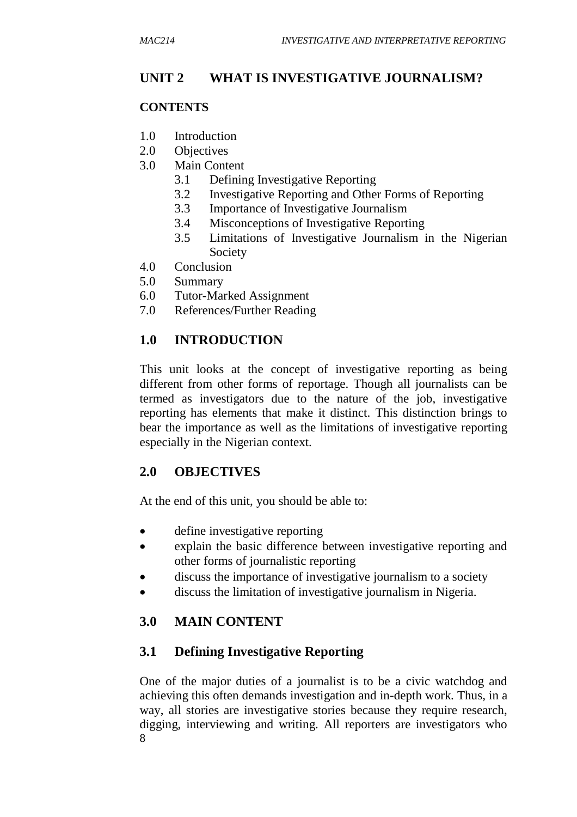## **UNIT 2 WHAT IS INVESTIGATIVE JOURNALISM?**

#### **CONTENTS**

- 1.0 Introduction
- 2.0 Objectives
- 3.0 Main Content
	- 3.1 Defining Investigative Reporting
	- 3.2 Investigative Reporting and Other Forms of Reporting
	- 3.3 Importance of Investigative Journalism
	- 3.4 Misconceptions of Investigative Reporting
	- 3.5 Limitations of Investigative Journalism in the Nigerian Society
- 4.0 Conclusion
- 5.0 Summary
- 6.0 Tutor-Marked Assignment
- 7.0 References/Further Reading

## **1.0 INTRODUCTION**

This unit looks at the concept of investigative reporting as being different from other forms of reportage. Though all journalists can be termed as investigators due to the nature of the job, investigative reporting has elements that make it distinct. This distinction brings to bear the importance as well as the limitations of investigative reporting especially in the Nigerian context.

## **2.0 OBJECTIVES**

At the end of this unit, you should be able to:

- define investigative reporting
- explain the basic difference between investigative reporting and other forms of journalistic reporting
- discuss the importance of investigative journalism to a society
- discuss the limitation of investigative journalism in Nigeria.

## **3.0 MAIN CONTENT**

## **3.1 Defining Investigative Reporting**

8 One of the major duties of a journalist is to be a civic watchdog and achieving this often demands investigation and in-depth work. Thus, in a way, all stories are investigative stories because they require research, digging, interviewing and writing. All reporters are investigators who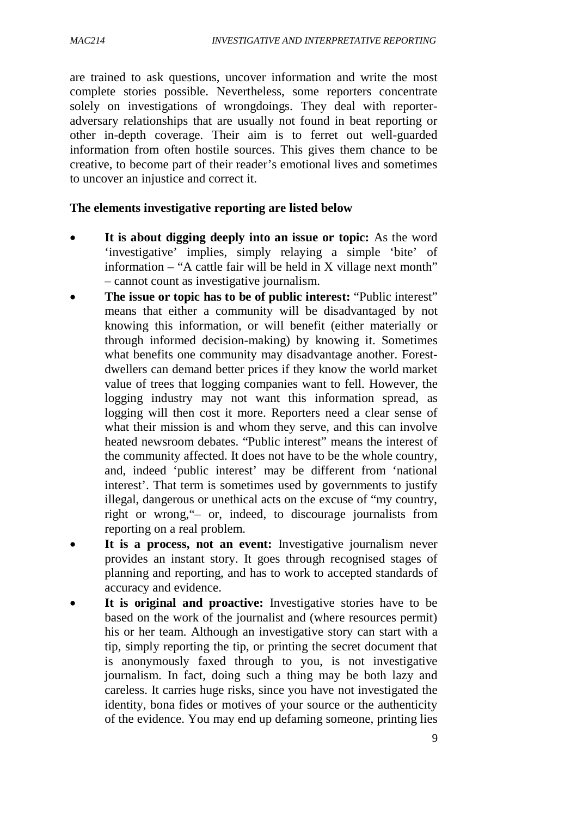are trained to ask questions, uncover information and write the most complete stories possible. Nevertheless, some reporters concentrate solely on investigations of wrongdoings. They deal with reporteradversary relationships that are usually not found in beat reporting or other in-depth coverage. Their aim is to ferret out well-guarded information from often hostile sources. This gives them chance to be creative, to become part of their reader's emotional lives and sometimes to uncover an injustice and correct it.

#### **The elements investigative reporting are listed below**

- **It is about digging deeply into an issue or topic:** As the word 'investigative' implies, simply relaying a simple 'bite' of information – "A cattle fair will be held in X village next month" – cannot count as investigative journalism.
- **The issue or topic has to be of public interest:** "Public interest" means that either a community will be disadvantaged by not knowing this information, or will benefit (either materially or through informed decision-making) by knowing it. Sometimes what benefits one community may disadvantage another. Forestdwellers can demand better prices if they know the world market value of trees that logging companies want to fell. However, the logging industry may not want this information spread, as logging will then cost it more. Reporters need a clear sense of what their mission is and whom they serve, and this can involve heated newsroom debates. "Public interest" means the interest of the community affected. It does not have to be the whole country, and, indeed 'public interest' may be different from 'national interest'. That term is sometimes used by governments to justify illegal, dangerous or unethical acts on the excuse of "my country, right or wrong,"– or, indeed, to discourage journalists from reporting on a real problem.
- **It is a process, not an event:** Investigative journalism never provides an instant story. It goes through recognised stages of planning and reporting, and has to work to accepted standards of accuracy and evidence.
- **It is original and proactive:** Investigative stories have to be based on the work of the journalist and (where resources permit) his or her team. Although an investigative story can start with a tip, simply reporting the tip, or printing the secret document that is anonymously faxed through to you, is not investigative journalism. In fact, doing such a thing may be both lazy and careless. It carries huge risks, since you have not investigated the identity, bona fides or motives of your source or the authenticity of the evidence. You may end up defaming someone, printing lies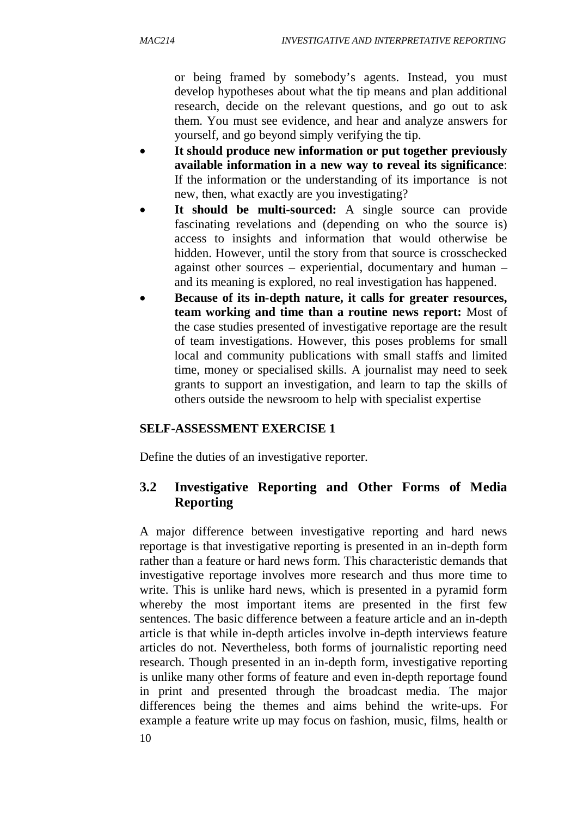or being framed by somebody's agents. Instead, you must develop hypotheses about what the tip means and plan additional research, decide on the relevant questions, and go out to ask them. You must see evidence, and hear and analyze answers for yourself, and go beyond simply verifying the tip.

- **It should produce new information or put together previously available information in a new way to reveal its significance**: If the information or the understanding of its importance is not new, then, what exactly are you investigating?
- **It should be multi-sourced:** A single source can provide fascinating revelations and (depending on who the source is) access to insights and information that would otherwise be hidden. However, until the story from that source is crosschecked against other sources – experiential, documentary and human – and its meaning is explored, no real investigation has happened.
- **Because of its in-depth nature, it calls for greater resources, team working and time than a routine news report:** Most of the case studies presented of investigative reportage are the result of team investigations. However, this poses problems for small local and community publications with small staffs and limited time, money or specialised skills. A journalist may need to seek grants to support an investigation, and learn to tap the skills of others outside the newsroom to help with specialist expertise

## **SELF-ASSESSMENT EXERCISE 1**

Define the duties of an investigative reporter.

## **3.2 Investigative Reporting and Other Forms of Media Reporting**

A major difference between investigative reporting and hard news reportage is that investigative reporting is presented in an in-depth form rather than a feature or hard news form. This characteristic demands that investigative reportage involves more research and thus more time to write. This is unlike hard news, which is presented in a pyramid form whereby the most important items are presented in the first few sentences. The basic difference between a feature article and an in-depth article is that while in-depth articles involve in-depth interviews feature articles do not. Nevertheless, both forms of journalistic reporting need research. Though presented in an in-depth form, investigative reporting is unlike many other forms of feature and even in-depth reportage found in print and presented through the broadcast media. The major differences being the themes and aims behind the write-ups. For example a feature write up may focus on fashion, music, films, health or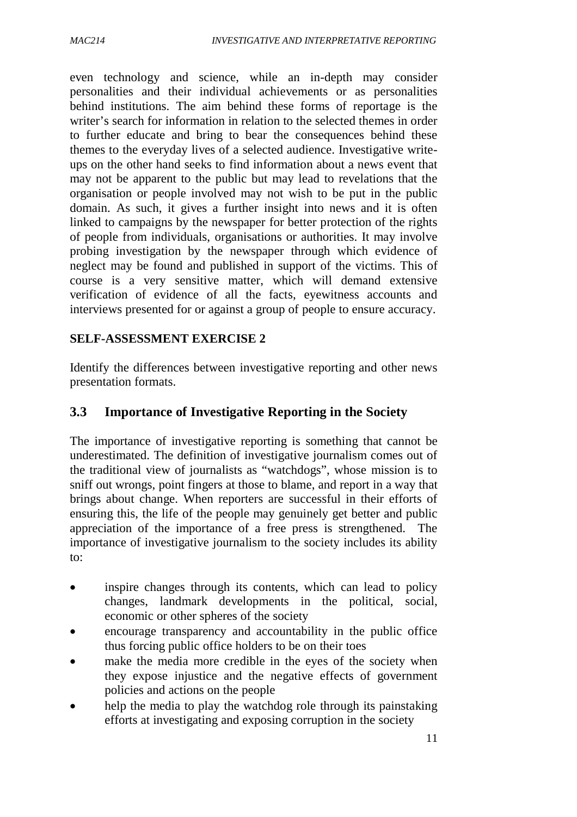even technology and science, while an in-depth may consider personalities and their individual achievements or as personalities behind institutions. The aim behind these forms of reportage is the writer's search for information in relation to the selected themes in order to further educate and bring to bear the consequences behind these themes to the everyday lives of a selected audience. Investigative writeups on the other hand seeks to find information about a news event that may not be apparent to the public but may lead to revelations that the organisation or people involved may not wish to be put in the public domain. As such, it gives a further insight into news and it is often linked to campaigns by the newspaper for better protection of the rights of people from individuals, organisations or authorities. It may involve probing investigation by the newspaper through which evidence of neglect may be found and published in support of the victims. This of course is a very sensitive matter, which will demand extensive verification of evidence of all the facts, eyewitness accounts and interviews presented for or against a group of people to ensure accuracy.

#### **SELF-ASSESSMENT EXERCISE 2**

Identify the differences between investigative reporting and other news presentation formats.

## **3.3 Importance of Investigative Reporting in the Society**

The importance of investigative reporting is something that cannot be underestimated. The definition of investigative journalism comes out of the traditional view of journalists as "watchdogs", whose mission is to sniff out wrongs, point fingers at those to blame, and report in a way that brings about change. When reporters are successful in their efforts of ensuring this, the life of the people may genuinely get better and public appreciation of the importance of a free press is strengthened. The importance of investigative journalism to the society includes its ability to:

- inspire changes through its contents, which can lead to policy changes, landmark developments in the political, social, economic or other spheres of the society
- encourage transparency and accountability in the public office thus forcing public office holders to be on their toes
- make the media more credible in the eyes of the society when they expose injustice and the negative effects of government policies and actions on the people
- help the media to play the watchdog role through its painstaking efforts at investigating and exposing corruption in the society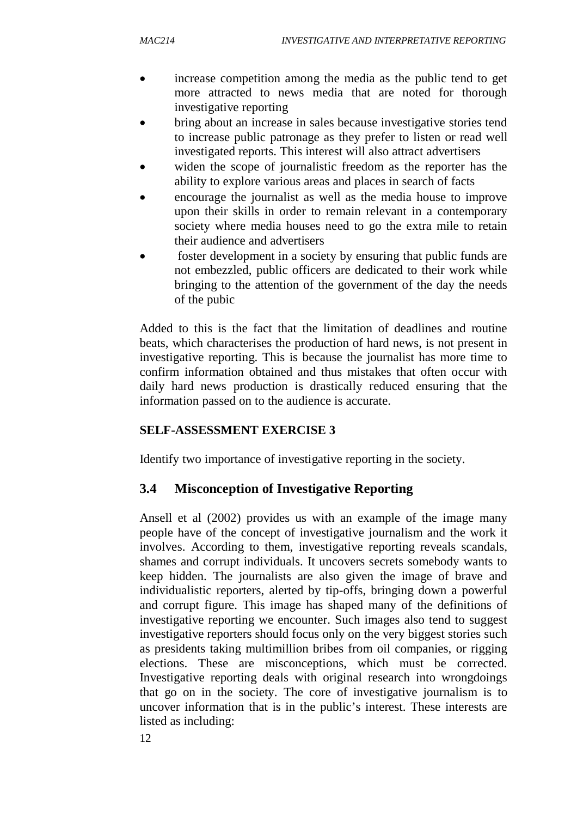- increase competition among the media as the public tend to get more attracted to news media that are noted for thorough investigative reporting
- bring about an increase in sales because investigative stories tend to increase public patronage as they prefer to listen or read well investigated reports. This interest will also attract advertisers
- widen the scope of journalistic freedom as the reporter has the ability to explore various areas and places in search of facts
- encourage the journalist as well as the media house to improve upon their skills in order to remain relevant in a contemporary society where media houses need to go the extra mile to retain their audience and advertisers
- foster development in a society by ensuring that public funds are not embezzled, public officers are dedicated to their work while bringing to the attention of the government of the day the needs of the pubic

Added to this is the fact that the limitation of deadlines and routine beats, which characterises the production of hard news, is not present in investigative reporting. This is because the journalist has more time to confirm information obtained and thus mistakes that often occur with daily hard news production is drastically reduced ensuring that the information passed on to the audience is accurate.

#### **SELF-ASSESSMENT EXERCISE 3**

Identify two importance of investigative reporting in the society.

## **3.4 Misconception of Investigative Reporting**

Ansell et al (2002) provides us with an example of the image many people have of the concept of investigative journalism and the work it involves. According to them, investigative reporting reveals scandals, shames and corrupt individuals. It uncovers secrets somebody wants to keep hidden. The journalists are also given the image of brave and individualistic reporters, alerted by tip-offs, bringing down a powerful and corrupt figure. This image has shaped many of the definitions of investigative reporting we encounter. Such images also tend to suggest investigative reporters should focus only on the very biggest stories such as presidents taking multimillion bribes from oil companies, or rigging elections. These are misconceptions, which must be corrected. Investigative reporting deals with original research into wrongdoings that go on in the society. The core of investigative journalism is to uncover information that is in the public's interest. These interests are listed as including: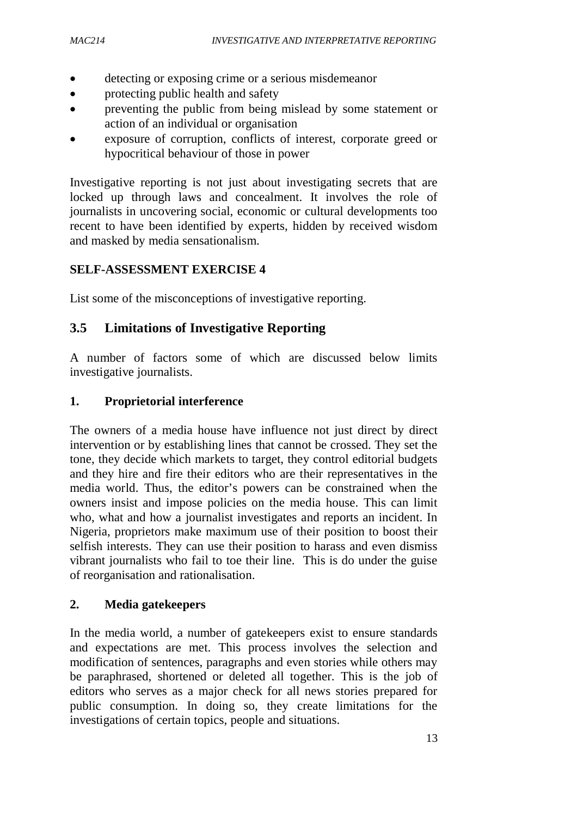- detecting or exposing crime or a serious misdemeanor
- protecting public health and safety
- preventing the public from being mislead by some statement or action of an individual or organisation
- exposure of corruption, conflicts of interest, corporate greed or hypocritical behaviour of those in power

Investigative reporting is not just about investigating secrets that are locked up through laws and concealment. It involves the role of journalists in uncovering social, economic or cultural developments too recent to have been identified by experts, hidden by received wisdom and masked by media sensationalism.

#### **SELF-ASSESSMENT EXERCISE 4**

List some of the misconceptions of investigative reporting.

#### **3.5 Limitations of Investigative Reporting**

A number of factors some of which are discussed below limits investigative journalists.

#### **1. Proprietorial interference**

The owners of a media house have influence not just direct by direct intervention or by establishing lines that cannot be crossed. They set the tone, they decide which markets to target, they control editorial budgets and they hire and fire their editors who are their representatives in the media world. Thus, the editor's powers can be constrained when the owners insist and impose policies on the media house. This can limit who, what and how a journalist investigates and reports an incident. In Nigeria, proprietors make maximum use of their position to boost their selfish interests. They can use their position to harass and even dismiss vibrant journalists who fail to toe their line. This is do under the guise of reorganisation and rationalisation.

#### **2. Media gatekeepers**

In the media world, a number of gatekeepers exist to ensure standards and expectations are met. This process involves the selection and modification of sentences, paragraphs and even stories while others may be paraphrased, shortened or deleted all together. This is the job of editors who serves as a major check for all news stories prepared for public consumption. In doing so, they create limitations for the investigations of certain topics, people and situations.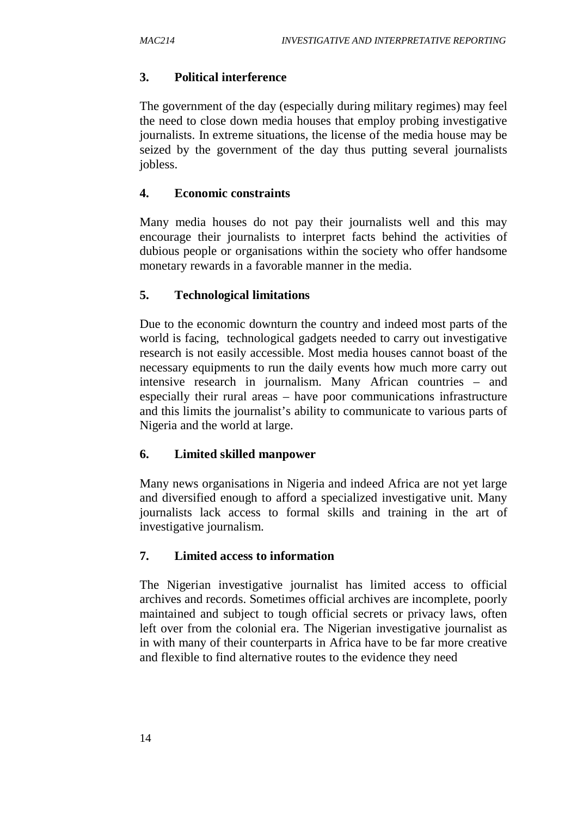## **3. Political interference**

The government of the day (especially during military regimes) may feel the need to close down media houses that employ probing investigative journalists. In extreme situations, the license of the media house may be seized by the government of the day thus putting several journalists jobless.

#### **4. Economic constraints**

Many media houses do not pay their journalists well and this may encourage their journalists to interpret facts behind the activities of dubious people or organisations within the society who offer handsome monetary rewards in a favorable manner in the media.

## **5. Technological limitations**

Due to the economic downturn the country and indeed most parts of the world is facing, technological gadgets needed to carry out investigative research is not easily accessible. Most media houses cannot boast of the necessary equipments to run the daily events how much more carry out intensive research in journalism. Many African countries – and especially their rural areas – have poor communications infrastructure and this limits the journalist's ability to communicate to various parts of Nigeria and the world at large.

## **6. Limited skilled manpower**

Many news organisations in Nigeria and indeed Africa are not yet large and diversified enough to afford a specialized investigative unit. Many journalists lack access to formal skills and training in the art of investigative journalism.

## **7. Limited access to information**

The Nigerian investigative journalist has limited access to official archives and records. Sometimes official archives are incomplete, poorly maintained and subject to tough official secrets or privacy laws, often left over from the colonial era. The Nigerian investigative journalist as in with many of their counterparts in Africa have to be far more creative and flexible to find alternative routes to the evidence they need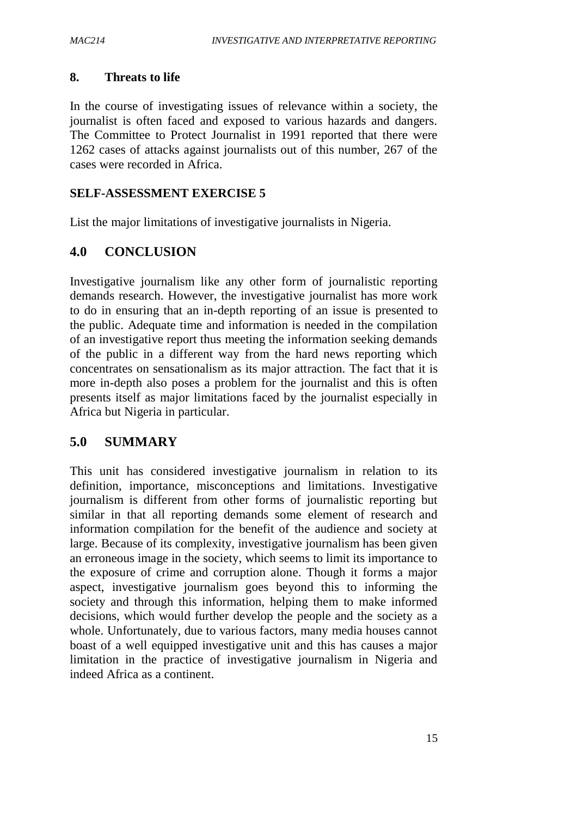#### **8. Threats to life**

In the course of investigating issues of relevance within a society, the journalist is often faced and exposed to various hazards and dangers. The Committee to Protect Journalist in 1991 reported that there were 1262 cases of attacks against journalists out of this number, 267 of the cases were recorded in Africa.

#### **SELF-ASSESSMENT EXERCISE 5**

List the major limitations of investigative journalists in Nigeria.

## **4.0 CONCLUSION**

Investigative journalism like any other form of journalistic reporting demands research. However, the investigative journalist has more work to do in ensuring that an in-depth reporting of an issue is presented to the public. Adequate time and information is needed in the compilation of an investigative report thus meeting the information seeking demands of the public in a different way from the hard news reporting which concentrates on sensationalism as its major attraction. The fact that it is more in-depth also poses a problem for the journalist and this is often presents itself as major limitations faced by the journalist especially in Africa but Nigeria in particular.

## **5.0 SUMMARY**

This unit has considered investigative journalism in relation to its definition, importance, misconceptions and limitations. Investigative journalism is different from other forms of journalistic reporting but similar in that all reporting demands some element of research and information compilation for the benefit of the audience and society at large. Because of its complexity, investigative journalism has been given an erroneous image in the society, which seems to limit its importance to the exposure of crime and corruption alone. Though it forms a major aspect, investigative journalism goes beyond this to informing the society and through this information, helping them to make informed decisions, which would further develop the people and the society as a whole. Unfortunately, due to various factors, many media houses cannot boast of a well equipped investigative unit and this has causes a major limitation in the practice of investigative journalism in Nigeria and indeed Africa as a continent.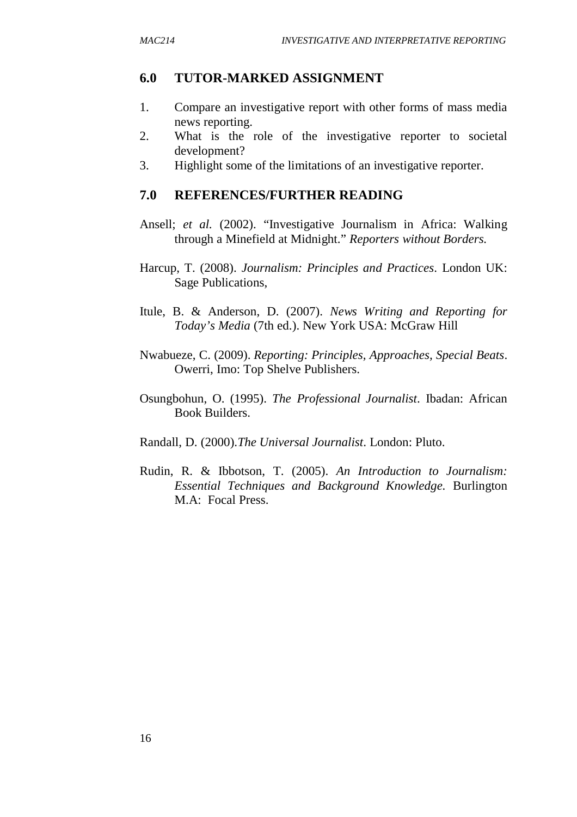#### **6.0 TUTOR-MARKED ASSIGNMENT**

- 1. Compare an investigative report with other forms of mass media news reporting.
- 2. What is the role of the investigative reporter to societal development?
- 3. Highlight some of the limitations of an investigative reporter.

#### **7.0 REFERENCES/FURTHER READING**

- Ansell; *et al.* (2002). "Investigative Journalism in Africa: Walking through a Minefield at Midnight." *Reporters without Borders.*
- Harcup, T. (2008). *Journalism: Principles and Practices*. London UK: Sage Publications,
- Itule, B. & Anderson, D. (2007). *News Writing and Reporting for Today's Media* (7th ed.). New York USA: McGraw Hill
- Nwabueze, C. (2009). *Reporting: Principles, Approaches, Special Beats*. Owerri, Imo: Top Shelve Publishers.
- Osungbohun, O. (1995). *The Professional Journalist*. Ibadan: African Book Builders.
- Randall, D. (2000).*The Universal Journalist*. London: Pluto.
- Rudin, R. & Ibbotson, T. (2005). *An Introduction to Journalism: Essential Techniques and Background Knowledge.* Burlington M.A: Focal Press.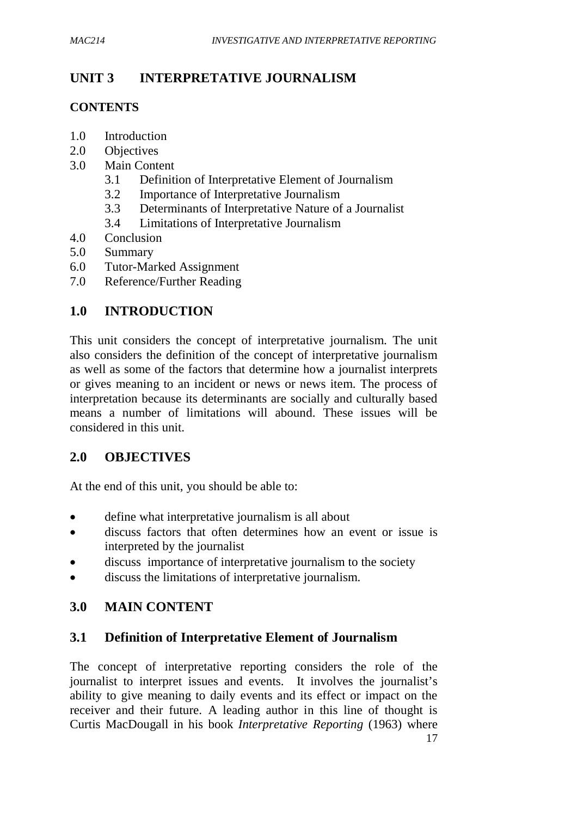## **UNIT 3 INTERPRETATIVE JOURNALISM**

#### **CONTENTS**

- 1.0 Introduction
- 2.0 Objectives
- 3.0 Main Content
	- 3.1 Definition of Interpretative Element of Journalism
	- 3.2 Importance of Interpretative Journalism
	- 3.3 Determinants of Interpretative Nature of a Journalist
	- 3.4 Limitations of Interpretative Journalism
- 4.0 Conclusion
- 5.0 Summary
- 6.0 Tutor-Marked Assignment
- 7.0 Reference/Further Reading

## **1.0 INTRODUCTION**

This unit considers the concept of interpretative journalism. The unit also considers the definition of the concept of interpretative journalism as well as some of the factors that determine how a journalist interprets or gives meaning to an incident or news or news item. The process of interpretation because its determinants are socially and culturally based means a number of limitations will abound. These issues will be considered in this unit.

## **2.0 OBJECTIVES**

At the end of this unit, you should be able to:

- define what interpretative journalism is all about
- discuss factors that often determines how an event or issue is interpreted by the journalist
- discuss importance of interpretative journalism to the society
- discuss the limitations of interpretative journalism.

## **3.0 MAIN CONTENT**

## **3.1 Definition of Interpretative Element of Journalism**

The concept of interpretative reporting considers the role of the journalist to interpret issues and events. It involves the journalist's ability to give meaning to daily events and its effect or impact on the receiver and their future. A leading author in this line of thought is Curtis MacDougall in his book *Interpretative Reporting* (1963) where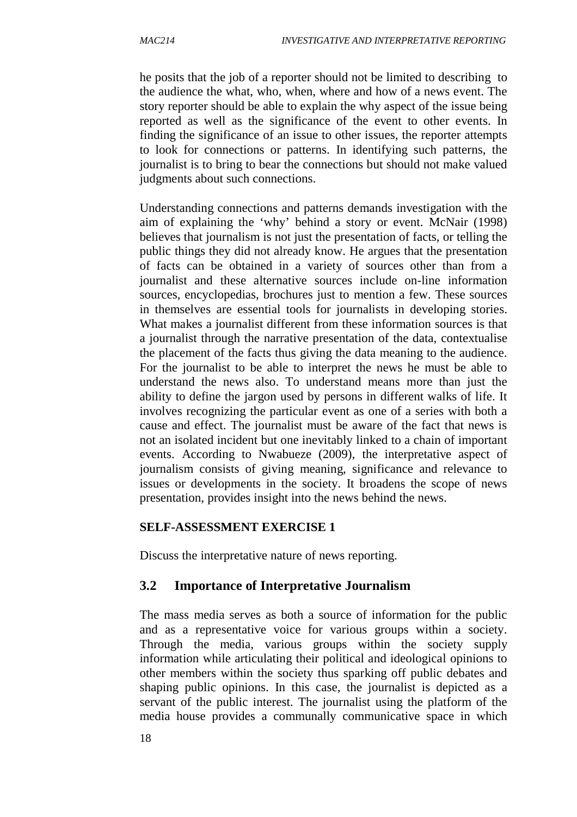he posits that the job of a reporter should not be limited to describing to the audience the what, who, when, where and how of a news event. The story reporter should be able to explain the why aspect of the issue being reported as well as the significance of the event to other events. In finding the significance of an issue to other issues, the reporter attempts to look for connections or patterns. In identifying such patterns, the journalist is to bring to bear the connections but should not make valued judgments about such connections.

Understanding connections and patterns demands investigation with the aim of explaining the 'why' behind a story or event. McNair (1998) believes that journalism is not just the presentation of facts, or telling the public things they did not already know. He argues that the presentation of facts can be obtained in a variety of sources other than from a journalist and these alternative sources include on-line information sources, encyclopedias, brochures just to mention a few. These sources in themselves are essential tools for journalists in developing stories. What makes a journalist different from these information sources is that a journalist through the narrative presentation of the data, contextualise the placement of the facts thus giving the data meaning to the audience. For the journalist to be able to interpret the news he must be able to understand the news also. To understand means more than just the ability to define the jargon used by persons in different walks of life. It involves recognizing the particular event as one of a series with both a cause and effect. The journalist must be aware of the fact that news is not an isolated incident but one inevitably linked to a chain of important events. According to Nwabueze (2009), the interpretative aspect of journalism consists of giving meaning, significance and relevance to issues or developments in the society. It broadens the scope of news presentation, provides insight into the news behind the news.

#### **SELF-ASSESSMENT EXERCISE 1**

Discuss the interpretative nature of news reporting.

## **3.2 Importance of Interpretative Journalism**

The mass media serves as both a source of information for the public and as a representative voice for various groups within a society. Through the media, various groups within the society supply information while articulating their political and ideological opinions to other members within the society thus sparking off public debates and shaping public opinions. In this case, the journalist is depicted as a servant of the public interest. The journalist using the platform of the media house provides a communally communicative space in which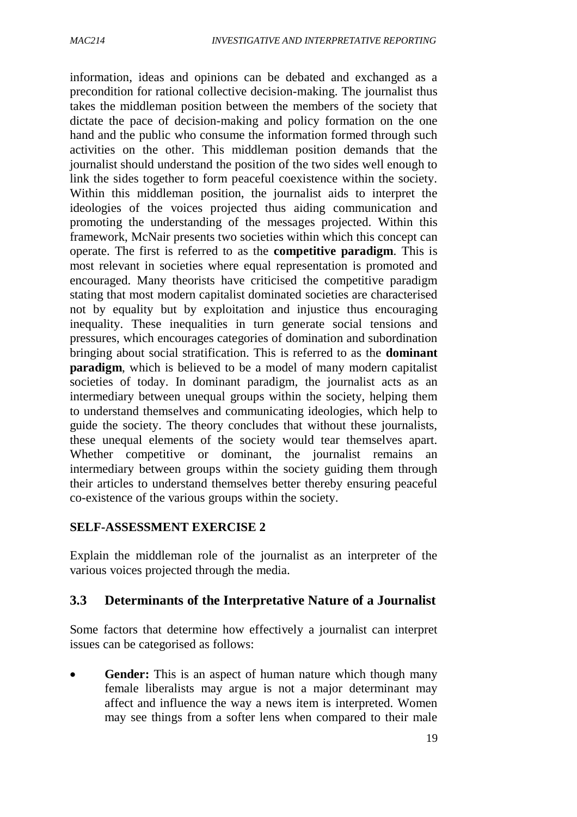information, ideas and opinions can be debated and exchanged as a precondition for rational collective decision-making. The journalist thus takes the middleman position between the members of the society that dictate the pace of decision-making and policy formation on the one hand and the public who consume the information formed through such activities on the other. This middleman position demands that the journalist should understand the position of the two sides well enough to link the sides together to form peaceful coexistence within the society. Within this middleman position, the journalist aids to interpret the ideologies of the voices projected thus aiding communication and promoting the understanding of the messages projected. Within this framework, McNair presents two societies within which this concept can operate. The first is referred to as the **competitive paradigm**. This is most relevant in societies where equal representation is promoted and encouraged. Many theorists have criticised the competitive paradigm stating that most modern capitalist dominated societies are characterised not by equality but by exploitation and injustice thus encouraging inequality. These inequalities in turn generate social tensions and pressures, which encourages categories of domination and subordination bringing about social stratification. This is referred to as the **dominant paradigm**, which is believed to be a model of many modern capitalist societies of today. In dominant paradigm, the journalist acts as an intermediary between unequal groups within the society, helping them to understand themselves and communicating ideologies, which help to guide the society. The theory concludes that without these journalists, these unequal elements of the society would tear themselves apart. Whether competitive or dominant, the journalist remains an intermediary between groups within the society guiding them through their articles to understand themselves better thereby ensuring peaceful co-existence of the various groups within the society.

#### **SELF-ASSESSMENT EXERCISE 2**

Explain the middleman role of the journalist as an interpreter of the various voices projected through the media.

## **3.3 Determinants of the Interpretative Nature of a Journalist**

Some factors that determine how effectively a journalist can interpret issues can be categorised as follows:

 **Gender:** This is an aspect of human nature which though many female liberalists may argue is not a major determinant may affect and influence the way a news item is interpreted. Women may see things from a softer lens when compared to their male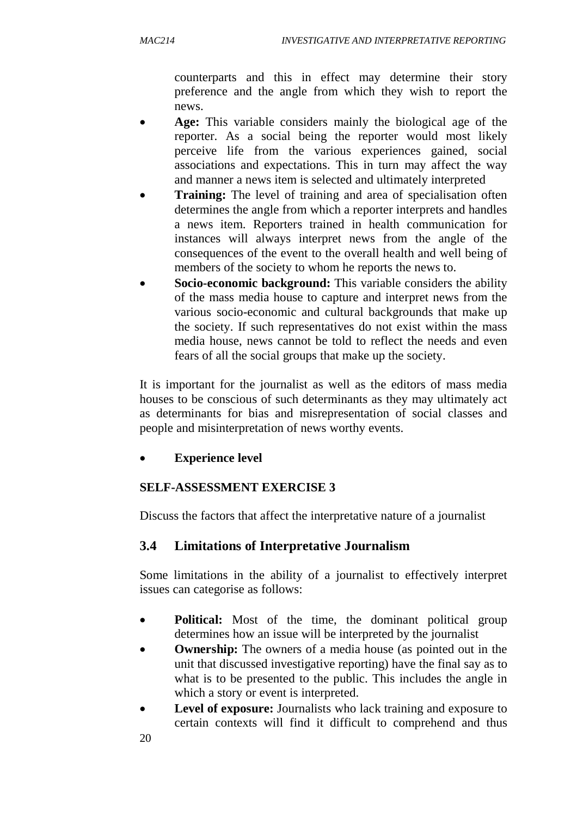counterparts and this in effect may determine their story preference and the angle from which they wish to report the news.

- **Age:** This variable considers mainly the biological age of the reporter. As a social being the reporter would most likely perceive life from the various experiences gained, social associations and expectations. This in turn may affect the way and manner a news item is selected and ultimately interpreted
- **Training:** The level of training and area of specialisation often determines the angle from which a reporter interprets and handles a news item. Reporters trained in health communication for instances will always interpret news from the angle of the consequences of the event to the overall health and well being of members of the society to whom he reports the news to.
- **Socio-economic background:** This variable considers the ability of the mass media house to capture and interpret news from the various socio-economic and cultural backgrounds that make up the society. If such representatives do not exist within the mass media house, news cannot be told to reflect the needs and even fears of all the social groups that make up the society.

It is important for the journalist as well as the editors of mass media houses to be conscious of such determinants as they may ultimately act as determinants for bias and misrepresentation of social classes and people and misinterpretation of news worthy events.

#### **Experience level**

#### **SELF-ASSESSMENT EXERCISE 3**

Discuss the factors that affect the interpretative nature of a journalist

#### **3.4 Limitations of Interpretative Journalism**

Some limitations in the ability of a journalist to effectively interpret issues can categorise as follows:

- **Political:** Most of the time, the dominant political group determines how an issue will be interpreted by the journalist
- **Ownership:** The owners of a media house (as pointed out in the unit that discussed investigative reporting) have the final say as to what is to be presented to the public. This includes the angle in which a story or event is interpreted.
- **Level of exposure:** Journalists who lack training and exposure to certain contexts will find it difficult to comprehend and thus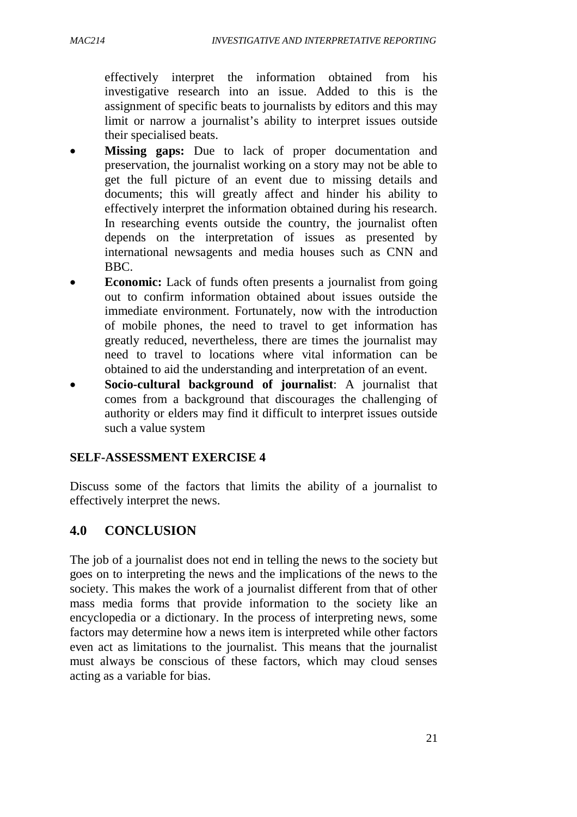effectively interpret the information obtained from his investigative research into an issue. Added to this is the assignment of specific beats to journalists by editors and this may limit or narrow a journalist's ability to interpret issues outside their specialised beats.

- **Missing gaps:** Due to lack of proper documentation and preservation, the journalist working on a story may not be able to get the full picture of an event due to missing details and documents; this will greatly affect and hinder his ability to effectively interpret the information obtained during his research. In researching events outside the country, the journalist often depends on the interpretation of issues as presented by international newsagents and media houses such as CNN and BBC.
- **Economic:** Lack of funds often presents a journalist from going out to confirm information obtained about issues outside the immediate environment. Fortunately, now with the introduction of mobile phones, the need to travel to get information has greatly reduced, nevertheless, there are times the journalist may need to travel to locations where vital information can be obtained to aid the understanding and interpretation of an event.
- **Socio-cultural background of journalist**: A journalist that comes from a background that discourages the challenging of authority or elders may find it difficult to interpret issues outside such a value system

## **SELF-ASSESSMENT EXERCISE 4**

Discuss some of the factors that limits the ability of a journalist to effectively interpret the news.

## **4.0 CONCLUSION**

The job of a journalist does not end in telling the news to the society but goes on to interpreting the news and the implications of the news to the society. This makes the work of a journalist different from that of other mass media forms that provide information to the society like an encyclopedia or a dictionary. In the process of interpreting news, some factors may determine how a news item is interpreted while other factors even act as limitations to the journalist. This means that the journalist must always be conscious of these factors, which may cloud senses acting as a variable for bias.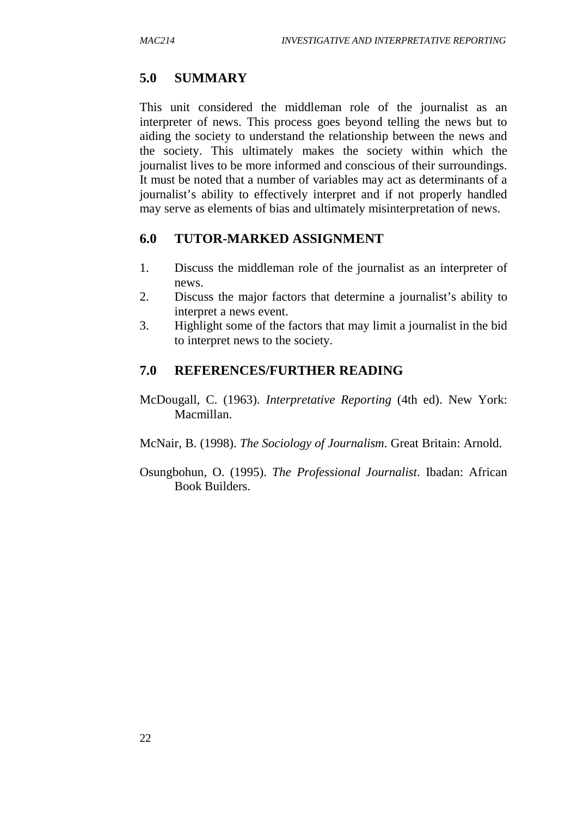#### **5.0 SUMMARY**

This unit considered the middleman role of the journalist as an interpreter of news. This process goes beyond telling the news but to aiding the society to understand the relationship between the news and the society. This ultimately makes the society within which the journalist lives to be more informed and conscious of their surroundings. It must be noted that a number of variables may act as determinants of a journalist's ability to effectively interpret and if not properly handled may serve as elements of bias and ultimately misinterpretation of news.

#### **6.0 TUTOR-MARKED ASSIGNMENT**

- 1. Discuss the middleman role of the journalist as an interpreter of news.
- 2. Discuss the major factors that determine a journalist's ability to interpret a news event.
- 3. Highlight some of the factors that may limit a journalist in the bid to interpret news to the society.

#### **7.0 REFERENCES/FURTHER READING**

- McDougall, C. (1963). *Interpretative Reporting* (4th ed). New York: Macmillan.
- McNair, B. (1998). *The Sociology of Journalism*. Great Britain: Arnold.
- Osungbohun, O. (1995). *The Professional Journalist*. Ibadan: African Book Builders.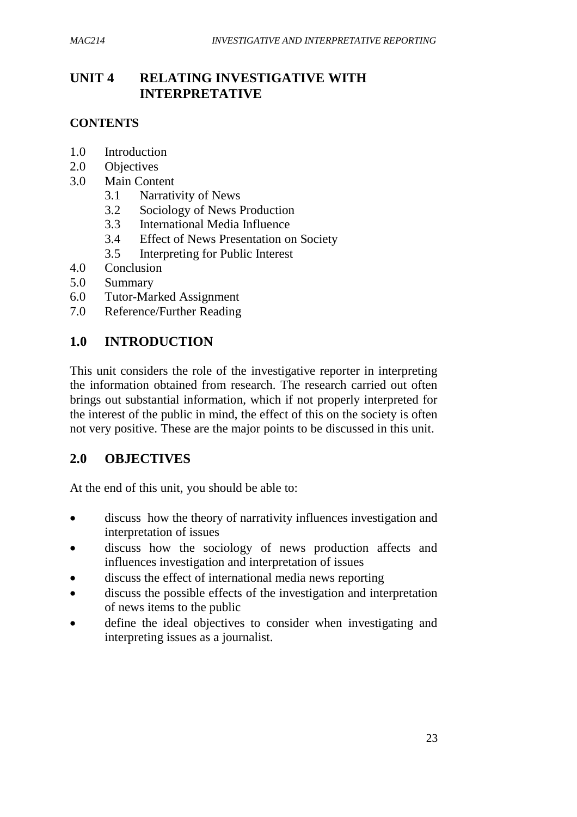# **UNIT 4 RELATING INVESTIGATIVE WITH INTERPRETATIVE**

### **CONTENTS**

- 1.0 Introduction
- 2.0 Objectives
- 3.0 Main Content
	- 3.1 Narrativity of News
	- 3.2 Sociology of News Production
	- 3.3 International Media Influence
	- 3.4 Effect of News Presentation on Society
	- 3.5 Interpreting for Public Interest
- 4.0 Conclusion
- 5.0 Summary
- 6.0 Tutor-Marked Assignment
- 7.0 Reference/Further Reading

## **1.0 INTRODUCTION**

This unit considers the role of the investigative reporter in interpreting the information obtained from research. The research carried out often brings out substantial information, which if not properly interpreted for the interest of the public in mind, the effect of this on the society is often not very positive. These are the major points to be discussed in this unit.

### **2.0 OBJECTIVES**

At the end of this unit, you should be able to:

- discuss how the theory of narrativity influences investigation and interpretation of issues
- discuss how the sociology of news production affects and influences investigation and interpretation of issues
- discuss the effect of international media news reporting
- discuss the possible effects of the investigation and interpretation of news items to the public
- define the ideal objectives to consider when investigating and interpreting issues as a journalist.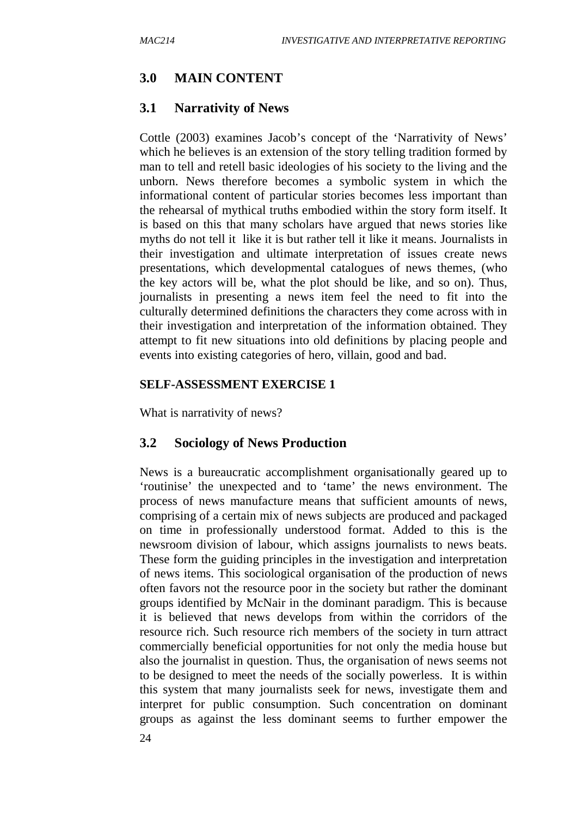### **3.0 MAIN CONTENT**

#### **3.1 Narrativity of News**

Cottle (2003) examines Jacob's concept of the 'Narrativity of News' which he believes is an extension of the story telling tradition formed by man to tell and retell basic ideologies of his society to the living and the unborn. News therefore becomes a symbolic system in which the informational content of particular stories becomes less important than the rehearsal of mythical truths embodied within the story form itself. It is based on this that many scholars have argued that news stories like myths do not tell it like it is but rather tell it like it means. Journalists in their investigation and ultimate interpretation of issues create news presentations, which developmental catalogues of news themes, (who the key actors will be, what the plot should be like, and so on). Thus, journalists in presenting a news item feel the need to fit into the culturally determined definitions the characters they come across with in their investigation and interpretation of the information obtained. They attempt to fit new situations into old definitions by placing people and events into existing categories of hero, villain, good and bad.

#### **SELF-ASSESSMENT EXERCISE 1**

What is narrativity of news?

#### **3.2 Sociology of News Production**

News is a bureaucratic accomplishment organisationally geared up to 'routinise' the unexpected and to 'tame' the news environment. The process of news manufacture means that sufficient amounts of news, comprising of a certain mix of news subjects are produced and packaged on time in professionally understood format. Added to this is the newsroom division of labour, which assigns journalists to news beats. These form the guiding principles in the investigation and interpretation of news items. This sociological organisation of the production of news often favors not the resource poor in the society but rather the dominant groups identified by McNair in the dominant paradigm. This is because it is believed that news develops from within the corridors of the resource rich. Such resource rich members of the society in turn attract commercially beneficial opportunities for not only the media house but also the journalist in question. Thus, the organisation of news seems not to be designed to meet the needs of the socially powerless. It is within this system that many journalists seek for news, investigate them and interpret for public consumption. Such concentration on dominant groups as against the less dominant seems to further empower the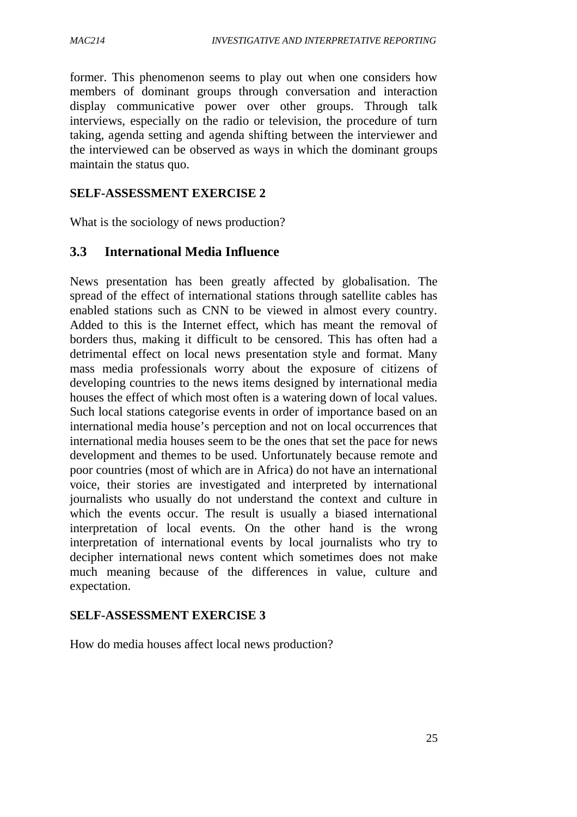former. This phenomenon seems to play out when one considers how members of dominant groups through conversation and interaction display communicative power over other groups. Through talk interviews, especially on the radio or television, the procedure of turn taking, agenda setting and agenda shifting between the interviewer and the interviewed can be observed as ways in which the dominant groups maintain the status quo.

#### **SELF-ASSESSMENT EXERCISE 2**

What is the sociology of news production?

### **3.3 International Media Influence**

News presentation has been greatly affected by globalisation. The spread of the effect of international stations through satellite cables has enabled stations such as CNN to be viewed in almost every country. Added to this is the Internet effect, which has meant the removal of borders thus, making it difficult to be censored. This has often had a detrimental effect on local news presentation style and format. Many mass media professionals worry about the exposure of citizens of developing countries to the news items designed by international media houses the effect of which most often is a watering down of local values. Such local stations categorise events in order of importance based on an international media house's perception and not on local occurrences that international media houses seem to be the ones that set the pace for news development and themes to be used. Unfortunately because remote and poor countries (most of which are in Africa) do not have an international voice, their stories are investigated and interpreted by international journalists who usually do not understand the context and culture in which the events occur. The result is usually a biased international interpretation of local events. On the other hand is the wrong interpretation of international events by local journalists who try to decipher international news content which sometimes does not make much meaning because of the differences in value, culture and expectation.

#### **SELF-ASSESSMENT EXERCISE 3**

How do media houses affect local news production?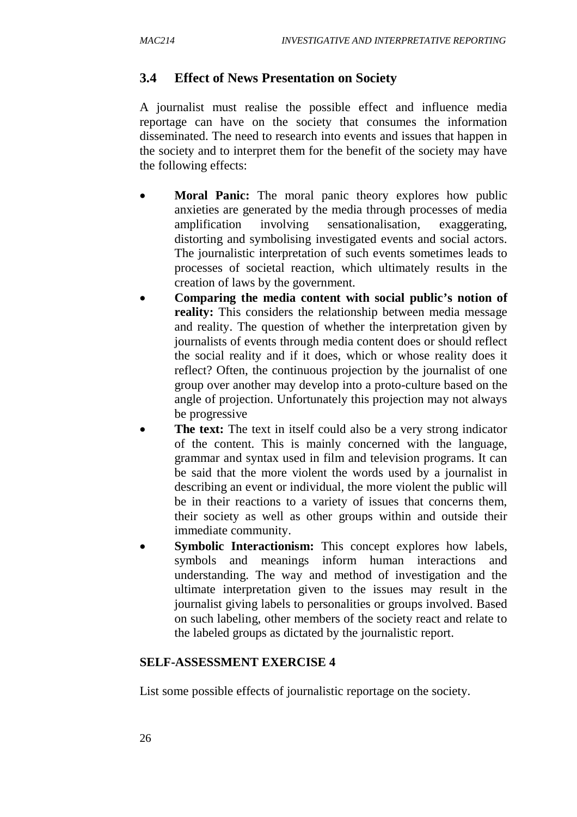# **3.4 Effect of News Presentation on Society**

A journalist must realise the possible effect and influence media reportage can have on the society that consumes the information disseminated. The need to research into events and issues that happen in the society and to interpret them for the benefit of the society may have the following effects:

- **Moral Panic:** The moral panic theory explores how public anxieties are generated by the media through processes of media amplification involving sensationalisation, exaggerating, distorting and symbolising investigated events and social actors. The journalistic interpretation of such events sometimes leads to processes of societal reaction, which ultimately results in the creation of laws by the government.
- **Comparing the media content with social public's notion of reality:** This considers the relationship between media message and reality. The question of whether the interpretation given by journalists of events through media content does or should reflect the social reality and if it does, which or whose reality does it reflect? Often, the continuous projection by the journalist of one group over another may develop into a proto-culture based on the angle of projection. Unfortunately this projection may not always be progressive
- **The text:** The text in itself could also be a very strong indicator of the content. This is mainly concerned with the language, grammar and syntax used in film and television programs. It can be said that the more violent the words used by a journalist in describing an event or individual, the more violent the public will be in their reactions to a variety of issues that concerns them, their society as well as other groups within and outside their immediate community.
- **Symbolic Interactionism:** This concept explores how labels, symbols and meanings inform human interactions and understanding. The way and method of investigation and the ultimate interpretation given to the issues may result in the journalist giving labels to personalities or groups involved. Based on such labeling, other members of the society react and relate to the labeled groups as dictated by the journalistic report.

### **SELF-ASSESSMENT EXERCISE 4**

List some possible effects of journalistic reportage on the society.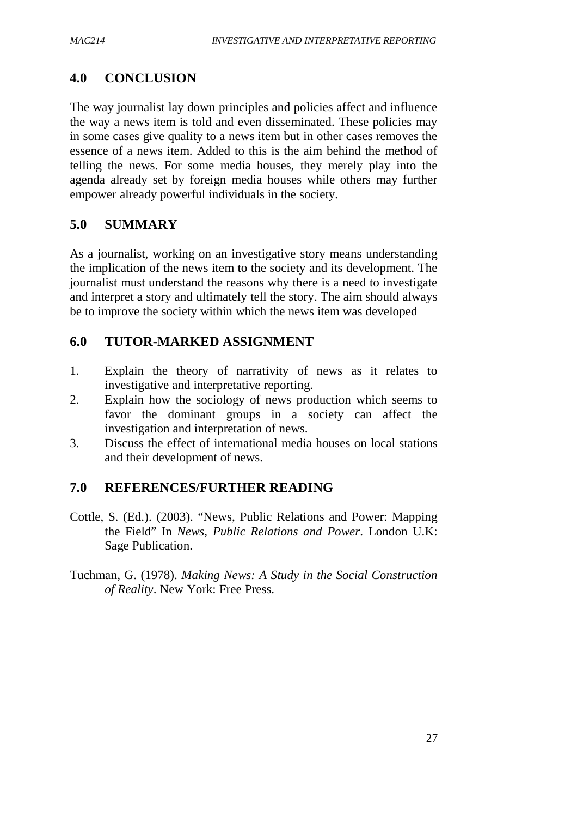# **4.0 CONCLUSION**

The way journalist lay down principles and policies affect and influence the way a news item is told and even disseminated. These policies may in some cases give quality to a news item but in other cases removes the essence of a news item. Added to this is the aim behind the method of telling the news. For some media houses, they merely play into the agenda already set by foreign media houses while others may further empower already powerful individuals in the society.

# **5.0 SUMMARY**

As a journalist, working on an investigative story means understanding the implication of the news item to the society and its development. The journalist must understand the reasons why there is a need to investigate and interpret a story and ultimately tell the story. The aim should always be to improve the society within which the news item was developed

# **6.0 TUTOR-MARKED ASSIGNMENT**

- 1. Explain the theory of narrativity of news as it relates to investigative and interpretative reporting.
- 2. Explain how the sociology of news production which seems to favor the dominant groups in a society can affect the investigation and interpretation of news.
- 3. Discuss the effect of international media houses on local stations and their development of news.

# **7.0 REFERENCES/FURTHER READING**

- Cottle, S. (Ed.). (2003). "News, Public Relations and Power: Mapping the Field" In *News, Public Relations and Power*. London U.K: Sage Publication.
- Tuchman, G. (1978). *Making News: A Study in the Social Construction of Reality*. New York: Free Press.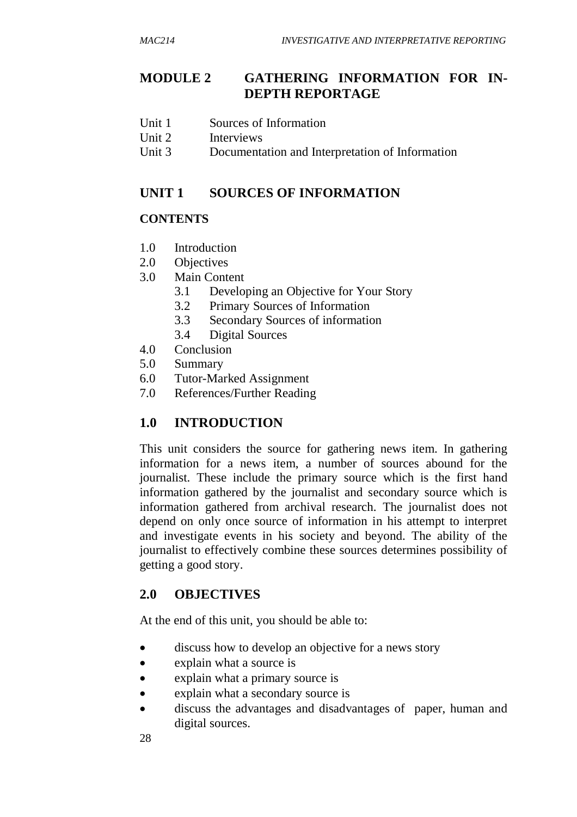# **MODULE 2 GATHERING INFORMATION FOR IN-DEPTH REPORTAGE**

- Unit 1 Sources of Information
- Unit 2 Interviews
- Unit 3 Documentation and Interpretation of Information

# **UNIT 1 SOURCES OF INFORMATION**

## **CONTENTS**

- 1.0 Introduction
- 2.0 Objectives
- 3.0 Main Content
	- 3.1 Developing an Objective for Your Story
	- 3.2 Primary Sources of Information
	- 3.3 Secondary Sources of information
	- 3.4 Digital Sources
- 4.0 Conclusion
- 5.0 Summary
- 6.0 Tutor-Marked Assignment
- 7.0 References/Further Reading

# **1.0 INTRODUCTION**

This unit considers the source for gathering news item. In gathering information for a news item, a number of sources abound for the journalist. These include the primary source which is the first hand information gathered by the journalist and secondary source which is information gathered from archival research. The journalist does not depend on only once source of information in his attempt to interpret and investigate events in his society and beyond. The ability of the journalist to effectively combine these sources determines possibility of getting a good story.

# **2.0 OBJECTIVES**

At the end of this unit, you should be able to:

- discuss how to develop an objective for a news story
- explain what a source is
- explain what a primary source is
- explain what a secondary source is
- discuss the advantages and disadvantages of paper, human and digital sources.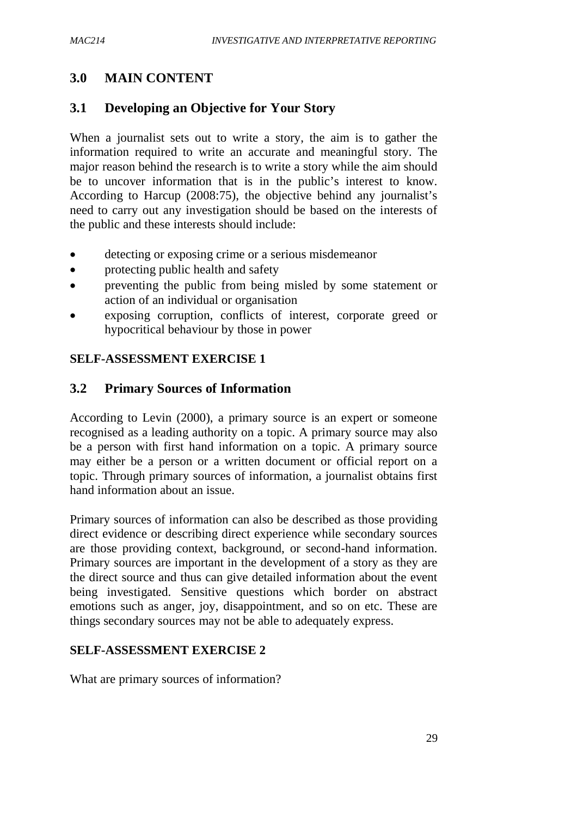# **3.0 MAIN CONTENT**

# **3.1 Developing an Objective for Your Story**

When a journalist sets out to write a story, the aim is to gather the information required to write an accurate and meaningful story. The major reason behind the research is to write a story while the aim should be to uncover information that is in the public's interest to know. According to Harcup (2008:75), the objective behind any journalist's need to carry out any investigation should be based on the interests of the public and these interests should include:

- detecting or exposing crime or a serious misdemeanor
- protecting public health and safety
- preventing the public from being misled by some statement or action of an individual or organisation
- exposing corruption, conflicts of interest, corporate greed or hypocritical behaviour by those in power

## **SELF-ASSESSMENT EXERCISE 1**

## **3.2 Primary Sources of Information**

According to Levin (2000), a primary source is an expert or someone recognised as a leading authority on a topic. A primary source may also be a person with first hand information on a topic. A primary source may either be a person or a written document or official report on a topic. Through primary sources of information, a journalist obtains first hand information about an issue.

Primary sources of information can also be described as those providing direct evidence or describing direct experience while secondary sources are those providing context, background, or second-hand information. Primary sources are important in the development of a story as they are the direct source and thus can give detailed information about the event being investigated. Sensitive questions which border on abstract emotions such as anger, joy, disappointment, and so on etc. These are things secondary sources may not be able to adequately express.

### **SELF-ASSESSMENT EXERCISE 2**

What are primary sources of information?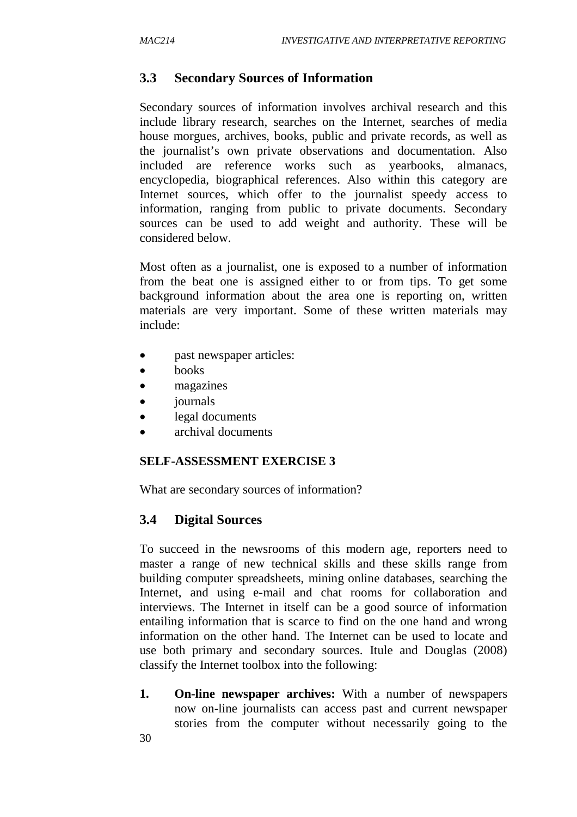# **3.3 Secondary Sources of Information**

Secondary sources of information involves archival research and this include library research, searches on the Internet, searches of media house morgues, archives, books, public and private records, as well as the journalist's own private observations and documentation. Also included are reference works such as yearbooks, almanacs, encyclopedia, biographical references. Also within this category are Internet sources, which offer to the journalist speedy access to information, ranging from public to private documents. Secondary sources can be used to add weight and authority. These will be considered below.

Most often as a journalist, one is exposed to a number of information from the beat one is assigned either to or from tips. To get some background information about the area one is reporting on, written materials are very important. Some of these written materials may include:

- past newspaper articles:
- books
- magazines
- *journals*
- legal documents
- archival documents

### **SELF-ASSESSMENT EXERCISE 3**

What are secondary sources of information?

### **3.4 Digital Sources**

To succeed in the newsrooms of this modern age, reporters need to master a range of new technical skills and these skills range from building computer spreadsheets, mining online databases, searching the Internet, and using e-mail and chat rooms for collaboration and interviews. The Internet in itself can be a good source of information entailing information that is scarce to find on the one hand and wrong information on the other hand. The Internet can be used to locate and use both primary and secondary sources. Itule and Douglas (2008) classify the Internet toolbox into the following:

**1. On-line newspaper archives:** With a number of newspapers now on-line journalists can access past and current newspaper stories from the computer without necessarily going to the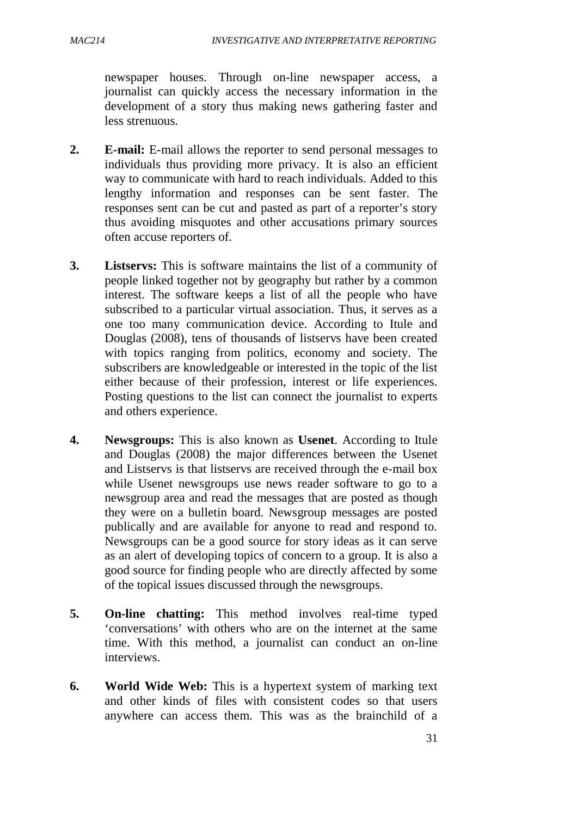newspaper houses. Through on-line newspaper access, a journalist can quickly access the necessary information in the development of a story thus making news gathering faster and less strenuous.

- **2. E-mail:** E-mail allows the reporter to send personal messages to individuals thus providing more privacy. It is also an efficient way to communicate with hard to reach individuals. Added to this lengthy information and responses can be sent faster. The responses sent can be cut and pasted as part of a reporter's story thus avoiding misquotes and other accusations primary sources often accuse reporters of.
- **3. Listservs:** This is software maintains the list of a community of people linked together not by geography but rather by a common interest. The software keeps a list of all the people who have subscribed to a particular virtual association. Thus, it serves as a one too many communication device. According to Itule and Douglas (2008), tens of thousands of listservs have been created with topics ranging from politics, economy and society. The subscribers are knowledgeable or interested in the topic of the list either because of their profession, interest or life experiences. Posting questions to the list can connect the journalist to experts and others experience.
- **4. Newsgroups:** This is also known as **Usenet**. According to Itule and Douglas (2008) the major differences between the Usenet and Listservs is that listservs are received through the e-mail box while Usenet newsgroups use news reader software to go to a newsgroup area and read the messages that are posted as though they were on a bulletin board. Newsgroup messages are posted publically and are available for anyone to read and respond to. Newsgroups can be a good source for story ideas as it can serve as an alert of developing topics of concern to a group. It is also a good source for finding people who are directly affected by some of the topical issues discussed through the newsgroups.
- **5. On-line chatting:** This method involves real-time typed 'conversations' with others who are on the internet at the same time. With this method, a journalist can conduct an on-line interviews.
- **6. World Wide Web:** This is a hypertext system of marking text and other kinds of files with consistent codes so that users anywhere can access them. This was as the brainchild of a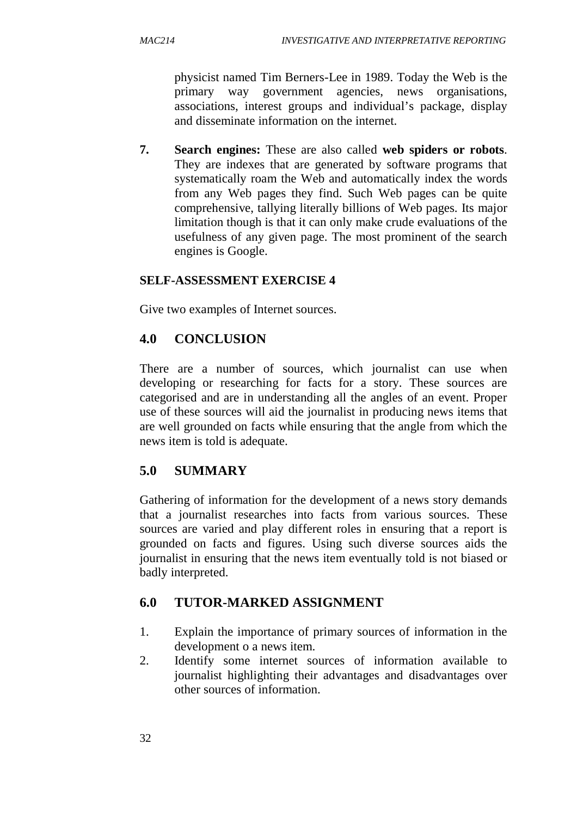physicist named Tim Berners-Lee in 1989. Today the Web is the primary way government agencies, news organisations, associations, interest groups and individual's package, display and disseminate information on the internet.

**7. Search engines:** These are also called **web spiders or robots**. They are indexes that are generated by software programs that systematically roam the Web and automatically index the words from any Web pages they find. Such Web pages can be quite comprehensive, tallying literally billions of Web pages. Its major limitation though is that it can only make crude evaluations of the usefulness of any given page. The most prominent of the search engines is Google.

### **SELF-ASSESSMENT EXERCISE 4**

Give two examples of Internet sources.

# **4.0 CONCLUSION**

There are a number of sources, which journalist can use when developing or researching for facts for a story. These sources are categorised and are in understanding all the angles of an event. Proper use of these sources will aid the journalist in producing news items that are well grounded on facts while ensuring that the angle from which the news item is told is adequate.

# **5.0 SUMMARY**

Gathering of information for the development of a news story demands that a journalist researches into facts from various sources. These sources are varied and play different roles in ensuring that a report is grounded on facts and figures. Using such diverse sources aids the journalist in ensuring that the news item eventually told is not biased or badly interpreted.

# **6.0 TUTOR-MARKED ASSIGNMENT**

- 1. Explain the importance of primary sources of information in the development o a news item.
- 2. Identify some internet sources of information available to journalist highlighting their advantages and disadvantages over other sources of information.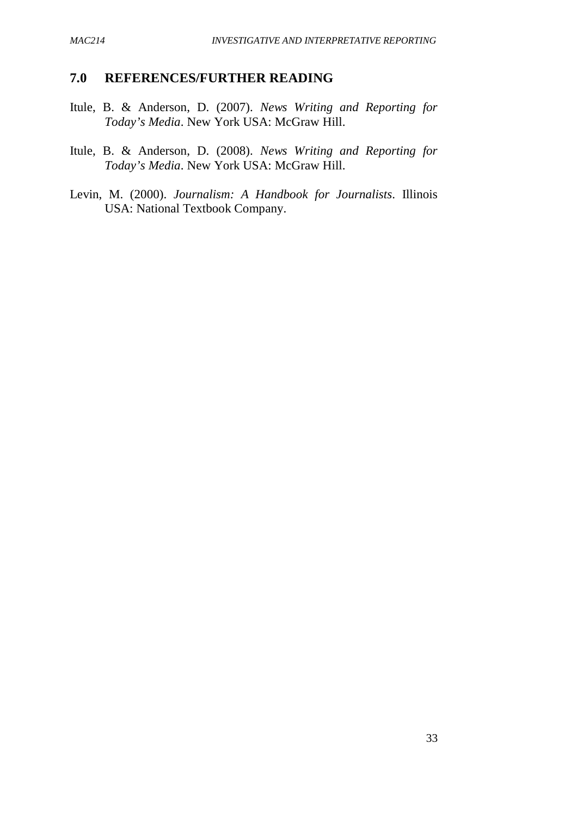### **7.0 REFERENCES/FURTHER READING**

- Itule, B. & Anderson, D. (2007). *News Writing and Reporting for Today's Media*. New York USA: McGraw Hill.
- Itule, B. & Anderson, D. (2008). *News Writing and Reporting for Today's Media*. New York USA: McGraw Hill.
- Levin, M. (2000). *Journalism: A Handbook for Journalists*. Illinois USA: National Textbook Company.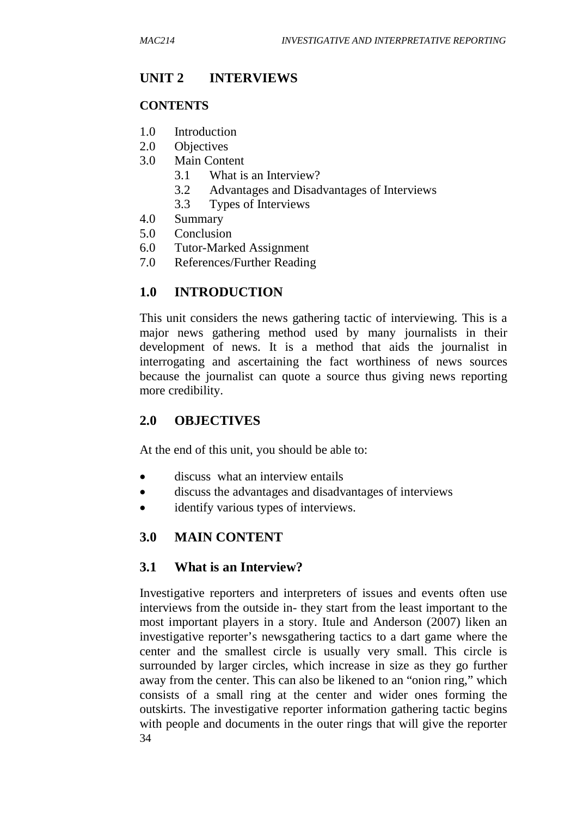# **UNIT 2 INTERVIEWS**

### **CONTENTS**

- 1.0 Introduction
- 2.0 Objectives
- 3.0 Main Content
	- 3.1 What is an Interview?
	- 3.2 Advantages and Disadvantages of Interviews
	- 3.3 Types of Interviews
- 4.0 Summary
- 5.0 Conclusion
- 6.0 Tutor-Marked Assignment
- 7.0 References/Further Reading

# **1.0 INTRODUCTION**

This unit considers the news gathering tactic of interviewing. This is a major news gathering method used by many journalists in their development of news. It is a method that aids the journalist in interrogating and ascertaining the fact worthiness of news sources because the journalist can quote a source thus giving news reporting more credibility.

# **2.0 OBJECTIVES**

At the end of this unit, you should be able to:

- discuss what an interview entails
- discuss the advantages and disadvantages of interviews
- identify various types of interviews.

# **3.0 MAIN CONTENT**

### **3.1 What is an Interview?**

34 Investigative reporters and interpreters of issues and events often use interviews from the outside in- they start from the least important to the most important players in a story. Itule and Anderson (2007) liken an investigative reporter's newsgathering tactics to a dart game where the center and the smallest circle is usually very small. This circle is surrounded by larger circles, which increase in size as they go further away from the center. This can also be likened to an "onion ring," which consists of a small ring at the center and wider ones forming the outskirts. The investigative reporter information gathering tactic begins with people and documents in the outer rings that will give the reporter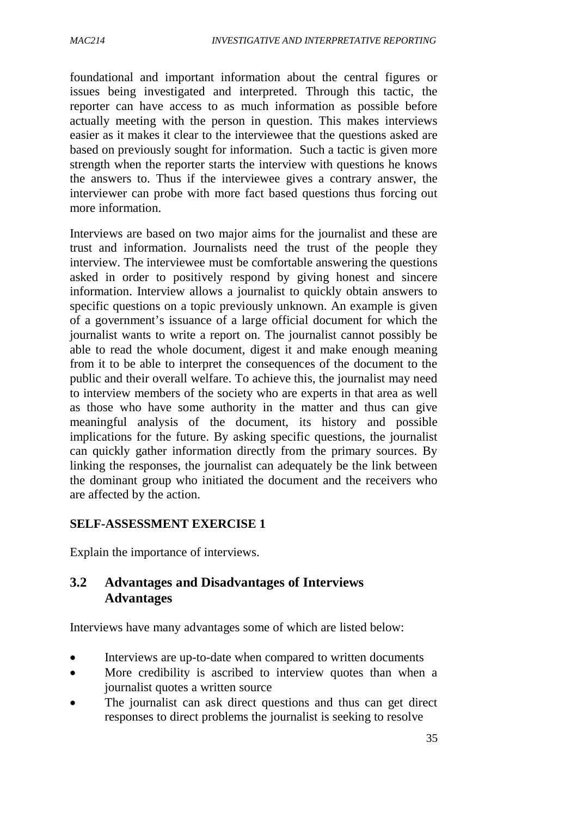foundational and important information about the central figures or issues being investigated and interpreted. Through this tactic, the reporter can have access to as much information as possible before actually meeting with the person in question. This makes interviews easier as it makes it clear to the interviewee that the questions asked are based on previously sought for information. Such a tactic is given more strength when the reporter starts the interview with questions he knows the answers to. Thus if the interviewee gives a contrary answer, the interviewer can probe with more fact based questions thus forcing out more information.

Interviews are based on two major aims for the journalist and these are trust and information. Journalists need the trust of the people they interview. The interviewee must be comfortable answering the questions asked in order to positively respond by giving honest and sincere information. Interview allows a journalist to quickly obtain answers to specific questions on a topic previously unknown. An example is given of a government's issuance of a large official document for which the journalist wants to write a report on. The journalist cannot possibly be able to read the whole document, digest it and make enough meaning from it to be able to interpret the consequences of the document to the public and their overall welfare. To achieve this, the journalist may need to interview members of the society who are experts in that area as well as those who have some authority in the matter and thus can give meaningful analysis of the document, its history and possible implications for the future. By asking specific questions, the journalist can quickly gather information directly from the primary sources. By linking the responses, the journalist can adequately be the link between the dominant group who initiated the document and the receivers who are affected by the action.

### **SELF-ASSESSMENT EXERCISE 1**

Explain the importance of interviews.

## **3.2 Advantages and Disadvantages of Interviews Advantages**

Interviews have many advantages some of which are listed below:

- Interviews are up-to-date when compared to written documents
- More credibility is ascribed to interview quotes than when a journalist quotes a written source
- The journalist can ask direct questions and thus can get direct responses to direct problems the journalist is seeking to resolve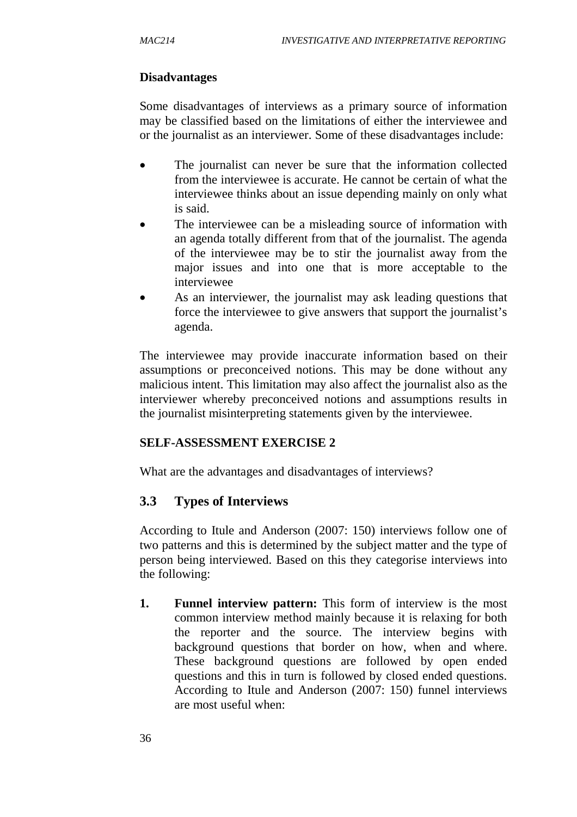## **Disadvantages**

Some disadvantages of interviews as a primary source of information may be classified based on the limitations of either the interviewee and or the journalist as an interviewer. Some of these disadvantages include:

- The journalist can never be sure that the information collected from the interviewee is accurate. He cannot be certain of what the interviewee thinks about an issue depending mainly on only what is said.
- The interviewee can be a misleading source of information with an agenda totally different from that of the journalist. The agenda of the interviewee may be to stir the journalist away from the major issues and into one that is more acceptable to the interviewee
- As an interviewer, the journalist may ask leading questions that force the interviewee to give answers that support the journalist's agenda.

The interviewee may provide inaccurate information based on their assumptions or preconceived notions. This may be done without any malicious intent. This limitation may also affect the journalist also as the interviewer whereby preconceived notions and assumptions results in the journalist misinterpreting statements given by the interviewee.

### **SELF-ASSESSMENT EXERCISE 2**

What are the advantages and disadvantages of interviews?

# **3.3 Types of Interviews**

According to Itule and Anderson (2007: 150) interviews follow one of two patterns and this is determined by the subject matter and the type of person being interviewed. Based on this they categorise interviews into the following:

**1. Funnel interview pattern:** This form of interview is the most common interview method mainly because it is relaxing for both the reporter and the source. The interview begins with background questions that border on how, when and where. These background questions are followed by open ended questions and this in turn is followed by closed ended questions. According to Itule and Anderson (2007: 150) funnel interviews are most useful when: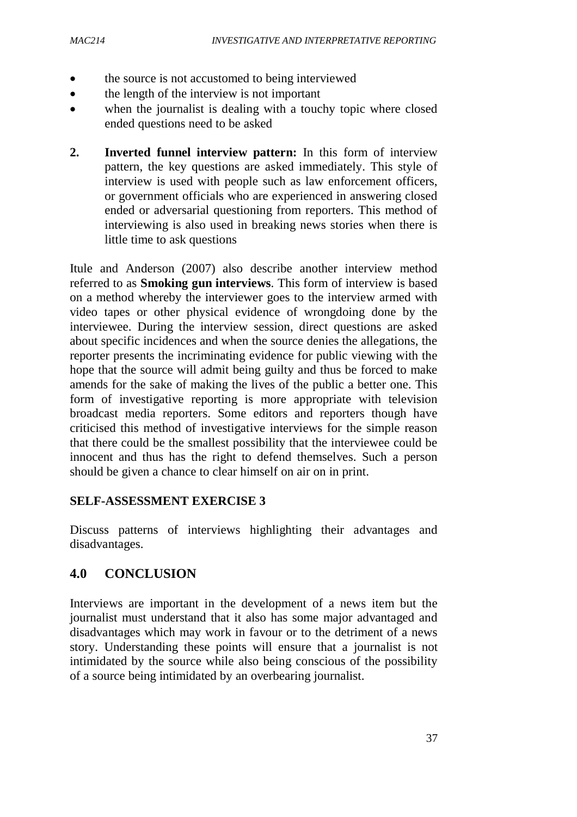- the source is not accustomed to being interviewed
- the length of the interview is not important
- when the journalist is dealing with a touchy topic where closed ended questions need to be asked
- **2. Inverted funnel interview pattern:** In this form of interview pattern, the key questions are asked immediately. This style of interview is used with people such as law enforcement officers, or government officials who are experienced in answering closed ended or adversarial questioning from reporters. This method of interviewing is also used in breaking news stories when there is little time to ask questions

Itule and Anderson (2007) also describe another interview method referred to as **Smoking gun interviews**. This form of interview is based on a method whereby the interviewer goes to the interview armed with video tapes or other physical evidence of wrongdoing done by the interviewee. During the interview session, direct questions are asked about specific incidences and when the source denies the allegations, the reporter presents the incriminating evidence for public viewing with the hope that the source will admit being guilty and thus be forced to make amends for the sake of making the lives of the public a better one. This form of investigative reporting is more appropriate with television broadcast media reporters. Some editors and reporters though have criticised this method of investigative interviews for the simple reason that there could be the smallest possibility that the interviewee could be innocent and thus has the right to defend themselves. Such a person should be given a chance to clear himself on air on in print.

#### **SELF-ASSESSMENT EXERCISE 3**

Discuss patterns of interviews highlighting their advantages and disadvantages.

# **4.0 CONCLUSION**

Interviews are important in the development of a news item but the journalist must understand that it also has some major advantaged and disadvantages which may work in favour or to the detriment of a news story. Understanding these points will ensure that a journalist is not intimidated by the source while also being conscious of the possibility of a source being intimidated by an overbearing journalist.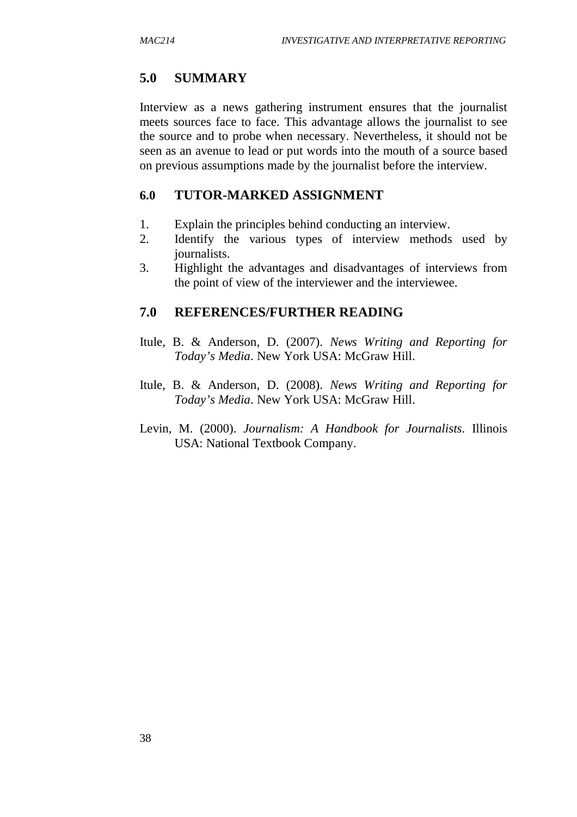## **5.0 SUMMARY**

Interview as a news gathering instrument ensures that the journalist meets sources face to face. This advantage allows the journalist to see the source and to probe when necessary. Nevertheless, it should not be seen as an avenue to lead or put words into the mouth of a source based on previous assumptions made by the journalist before the interview.

### **6.0 TUTOR-MARKED ASSIGNMENT**

- 1. Explain the principles behind conducting an interview.
- 2. Identify the various types of interview methods used by journalists.
- 3. Highlight the advantages and disadvantages of interviews from the point of view of the interviewer and the interviewee.

### **7.0 REFERENCES/FURTHER READING**

- Itule, B. & Anderson, D. (2007). *News Writing and Reporting for Today's Media*. New York USA: McGraw Hill.
- Itule, B. & Anderson, D. (2008). *News Writing and Reporting for Today's Media*. New York USA: McGraw Hill.
- Levin, M. (2000). *Journalism: A Handbook for Journalists*. Illinois USA: National Textbook Company.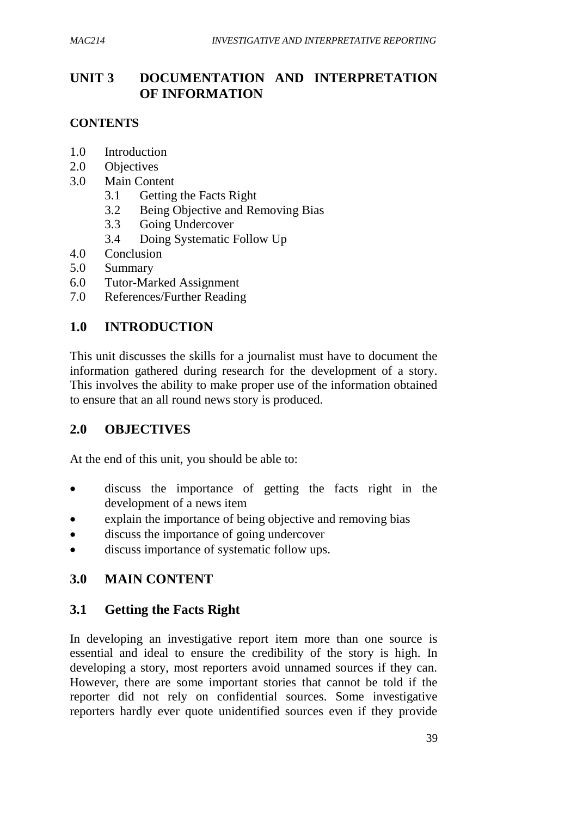# **UNIT 3 DOCUMENTATION AND INTERPRETATION OF INFORMATION**

### **CONTENTS**

- 1.0 Introduction
- 2.0 Objectives
- 3.0 Main Content
	- 3.1 Getting the Facts Right
	- 3.2 Being Objective and Removing Bias
	- 3.3 Going Undercover
	- 3.4 Doing Systematic Follow Up
- 4.0 Conclusion
- 5.0 Summary
- 6.0 Tutor-Marked Assignment
- 7.0 References/Further Reading

## **1.0 INTRODUCTION**

This unit discusses the skills for a journalist must have to document the information gathered during research for the development of a story. This involves the ability to make proper use of the information obtained to ensure that an all round news story is produced.

# **2.0 OBJECTIVES**

At the end of this unit, you should be able to:

- discuss the importance of getting the facts right in the development of a news item
- explain the importance of being objective and removing bias
- discuss the importance of going undercover
- discuss importance of systematic follow ups.

# **3.0 MAIN CONTENT**

### **3.1 Getting the Facts Right**

In developing an investigative report item more than one source is essential and ideal to ensure the credibility of the story is high. In developing a story, most reporters avoid unnamed sources if they can. However, there are some important stories that cannot be told if the reporter did not rely on confidential sources. Some investigative reporters hardly ever quote unidentified sources even if they provide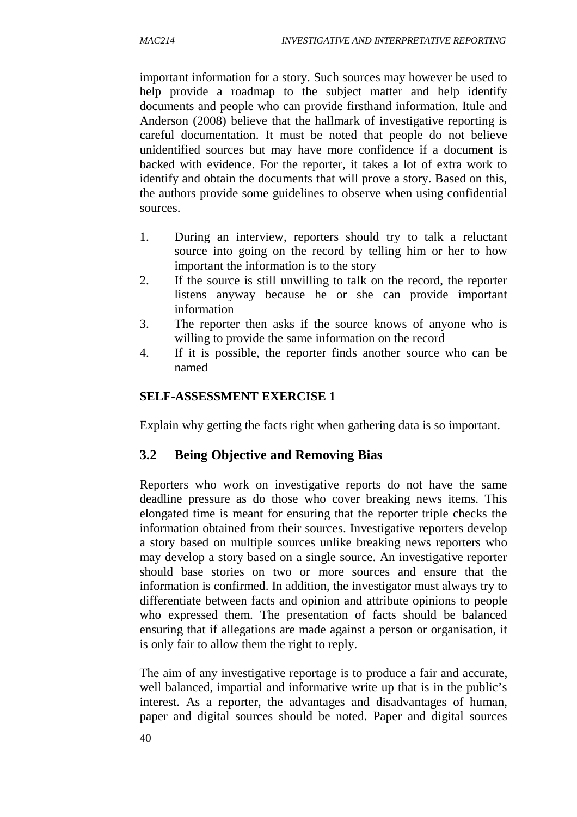important information for a story. Such sources may however be used to help provide a roadmap to the subject matter and help identify documents and people who can provide firsthand information. Itule and Anderson (2008) believe that the hallmark of investigative reporting is careful documentation. It must be noted that people do not believe unidentified sources but may have more confidence if a document is backed with evidence. For the reporter, it takes a lot of extra work to identify and obtain the documents that will prove a story. Based on this, the authors provide some guidelines to observe when using confidential sources.

- 1. During an interview, reporters should try to talk a reluctant source into going on the record by telling him or her to how important the information is to the story
- 2. If the source is still unwilling to talk on the record, the reporter listens anyway because he or she can provide important information
- 3. The reporter then asks if the source knows of anyone who is willing to provide the same information on the record
- 4. If it is possible, the reporter finds another source who can be named

### **SELF-ASSESSMENT EXERCISE 1**

Explain why getting the facts right when gathering data is so important.

# **3.2 Being Objective and Removing Bias**

Reporters who work on investigative reports do not have the same deadline pressure as do those who cover breaking news items. This elongated time is meant for ensuring that the reporter triple checks the information obtained from their sources. Investigative reporters develop a story based on multiple sources unlike breaking news reporters who may develop a story based on a single source. An investigative reporter should base stories on two or more sources and ensure that the information is confirmed. In addition, the investigator must always try to differentiate between facts and opinion and attribute opinions to people who expressed them. The presentation of facts should be balanced ensuring that if allegations are made against a person or organisation, it is only fair to allow them the right to reply.

The aim of any investigative reportage is to produce a fair and accurate, well balanced, impartial and informative write up that is in the public's interest. As a reporter, the advantages and disadvantages of human, paper and digital sources should be noted. Paper and digital sources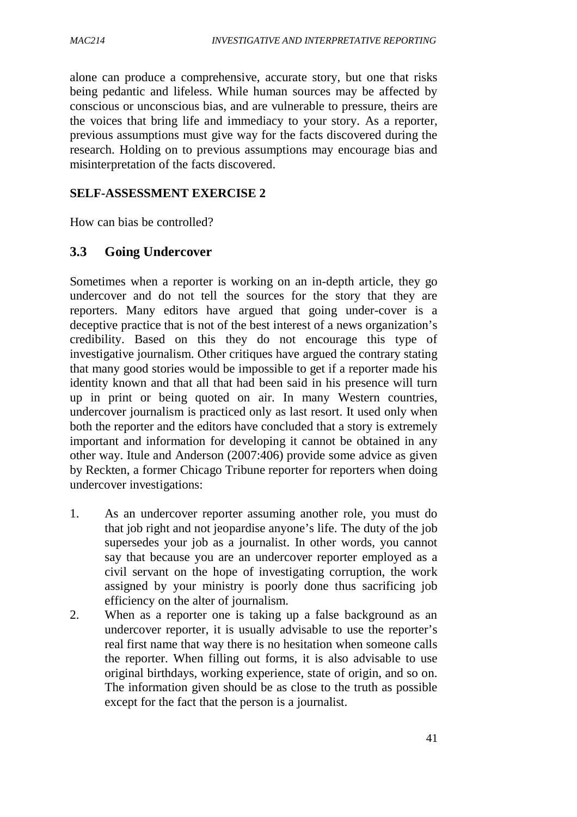alone can produce a comprehensive, accurate story, but one that risks being pedantic and lifeless. While human sources may be affected by conscious or unconscious bias, and are vulnerable to pressure, theirs are the voices that bring life and immediacy to your story. As a reporter, previous assumptions must give way for the facts discovered during the research. Holding on to previous assumptions may encourage bias and misinterpretation of the facts discovered.

### **SELF-ASSESSMENT EXERCISE 2**

How can bias be controlled?

## **3.3 Going Undercover**

Sometimes when a reporter is working on an in-depth article, they go undercover and do not tell the sources for the story that they are reporters. Many editors have argued that going under-cover is a deceptive practice that is not of the best interest of a news organization's credibility. Based on this they do not encourage this type of investigative journalism. Other critiques have argued the contrary stating that many good stories would be impossible to get if a reporter made his identity known and that all that had been said in his presence will turn up in print or being quoted on air. In many Western countries, undercover journalism is practiced only as last resort. It used only when both the reporter and the editors have concluded that a story is extremely important and information for developing it cannot be obtained in any other way. Itule and Anderson (2007:406) provide some advice as given by Reckten, a former Chicago Tribune reporter for reporters when doing undercover investigations:

- 1. As an undercover reporter assuming another role, you must do that job right and not jeopardise anyone's life. The duty of the job supersedes your job as a journalist. In other words, you cannot say that because you are an undercover reporter employed as a civil servant on the hope of investigating corruption, the work assigned by your ministry is poorly done thus sacrificing job efficiency on the alter of journalism.
- 2. When as a reporter one is taking up a false background as an undercover reporter, it is usually advisable to use the reporter's real first name that way there is no hesitation when someone calls the reporter. When filling out forms, it is also advisable to use original birthdays, working experience, state of origin, and so on. The information given should be as close to the truth as possible except for the fact that the person is a journalist.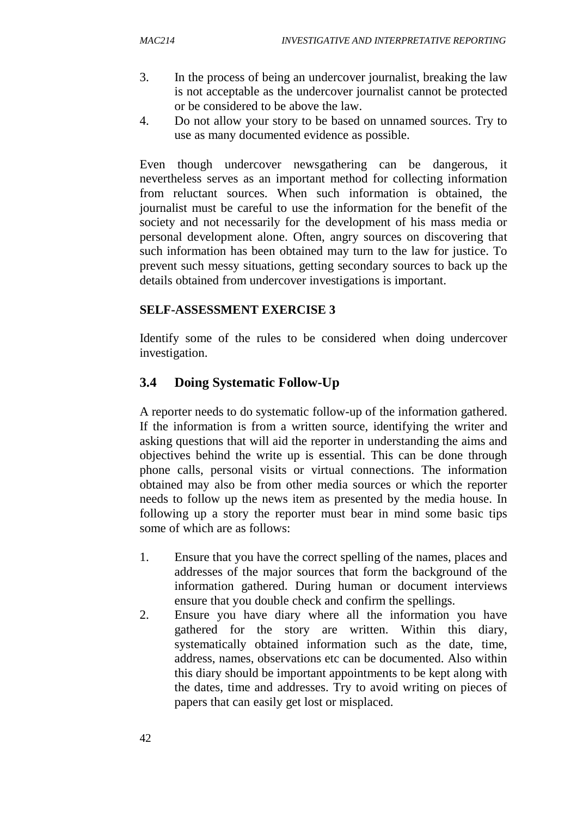- 3. In the process of being an undercover journalist, breaking the law is not acceptable as the undercover journalist cannot be protected or be considered to be above the law.
- 4. Do not allow your story to be based on unnamed sources. Try to use as many documented evidence as possible.

Even though undercover newsgathering can be dangerous, it nevertheless serves as an important method for collecting information from reluctant sources. When such information is obtained, the journalist must be careful to use the information for the benefit of the society and not necessarily for the development of his mass media or personal development alone. Often, angry sources on discovering that such information has been obtained may turn to the law for justice. To prevent such messy situations, getting secondary sources to back up the details obtained from undercover investigations is important.

### **SELF-ASSESSMENT EXERCISE 3**

Identify some of the rules to be considered when doing undercover investigation.

# **3.4 Doing Systematic Follow-Up**

A reporter needs to do systematic follow-up of the information gathered. If the information is from a written source, identifying the writer and asking questions that will aid the reporter in understanding the aims and objectives behind the write up is essential. This can be done through phone calls, personal visits or virtual connections. The information obtained may also be from other media sources or which the reporter needs to follow up the news item as presented by the media house. In following up a story the reporter must bear in mind some basic tips some of which are as follows:

- 1. Ensure that you have the correct spelling of the names, places and addresses of the major sources that form the background of the information gathered. During human or document interviews ensure that you double check and confirm the spellings.
- 2. Ensure you have diary where all the information you have gathered for the story are written. Within this diary, systematically obtained information such as the date, time, address, names, observations etc can be documented. Also within this diary should be important appointments to be kept along with the dates, time and addresses. Try to avoid writing on pieces of papers that can easily get lost or misplaced.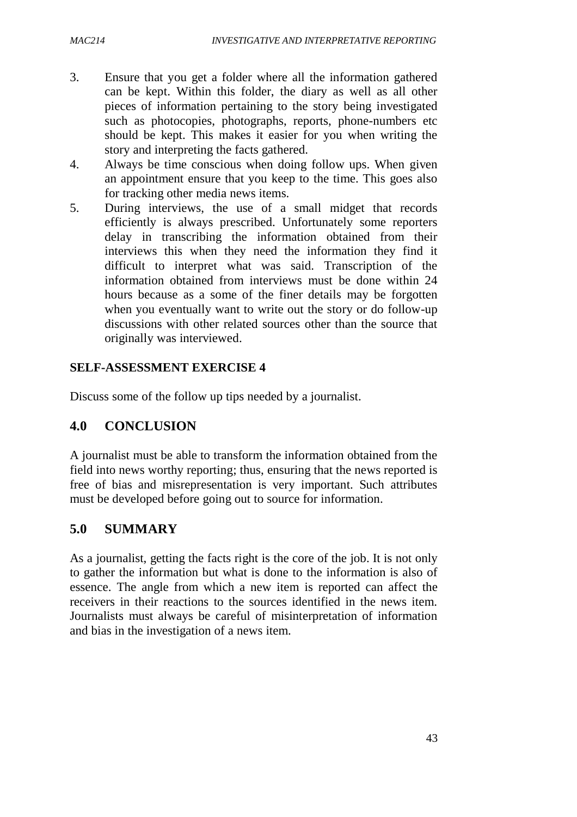- 3. Ensure that you get a folder where all the information gathered can be kept. Within this folder, the diary as well as all other pieces of information pertaining to the story being investigated such as photocopies, photographs, reports, phone-numbers etc should be kept. This makes it easier for you when writing the story and interpreting the facts gathered.
- 4. Always be time conscious when doing follow ups. When given an appointment ensure that you keep to the time. This goes also for tracking other media news items.
- 5. During interviews, the use of a small midget that records efficiently is always prescribed. Unfortunately some reporters delay in transcribing the information obtained from their interviews this when they need the information they find it difficult to interpret what was said. Transcription of the information obtained from interviews must be done within 24 hours because as a some of the finer details may be forgotten when you eventually want to write out the story or do follow-up discussions with other related sources other than the source that originally was interviewed.

### **SELF-ASSESSMENT EXERCISE 4**

Discuss some of the follow up tips needed by a journalist.

# **4.0 CONCLUSION**

A journalist must be able to transform the information obtained from the field into news worthy reporting; thus, ensuring that the news reported is free of bias and misrepresentation is very important. Such attributes must be developed before going out to source for information.

## **5.0 SUMMARY**

As a journalist, getting the facts right is the core of the job. It is not only to gather the information but what is done to the information is also of essence. The angle from which a new item is reported can affect the receivers in their reactions to the sources identified in the news item. Journalists must always be careful of misinterpretation of information and bias in the investigation of a news item.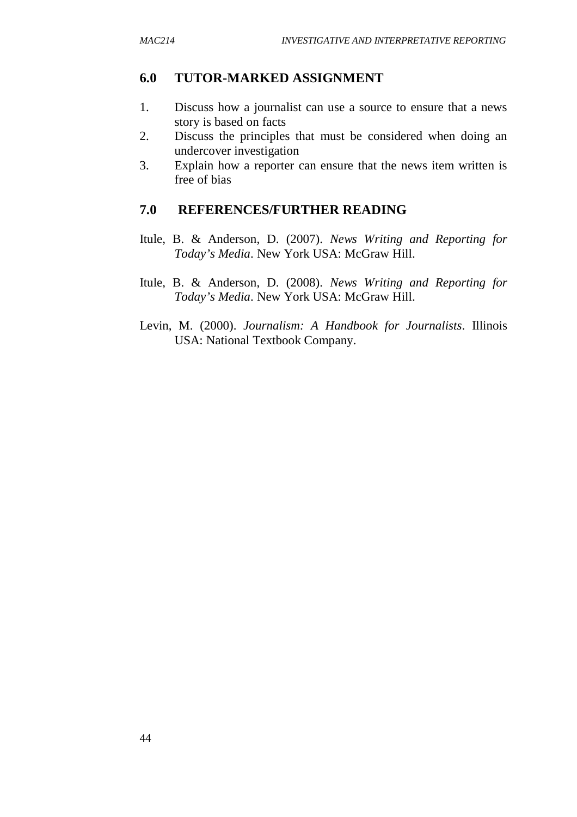### **6.0 TUTOR-MARKED ASSIGNMENT**

- 1. Discuss how a journalist can use a source to ensure that a news story is based on facts
- 2. Discuss the principles that must be considered when doing an undercover investigation
- 3. Explain how a reporter can ensure that the news item written is free of bias

### **7.0 REFERENCES/FURTHER READING**

- Itule, B. & Anderson, D. (2007). *News Writing and Reporting for Today's Media*. New York USA: McGraw Hill.
- Itule, B. & Anderson, D. (2008). *News Writing and Reporting for Today's Media*. New York USA: McGraw Hill.
- Levin, M. (2000). *Journalism: A Handbook for Journalists*. Illinois USA: National Textbook Company.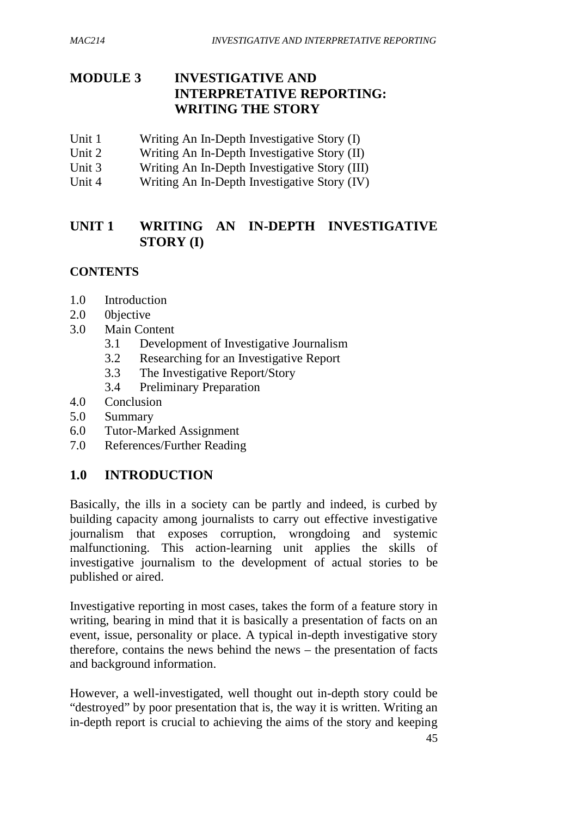# **MODULE 3 INVESTIGATIVE AND INTERPRETATIVE REPORTING: WRITING THE STORY**

- Unit 1 Writing An In-Depth Investigative Story (I)
- Unit 2 Writing An In-Depth Investigative Story (II)
- Unit 3 Writing An In-Depth Investigative Story (III)
- Unit 4 Writing An In-Depth Investigative Story (IV)

# **UNIT 1 WRITING AN IN-DEPTH INVESTIGATIVE STORY (I)**

# **CONTENTS**

- 1.0 Introduction
- 2.0 0bjective
- 3.0 Main Content
	- 3.1 Development of Investigative Journalism
	- 3.2 Researching for an Investigative Report
	- 3.3 The Investigative Report/Story
	- 3.4 Preliminary Preparation
- 4.0 Conclusion
- 5.0 Summary
- 6.0 Tutor-Marked Assignment
- 7.0 References/Further Reading

# **1.0 INTRODUCTION**

Basically, the ills in a society can be partly and indeed, is curbed by building capacity among journalists to carry out effective investigative journalism that exposes corruption, wrongdoing and systemic malfunctioning. This action-learning unit applies the skills of investigative journalism to the development of actual stories to be published or aired.

Investigative reporting in most cases, takes the form of a feature story in writing, bearing in mind that it is basically a presentation of facts on an event, issue, personality or place. A typical in-depth investigative story therefore, contains the news behind the news – the presentation of facts and background information.

However, a well-investigated, well thought out in-depth story could be "destroyed" by poor presentation that is, the way it is written. Writing an in-depth report is crucial to achieving the aims of the story and keeping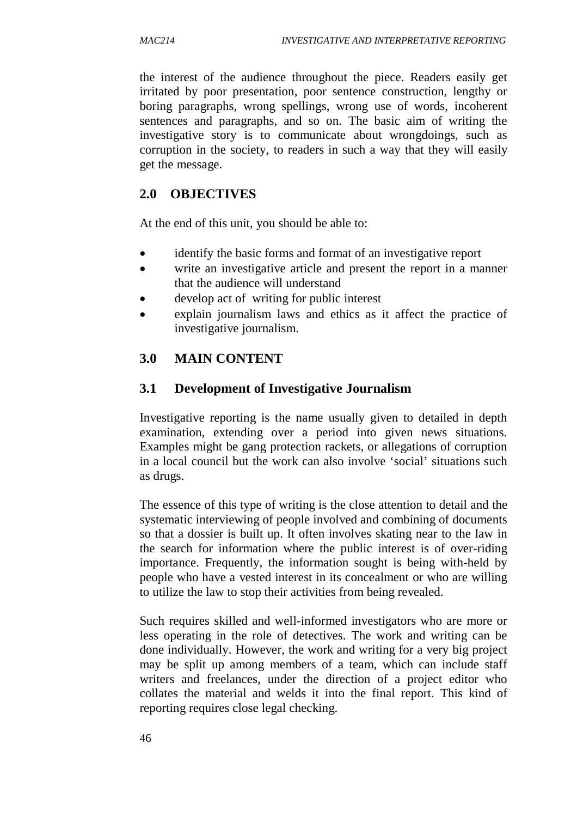the interest of the audience throughout the piece. Readers easily get irritated by poor presentation, poor sentence construction, lengthy or boring paragraphs, wrong spellings, wrong use of words, incoherent sentences and paragraphs, and so on. The basic aim of writing the investigative story is to communicate about wrongdoings, such as corruption in the society, to readers in such a way that they will easily get the message.

# **2.0 OBJECTIVES**

At the end of this unit, you should be able to:

- identify the basic forms and format of an investigative report
- write an investigative article and present the report in a manner that the audience will understand
- develop act of writing for public interest
- explain journalism laws and ethics as it affect the practice of investigative journalism.

# **3.0 MAIN CONTENT**

# **3.1 Development of Investigative Journalism**

Investigative reporting is the name usually given to detailed in depth examination, extending over a period into given news situations. Examples might be gang protection rackets, or allegations of corruption in a local council but the work can also involve 'social' situations such as drugs.

The essence of this type of writing is the close attention to detail and the systematic interviewing of people involved and combining of documents so that a dossier is built up. It often involves skating near to the law in the search for information where the public interest is of over-riding importance. Frequently, the information sought is being with-held by people who have a vested interest in its concealment or who are willing to utilize the law to stop their activities from being revealed.

Such requires skilled and well-informed investigators who are more or less operating in the role of detectives. The work and writing can be done individually. However, the work and writing for a very big project may be split up among members of a team, which can include staff writers and freelances, under the direction of a project editor who collates the material and welds it into the final report. This kind of reporting requires close legal checking.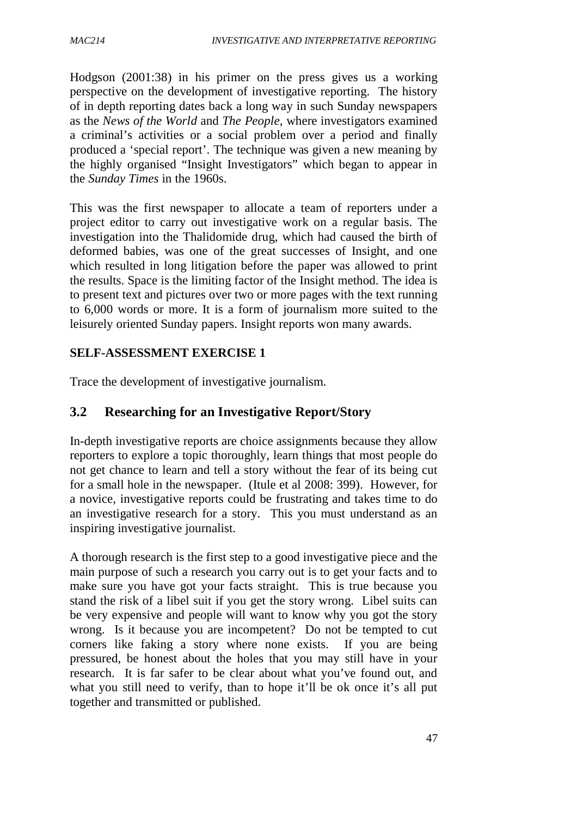Hodgson (2001:38) in his primer on the press gives us a working perspective on the development of investigative reporting. The history of in depth reporting dates back a long way in such Sunday newspapers as the *News of the World* and *The People,* where investigators examined a criminal's activities or a social problem over a period and finally produced a 'special report'. The technique was given a new meaning by the highly organised "Insight Investigators" which began to appear in the *Sunday Times* in the 1960s.

This was the first newspaper to allocate a team of reporters under a project editor to carry out investigative work on a regular basis. The investigation into the Thalidomide drug, which had caused the birth of deformed babies, was one of the great successes of Insight, and one which resulted in long litigation before the paper was allowed to print the results. Space is the limiting factor of the Insight method. The idea is to present text and pictures over two or more pages with the text running to 6,000 words or more. It is a form of journalism more suited to the leisurely oriented Sunday papers. Insight reports won many awards.

## **SELF-ASSESSMENT EXERCISE 1**

Trace the development of investigative journalism.

# **3.2 Researching for an Investigative Report/Story**

In-depth investigative reports are choice assignments because they allow reporters to explore a topic thoroughly, learn things that most people do not get chance to learn and tell a story without the fear of its being cut for a small hole in the newspaper. (Itule et al 2008: 399). However, for a novice, investigative reports could be frustrating and takes time to do an investigative research for a story. This you must understand as an inspiring investigative journalist.

A thorough research is the first step to a good investigative piece and the main purpose of such a research you carry out is to get your facts and to make sure you have got your facts straight. This is true because you stand the risk of a libel suit if you get the story wrong. Libel suits can be very expensive and people will want to know why you got the story wrong. Is it because you are incompetent? Do not be tempted to cut corners like faking a story where none exists. If you are being pressured, be honest about the holes that you may still have in your research. It is far safer to be clear about what you've found out, and what you still need to verify, than to hope it'll be ok once it's all put together and transmitted or published.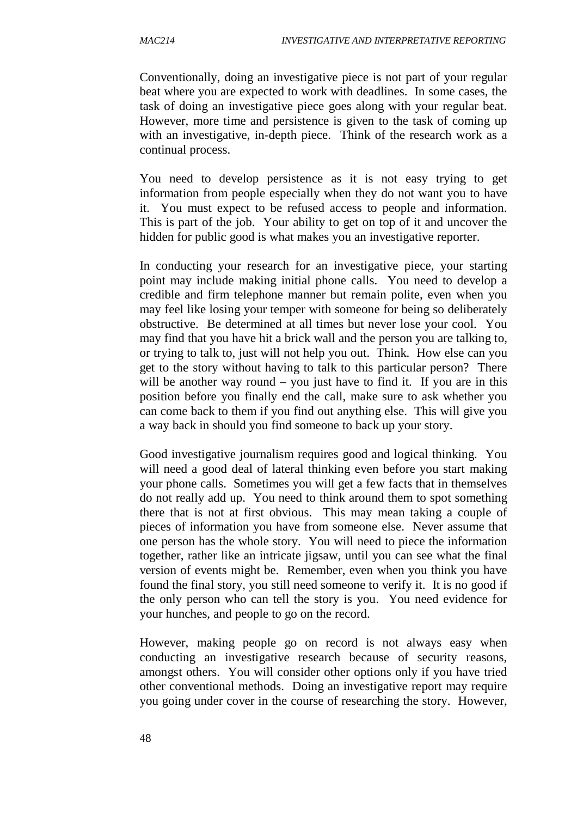Conventionally, doing an investigative piece is not part of your regular beat where you are expected to work with deadlines. In some cases, the task of doing an investigative piece goes along with your regular beat. However, more time and persistence is given to the task of coming up with an investigative, in-depth piece. Think of the research work as a continual process.

You need to develop persistence as it is not easy trying to get information from people especially when they do not want you to have it. You must expect to be refused access to people and information. This is part of the job. Your ability to get on top of it and uncover the hidden for public good is what makes you an investigative reporter.

In conducting your research for an investigative piece, your starting point may include making initial phone calls. You need to develop a credible and firm telephone manner but remain polite, even when you may feel like losing your temper with someone for being so deliberately obstructive. Be determined at all times but never lose your cool. You may find that you have hit a brick wall and the person you are talking to, or trying to talk to, just will not help you out. Think. How else can you get to the story without having to talk to this particular person? There will be another way round – you just have to find it. If you are in this position before you finally end the call, make sure to ask whether you can come back to them if you find out anything else. This will give you a way back in should you find someone to back up your story.

Good investigative journalism requires good and logical thinking. You will need a good deal of lateral thinking even before you start making your phone calls. Sometimes you will get a few facts that in themselves do not really add up. You need to think around them to spot something there that is not at first obvious. This may mean taking a couple of pieces of information you have from someone else. Never assume that one person has the whole story. You will need to piece the information together, rather like an intricate jigsaw, until you can see what the final version of events might be. Remember, even when you think you have found the final story, you still need someone to verify it. It is no good if the only person who can tell the story is you. You need evidence for your hunches, and people to go on the record.

However, making people go on record is not always easy when conducting an investigative research because of security reasons, amongst others. You will consider other options only if you have tried other conventional methods. Doing an investigative report may require you going under cover in the course of researching the story. However,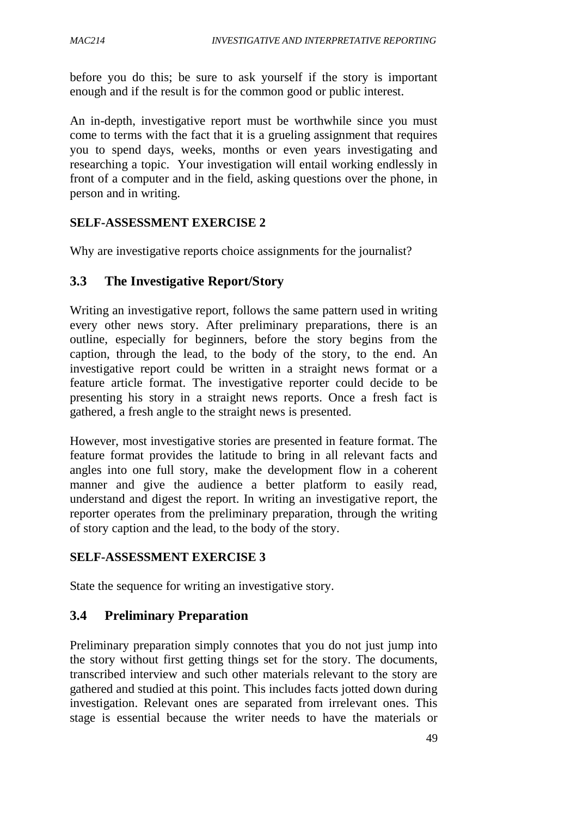before you do this; be sure to ask yourself if the story is important enough and if the result is for the common good or public interest.

An in-depth, investigative report must be worthwhile since you must come to terms with the fact that it is a grueling assignment that requires you to spend days, weeks, months or even years investigating and researching a topic. Your investigation will entail working endlessly in front of a computer and in the field, asking questions over the phone, in person and in writing.

### **SELF-ASSESSMENT EXERCISE 2**

Why are investigative reports choice assignments for the journalist?

## **3.3 The Investigative Report/Story**

Writing an investigative report, follows the same pattern used in writing every other news story. After preliminary preparations, there is an outline, especially for beginners, before the story begins from the caption, through the lead, to the body of the story, to the end. An investigative report could be written in a straight news format or a feature article format. The investigative reporter could decide to be presenting his story in a straight news reports. Once a fresh fact is gathered, a fresh angle to the straight news is presented.

However, most investigative stories are presented in feature format. The feature format provides the latitude to bring in all relevant facts and angles into one full story, make the development flow in a coherent manner and give the audience a better platform to easily read, understand and digest the report. In writing an investigative report, the reporter operates from the preliminary preparation, through the writing of story caption and the lead, to the body of the story.

### **SELF-ASSESSMENT EXERCISE 3**

State the sequence for writing an investigative story.

# **3.4 Preliminary Preparation**

Preliminary preparation simply connotes that you do not just jump into the story without first getting things set for the story. The documents, transcribed interview and such other materials relevant to the story are gathered and studied at this point. This includes facts jotted down during investigation. Relevant ones are separated from irrelevant ones. This stage is essential because the writer needs to have the materials or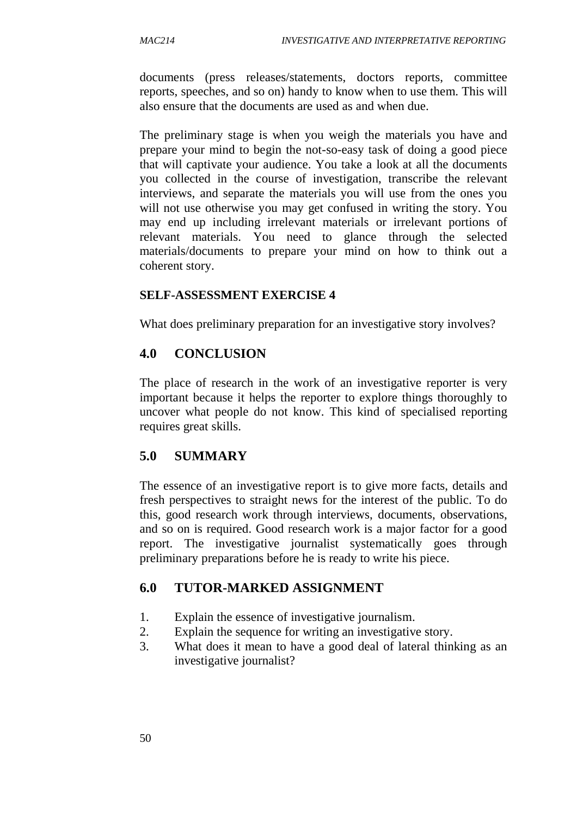documents (press releases/statements, doctors reports, committee reports, speeches, and so on) handy to know when to use them. This will also ensure that the documents are used as and when due.

The preliminary stage is when you weigh the materials you have and prepare your mind to begin the not-so-easy task of doing a good piece that will captivate your audience. You take a look at all the documents you collected in the course of investigation, transcribe the relevant interviews, and separate the materials you will use from the ones you will not use otherwise you may get confused in writing the story. You may end up including irrelevant materials or irrelevant portions of relevant materials. You need to glance through the selected materials/documents to prepare your mind on how to think out a coherent story.

### **SELF-ASSESSMENT EXERCISE 4**

What does preliminary preparation for an investigative story involves?

## **4.0 CONCLUSION**

The place of research in the work of an investigative reporter is very important because it helps the reporter to explore things thoroughly to uncover what people do not know. This kind of specialised reporting requires great skills.

# **5.0 SUMMARY**

The essence of an investigative report is to give more facts, details and fresh perspectives to straight news for the interest of the public. To do this, good research work through interviews, documents, observations, and so on is required. Good research work is a major factor for a good report. The investigative journalist systematically goes through preliminary preparations before he is ready to write his piece.

# **6.0 TUTOR-MARKED ASSIGNMENT**

- 1. Explain the essence of investigative journalism.
- 2. Explain the sequence for writing an investigative story.
- 3. What does it mean to have a good deal of lateral thinking as an investigative journalist?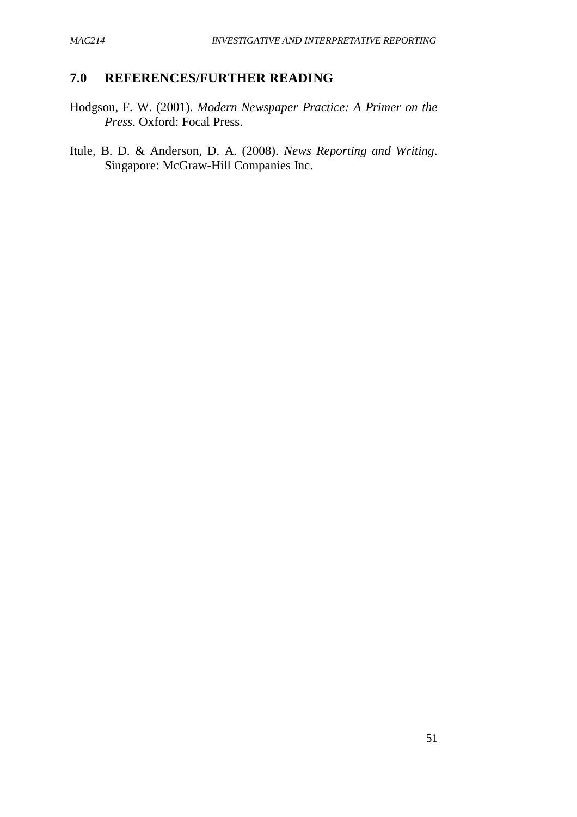### **7.0 REFERENCES/FURTHER READING**

Hodgson, F. W. (2001). *Modern Newspaper Practice: A Primer on the Press*. Oxford: Focal Press.

Itule, B. D. & Anderson, D. A. (2008). *News Reporting and Writing*. Singapore: McGraw-Hill Companies Inc.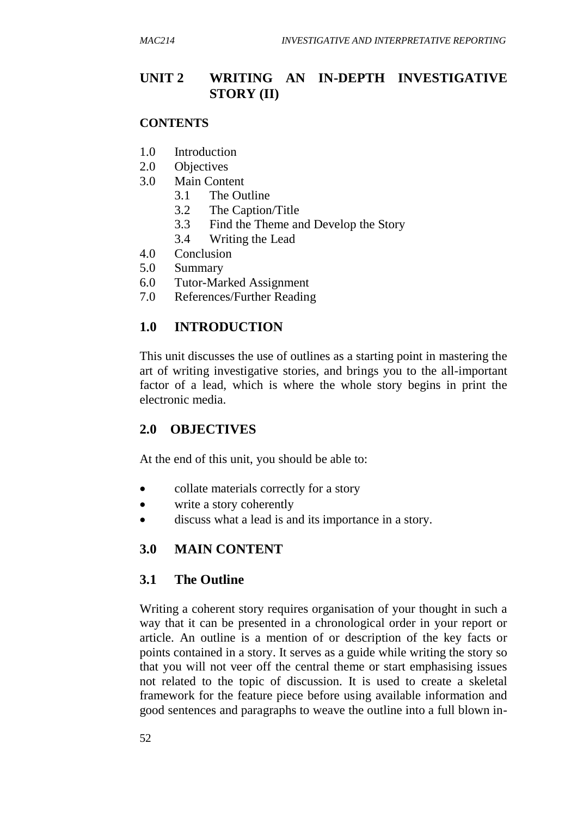# **UNIT 2 WRITING AN IN-DEPTH INVESTIGATIVE STORY (II)**

#### **CONTENTS**

- 1.0 Introduction
- 2.0 Objectives
- 3.0 Main Content
	- 3.1 The Outline
	- 3.2 The Caption/Title
	- 3.3 Find the Theme and Develop the Story
	- 3.4 Writing the Lead
- 4.0 Conclusion
- 5.0 Summary
- 6.0 Tutor-Marked Assignment
- 7.0 References/Further Reading

### **1.0 INTRODUCTION**

This unit discusses the use of outlines as a starting point in mastering the art of writing investigative stories, and brings you to the all-important factor of a lead, which is where the whole story begins in print the electronic media.

### **2.0 OBJECTIVES**

At the end of this unit, you should be able to:

- collate materials correctly for a story
- write a story coherently
- discuss what a lead is and its importance in a story.

### **3.0 MAIN CONTENT**

### **3.1 The Outline**

Writing a coherent story requires organisation of your thought in such a way that it can be presented in a chronological order in your report or article. An outline is a mention of or description of the key facts or points contained in a story. It serves as a guide while writing the story so that you will not veer off the central theme or start emphasising issues not related to the topic of discussion. It is used to create a skeletal framework for the feature piece before using available information and good sentences and paragraphs to weave the outline into a full blown in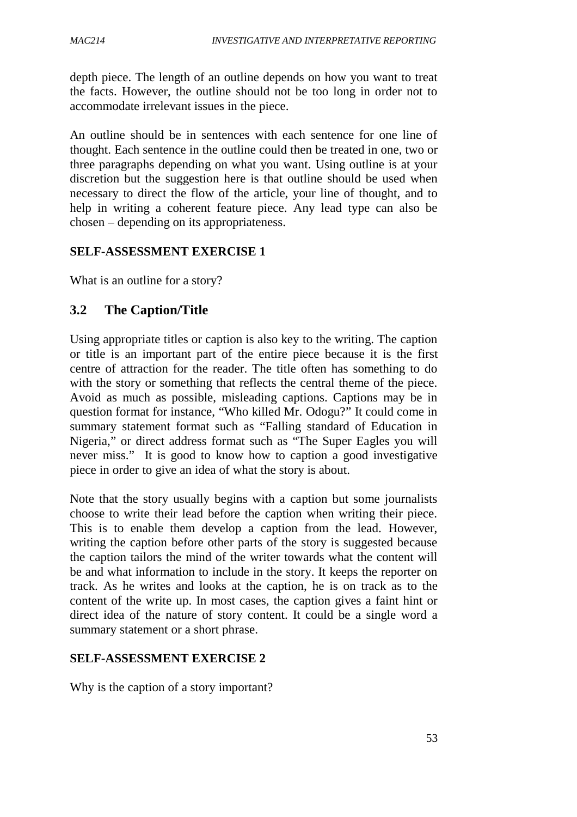depth piece. The length of an outline depends on how you want to treat the facts. However, the outline should not be too long in order not to accommodate irrelevant issues in the piece.

An outline should be in sentences with each sentence for one line of thought. Each sentence in the outline could then be treated in one, two or three paragraphs depending on what you want. Using outline is at your discretion but the suggestion here is that outline should be used when necessary to direct the flow of the article, your line of thought, and to help in writing a coherent feature piece. Any lead type can also be chosen – depending on its appropriateness.

### **SELF-ASSESSMENT EXERCISE 1**

What is an outline for a story?

# **3.2 The Caption/Title**

Using appropriate titles or caption is also key to the writing. The caption or title is an important part of the entire piece because it is the first centre of attraction for the reader. The title often has something to do with the story or something that reflects the central theme of the piece. Avoid as much as possible, misleading captions. Captions may be in question format for instance, "Who killed Mr. Odogu?" It could come in summary statement format such as "Falling standard of Education in Nigeria," or direct address format such as "The Super Eagles you will never miss." It is good to know how to caption a good investigative piece in order to give an idea of what the story is about.

Note that the story usually begins with a caption but some journalists choose to write their lead before the caption when writing their piece. This is to enable them develop a caption from the lead. However, writing the caption before other parts of the story is suggested because the caption tailors the mind of the writer towards what the content will be and what information to include in the story. It keeps the reporter on track. As he writes and looks at the caption, he is on track as to the content of the write up. In most cases, the caption gives a faint hint or direct idea of the nature of story content. It could be a single word a summary statement or a short phrase.

### **SELF-ASSESSMENT EXERCISE 2**

Why is the caption of a story important?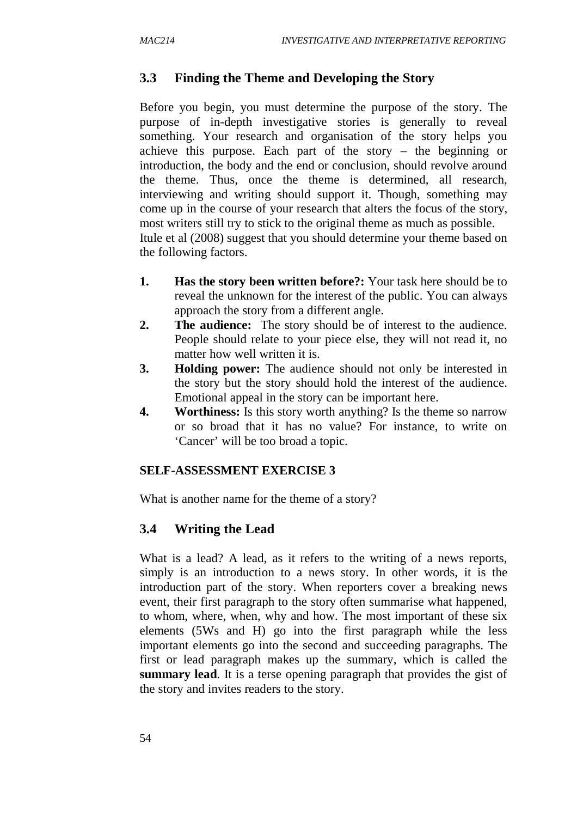### **3.3 Finding the Theme and Developing the Story**

Before you begin, you must determine the purpose of the story. The purpose of in-depth investigative stories is generally to reveal something. Your research and organisation of the story helps you achieve this purpose. Each part of the story – the beginning or introduction, the body and the end or conclusion, should revolve around the theme. Thus, once the theme is determined, all research, interviewing and writing should support it. Though, something may come up in the course of your research that alters the focus of the story, most writers still try to stick to the original theme as much as possible. Itule et al (2008) suggest that you should determine your theme based on the following factors.

- **1. Has the story been written before?:** Your task here should be to reveal the unknown for the interest of the public. You can always approach the story from a different angle.
- **2. The audience:** The story should be of interest to the audience. People should relate to your piece else, they will not read it, no matter how well written it is.
- **3. Holding power:** The audience should not only be interested in the story but the story should hold the interest of the audience. Emotional appeal in the story can be important here.
- **4. Worthiness:** Is this story worth anything? Is the theme so narrow or so broad that it has no value? For instance, to write on 'Cancer' will be too broad a topic.

#### **SELF-ASSESSMENT EXERCISE 3**

What is another name for the theme of a story?

### **3.4 Writing the Lead**

What is a lead? A lead, as it refers to the writing of a news reports, simply is an introduction to a news story. In other words, it is the introduction part of the story. When reporters cover a breaking news event, their first paragraph to the story often summarise what happened, to whom, where, when, why and how. The most important of these six elements (5Ws and H) go into the first paragraph while the less important elements go into the second and succeeding paragraphs. The first or lead paragraph makes up the summary, which is called the **summary lead**. It is a terse opening paragraph that provides the gist of the story and invites readers to the story.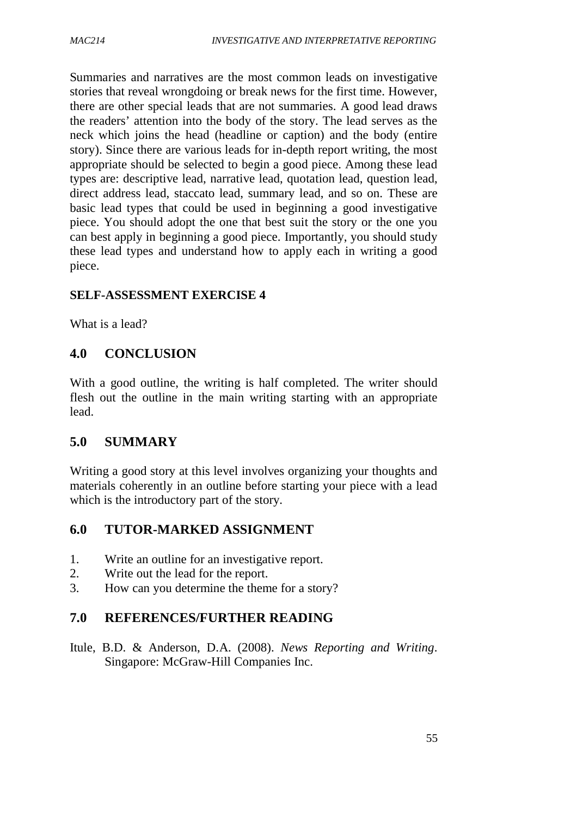Summaries and narratives are the most common leads on investigative stories that reveal wrongdoing or break news for the first time. However, there are other special leads that are not summaries. A good lead draws the readers' attention into the body of the story. The lead serves as the neck which joins the head (headline or caption) and the body (entire story). Since there are various leads for in-depth report writing, the most appropriate should be selected to begin a good piece. Among these lead types are: descriptive lead, narrative lead, quotation lead, question lead, direct address lead, staccato lead, summary lead, and so on. These are basic lead types that could be used in beginning a good investigative piece. You should adopt the one that best suit the story or the one you can best apply in beginning a good piece. Importantly, you should study these lead types and understand how to apply each in writing a good piece.

### **SELF-ASSESSMENT EXERCISE 4**

What is a lead?

## **4.0 CONCLUSION**

With a good outline, the writing is half completed. The writer should flesh out the outline in the main writing starting with an appropriate lead.

### **5.0 SUMMARY**

Writing a good story at this level involves organizing your thoughts and materials coherently in an outline before starting your piece with a lead which is the introductory part of the story.

### **6.0 TUTOR-MARKED ASSIGNMENT**

- 1. Write an outline for an investigative report.
- 2. Write out the lead for the report.
- 3. How can you determine the theme for a story?

# **7.0 REFERENCES/FURTHER READING**

Itule, B.D. & Anderson, D.A. (2008). *News Reporting and Writing*. Singapore: McGraw-Hill Companies Inc.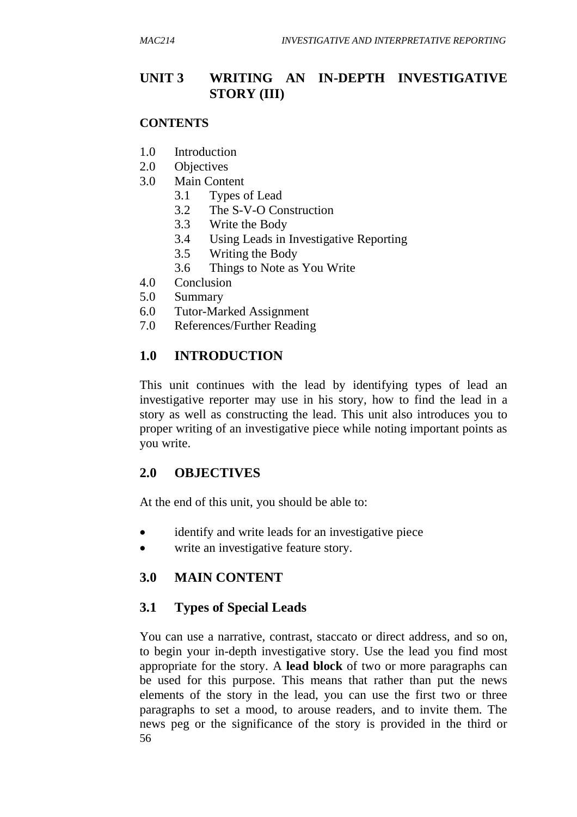# **UNIT 3 WRITING AN IN-DEPTH INVESTIGATIVE STORY (III)**

#### **CONTENTS**

- 1.0 Introduction
- 2.0 Objectives
- 3.0 Main Content
	- 3.1 Types of Lead
	- 3.2 The S-V-O Construction
	- 3.3 Write the Body
	- 3.4 Using Leads in Investigative Reporting
	- 3.5 Writing the Body
	- 3.6 Things to Note as You Write
- 4.0 Conclusion
- 5.0 Summary
- 6.0 Tutor-Marked Assignment
- 7.0 References/Further Reading

## **1.0 INTRODUCTION**

This unit continues with the lead by identifying types of lead an investigative reporter may use in his story, how to find the lead in a story as well as constructing the lead. This unit also introduces you to proper writing of an investigative piece while noting important points as you write.

## **2.0 OBJECTIVES**

At the end of this unit, you should be able to:

- identify and write leads for an investigative piece
- write an investigative feature story.

### **3.0 MAIN CONTENT**

### **3.1 Types of Special Leads**

56 You can use a narrative, contrast, staccato or direct address, and so on, to begin your in-depth investigative story. Use the lead you find most appropriate for the story. A **lead block** of two or more paragraphs can be used for this purpose. This means that rather than put the news elements of the story in the lead, you can use the first two or three paragraphs to set a mood, to arouse readers, and to invite them. The news peg or the significance of the story is provided in the third or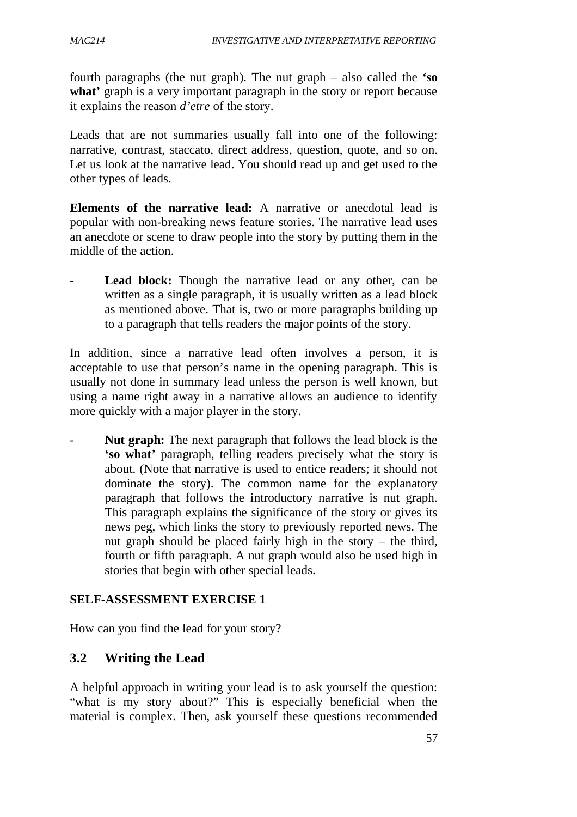fourth paragraphs (the nut graph). The nut graph – also called the **'so**  what' graph is a very important paragraph in the story or report because it explains the reason *d'etre* of the story.

Leads that are not summaries usually fall into one of the following: narrative, contrast, staccato, direct address, question, quote, and so on. Let us look at the narrative lead. You should read up and get used to the other types of leads.

**Elements of the narrative lead:** A narrative or anecdotal lead is popular with non-breaking news feature stories. The narrative lead uses an anecdote or scene to draw people into the story by putting them in the middle of the action.

Lead block: Though the narrative lead or any other, can be written as a single paragraph, it is usually written as a lead block as mentioned above. That is, two or more paragraphs building up to a paragraph that tells readers the major points of the story.

In addition, since a narrative lead often involves a person, it is acceptable to use that person's name in the opening paragraph. This is usually not done in summary lead unless the person is well known, but using a name right away in a narrative allows an audience to identify more quickly with a major player in the story.

Nut graph: The next paragraph that follows the lead block is the **'so what'** paragraph, telling readers precisely what the story is about. (Note that narrative is used to entice readers; it should not dominate the story). The common name for the explanatory paragraph that follows the introductory narrative is nut graph. This paragraph explains the significance of the story or gives its news peg, which links the story to previously reported news. The nut graph should be placed fairly high in the story – the third, fourth or fifth paragraph. A nut graph would also be used high in stories that begin with other special leads.

### **SELF-ASSESSMENT EXERCISE 1**

How can you find the lead for your story?

# **3.2 Writing the Lead**

A helpful approach in writing your lead is to ask yourself the question: "what is my story about?" This is especially beneficial when the material is complex. Then, ask yourself these questions recommended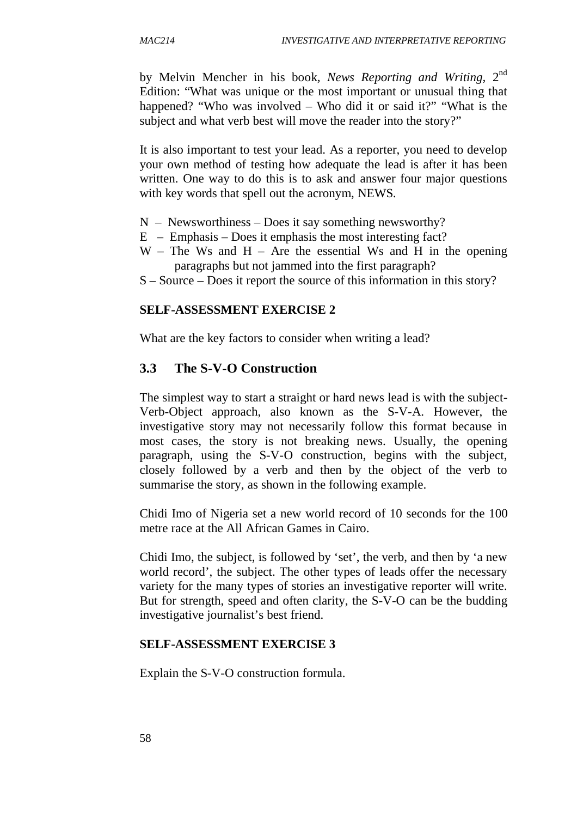by Melvin Mencher in his book*, News Reporting and Writing,* 2 nd Edition: "What was unique or the most important or unusual thing that happened? "Who was involved – Who did it or said it?" "What is the subject and what verb best will move the reader into the story?"

It is also important to test your lead. As a reporter, you need to develop your own method of testing how adequate the lead is after it has been written. One way to do this is to ask and answer four major questions with key words that spell out the acronym, NEWS.

- $N -$  Newsworthiness Does it say something newsworthy?
- $E$  Emphasis Does it emphasis the most interesting fact?
- $W$  The Ws and H Are the essential Ws and H in the opening paragraphs but not jammed into the first paragraph?
- S Source Does it report the source of this information in this story?

#### **SELF-ASSESSMENT EXERCISE 2**

What are the key factors to consider when writing a lead?

### **3.3 The S-V-O Construction**

The simplest way to start a straight or hard news lead is with the subject-Verb-Object approach, also known as the S-V-A. However, the investigative story may not necessarily follow this format because in most cases, the story is not breaking news. Usually, the opening paragraph, using the S-V-O construction, begins with the subject, closely followed by a verb and then by the object of the verb to summarise the story, as shown in the following example.

Chidi Imo of Nigeria set a new world record of 10 seconds for the 100 metre race at the All African Games in Cairo.

Chidi Imo, the subject, is followed by 'set', the verb, and then by 'a new world record', the subject. The other types of leads offer the necessary variety for the many types of stories an investigative reporter will write. But for strength, speed and often clarity, the S-V-O can be the budding investigative journalist's best friend.

#### **SELF-ASSESSMENT EXERCISE 3**

Explain the S-V-O construction formula.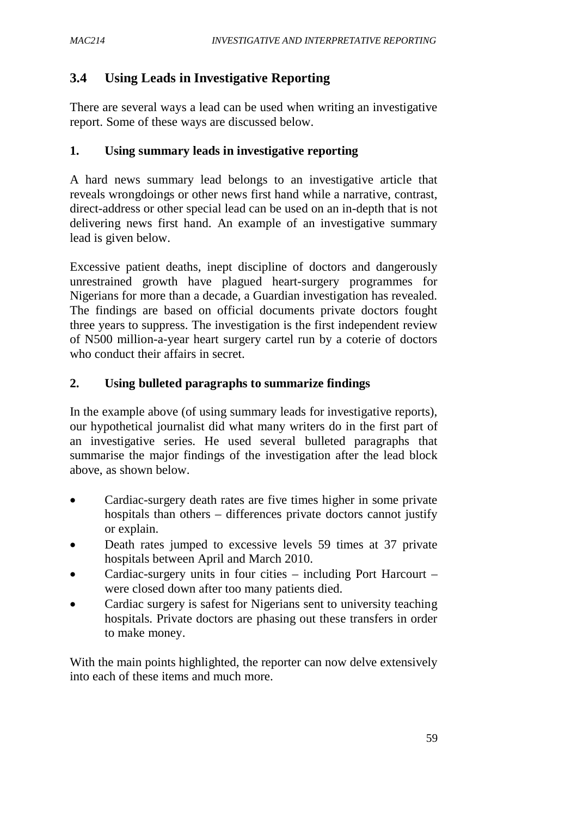# **3.4 Using Leads in Investigative Reporting**

There are several ways a lead can be used when writing an investigative report. Some of these ways are discussed below.

### **1. Using summary leads in investigative reporting**

A hard news summary lead belongs to an investigative article that reveals wrongdoings or other news first hand while a narrative, contrast, direct-address or other special lead can be used on an in-depth that is not delivering news first hand. An example of an investigative summary lead is given below.

Excessive patient deaths, inept discipline of doctors and dangerously unrestrained growth have plagued heart-surgery programmes for Nigerians for more than a decade, a Guardian investigation has revealed. The findings are based on official documents private doctors fought three years to suppress. The investigation is the first independent review of N500 million-a-year heart surgery cartel run by a coterie of doctors who conduct their affairs in secret.

### **2. Using bulleted paragraphs to summarize findings**

In the example above (of using summary leads for investigative reports), our hypothetical journalist did what many writers do in the first part of an investigative series. He used several bulleted paragraphs that summarise the major findings of the investigation after the lead block above, as shown below.

- Cardiac-surgery death rates are five times higher in some private hospitals than others – differences private doctors cannot justify or explain.
- Death rates jumped to excessive levels 59 times at 37 private hospitals between April and March 2010.
- Cardiac-surgery units in four cities including Port Harcourt were closed down after too many patients died.
- Cardiac surgery is safest for Nigerians sent to university teaching hospitals. Private doctors are phasing out these transfers in order to make money.

With the main points highlighted, the reporter can now delve extensively into each of these items and much more.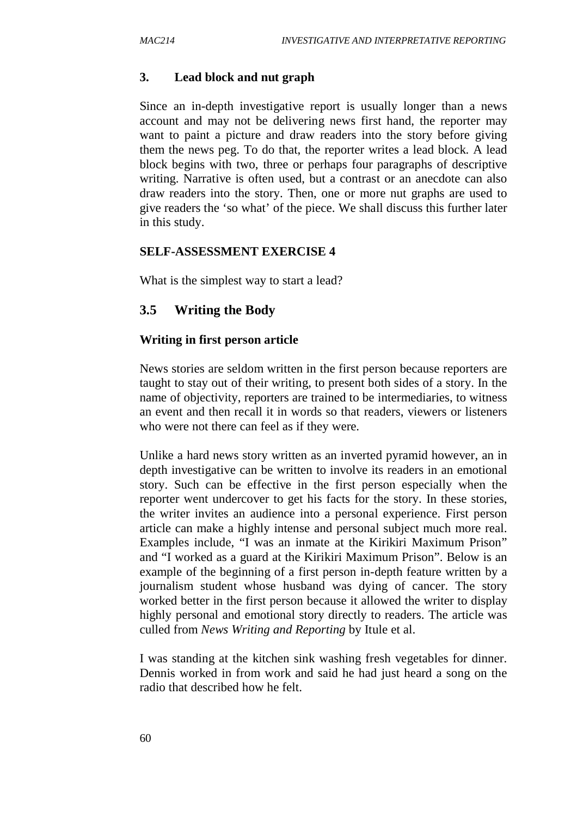#### **3. Lead block and nut graph**

Since an in-depth investigative report is usually longer than a news account and may not be delivering news first hand, the reporter may want to paint a picture and draw readers into the story before giving them the news peg. To do that, the reporter writes a lead block. A lead block begins with two, three or perhaps four paragraphs of descriptive writing. Narrative is often used, but a contrast or an anecdote can also draw readers into the story. Then, one or more nut graphs are used to give readers the 'so what' of the piece. We shall discuss this further later in this study.

#### **SELF-ASSESSMENT EXERCISE 4**

What is the simplest way to start a lead?

### **3.5 Writing the Body**

#### **Writing in first person article**

News stories are seldom written in the first person because reporters are taught to stay out of their writing, to present both sides of a story. In the name of objectivity, reporters are trained to be intermediaries, to witness an event and then recall it in words so that readers, viewers or listeners who were not there can feel as if they were.

Unlike a hard news story written as an inverted pyramid however, an in depth investigative can be written to involve its readers in an emotional story. Such can be effective in the first person especially when the reporter went undercover to get his facts for the story. In these stories, the writer invites an audience into a personal experience. First person article can make a highly intense and personal subject much more real. Examples include, "I was an inmate at the Kirikiri Maximum Prison" and "I worked as a guard at the Kirikiri Maximum Prison". Below is an example of the beginning of a first person in-depth feature written by a journalism student whose husband was dying of cancer. The story worked better in the first person because it allowed the writer to display highly personal and emotional story directly to readers. The article was culled from *News Writing and Reporting* by Itule et al.

I was standing at the kitchen sink washing fresh vegetables for dinner. Dennis worked in from work and said he had just heard a song on the radio that described how he felt.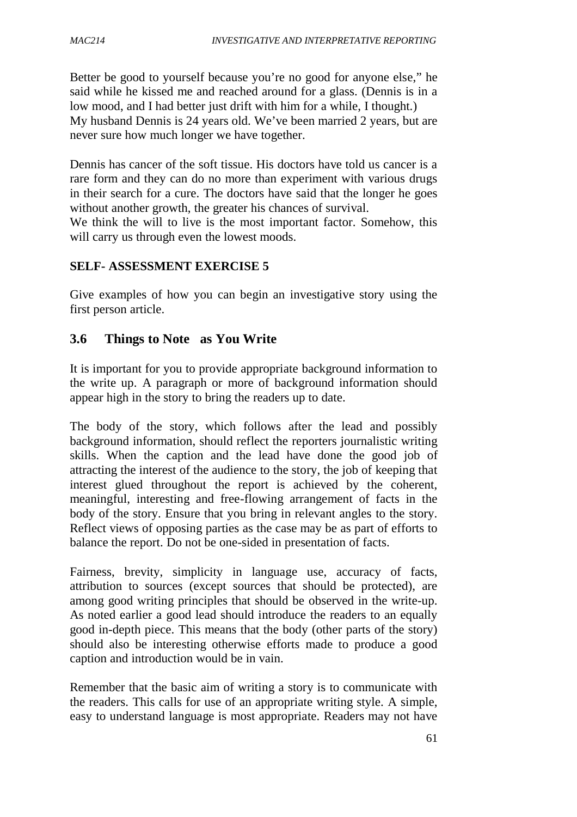Better be good to yourself because you're no good for anyone else," he said while he kissed me and reached around for a glass. (Dennis is in a low mood, and I had better just drift with him for a while, I thought.) My husband Dennis is 24 years old. We've been married 2 years, but are never sure how much longer we have together.

Dennis has cancer of the soft tissue. His doctors have told us cancer is a rare form and they can do no more than experiment with various drugs in their search for a cure. The doctors have said that the longer he goes without another growth, the greater his chances of survival.

We think the will to live is the most important factor. Somehow, this will carry us through even the lowest moods.

#### **SELF- ASSESSMENT EXERCISE 5**

Give examples of how you can begin an investigative story using the first person article.

### **3.6 Things to Note as You Write**

It is important for you to provide appropriate background information to the write up. A paragraph or more of background information should appear high in the story to bring the readers up to date.

The body of the story, which follows after the lead and possibly background information, should reflect the reporters journalistic writing skills. When the caption and the lead have done the good job of attracting the interest of the audience to the story, the job of keeping that interest glued throughout the report is achieved by the coherent, meaningful, interesting and free-flowing arrangement of facts in the body of the story. Ensure that you bring in relevant angles to the story. Reflect views of opposing parties as the case may be as part of efforts to balance the report. Do not be one-sided in presentation of facts.

Fairness, brevity, simplicity in language use, accuracy of facts, attribution to sources (except sources that should be protected), are among good writing principles that should be observed in the write-up. As noted earlier a good lead should introduce the readers to an equally good in-depth piece. This means that the body (other parts of the story) should also be interesting otherwise efforts made to produce a good caption and introduction would be in vain.

Remember that the basic aim of writing a story is to communicate with the readers. This calls for use of an appropriate writing style. A simple, easy to understand language is most appropriate. Readers may not have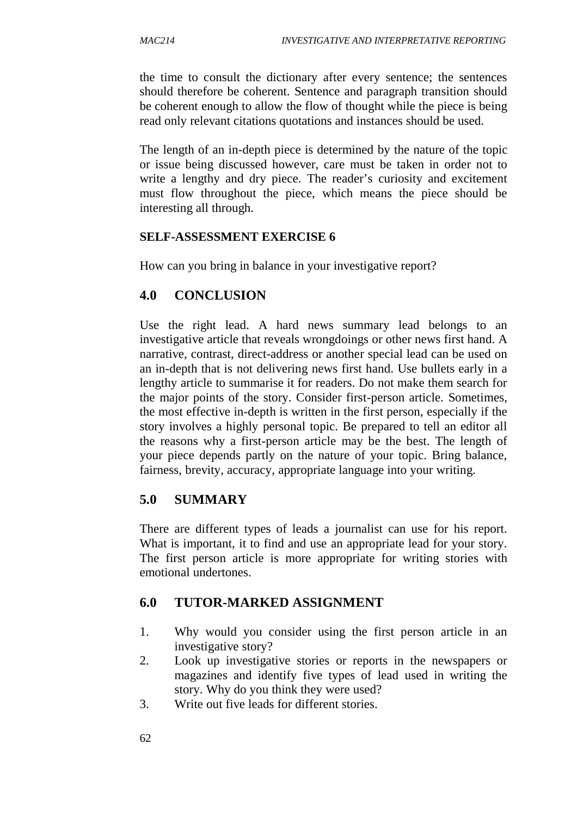the time to consult the dictionary after every sentence; the sentences should therefore be coherent. Sentence and paragraph transition should be coherent enough to allow the flow of thought while the piece is being read only relevant citations quotations and instances should be used.

The length of an in-depth piece is determined by the nature of the topic or issue being discussed however, care must be taken in order not to write a lengthy and dry piece. The reader's curiosity and excitement must flow throughout the piece, which means the piece should be interesting all through.

#### **SELF-ASSESSMENT EXERCISE 6**

How can you bring in balance in your investigative report?

# **4.0 CONCLUSION**

Use the right lead. A hard news summary lead belongs to an investigative article that reveals wrongdoings or other news first hand. A narrative, contrast, direct-address or another special lead can be used on an in-depth that is not delivering news first hand. Use bullets early in a lengthy article to summarise it for readers. Do not make them search for the major points of the story. Consider first-person article. Sometimes, the most effective in-depth is written in the first person, especially if the story involves a highly personal topic. Be prepared to tell an editor all the reasons why a first-person article may be the best. The length of your piece depends partly on the nature of your topic. Bring balance, fairness, brevity, accuracy, appropriate language into your writing.

#### **5.0 SUMMARY**

There are different types of leads a journalist can use for his report. What is important, it to find and use an appropriate lead for your story. The first person article is more appropriate for writing stories with emotional undertones.

# **6.0 TUTOR-MARKED ASSIGNMENT**

- 1. Why would you consider using the first person article in an investigative story?
- 2. Look up investigative stories or reports in the newspapers or magazines and identify five types of lead used in writing the story. Why do you think they were used?
- 3. Write out five leads for different stories.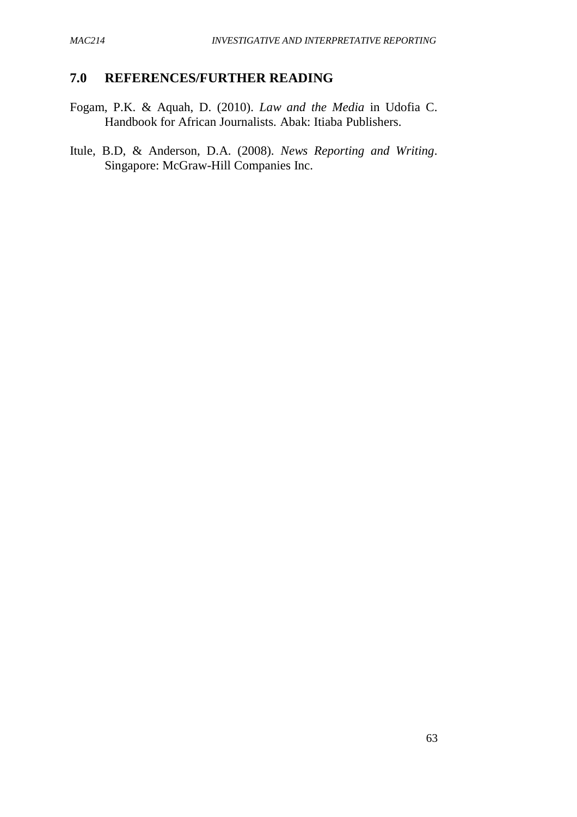### **7.0 REFERENCES/FURTHER READING**

- Fogam, P.K. & Aquah, D. (2010). *Law and the Media* in Udofia C. Handbook for African Journalists. Abak: Itiaba Publishers.
- Itule, B.D, & Anderson, D.A. (2008). *News Reporting and Writing*. Singapore: McGraw-Hill Companies Inc.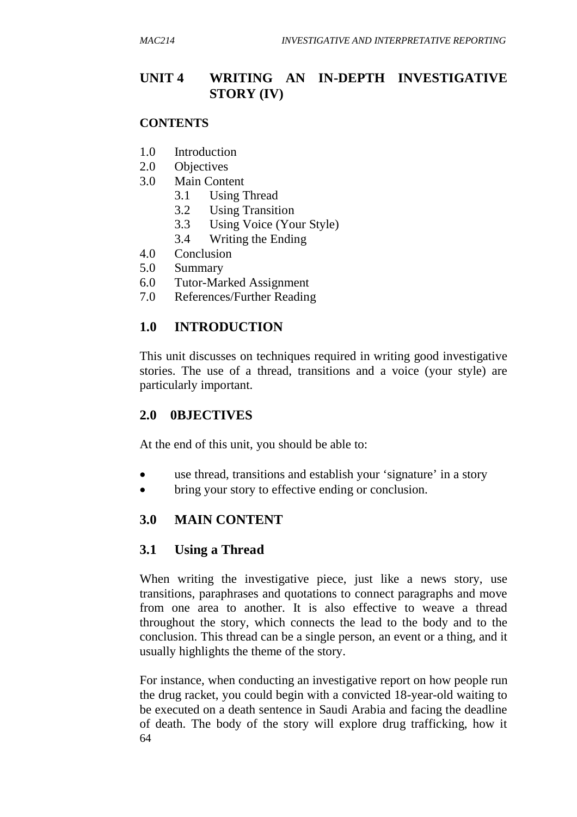# **UNIT 4 WRITING AN IN-DEPTH INVESTIGATIVE STORY (IV)**

#### **CONTENTS**

- 1.0 Introduction
- 2.0 Objectives
- 3.0 Main Content
	- 3.1 Using Thread
	- 3.2 Using Transition
	- 3.3 Using Voice (Your Style)
	- 3.4 Writing the Ending
- 4.0 Conclusion
- 5.0 Summary
- 6.0 Tutor-Marked Assignment
- 7.0 References/Further Reading

# **1.0 INTRODUCTION**

This unit discusses on techniques required in writing good investigative stories. The use of a thread, transitions and a voice (your style) are particularly important.

# **2.0 0BJECTIVES**

At the end of this unit, you should be able to:

- use thread, transitions and establish your 'signature' in a story
- bring your story to effective ending or conclusion.

# **3.0 MAIN CONTENT**

#### **3.1 Using a Thread**

When writing the investigative piece, just like a news story, use transitions, paraphrases and quotations to connect paragraphs and move from one area to another. It is also effective to weave a thread throughout the story, which connects the lead to the body and to the conclusion. This thread can be a single person, an event or a thing, and it usually highlights the theme of the story.

64 For instance, when conducting an investigative report on how people run the drug racket, you could begin with a convicted 18-year-old waiting to be executed on a death sentence in Saudi Arabia and facing the deadline of death. The body of the story will explore drug trafficking, how it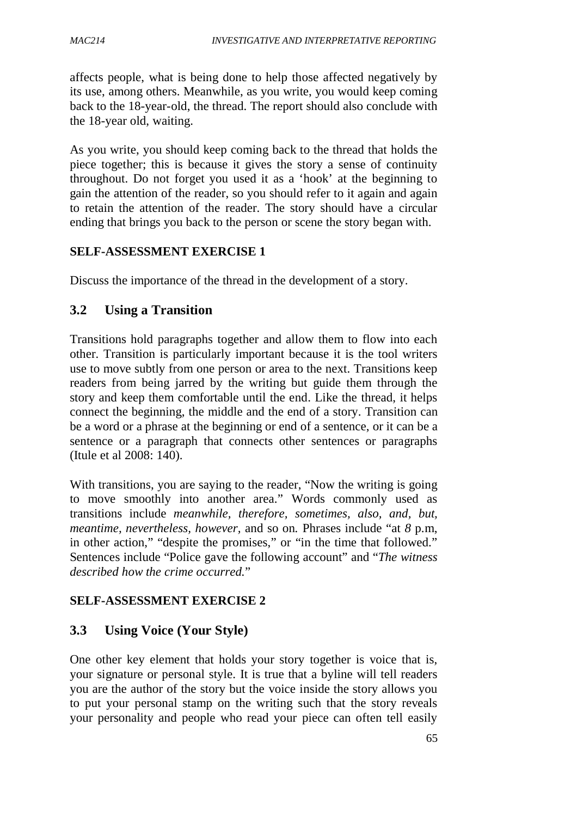affects people, what is being done to help those affected negatively by its use, among others. Meanwhile, as you write, you would keep coming back to the 18-year-old, the thread. The report should also conclude with the 18-year old, waiting.

As you write, you should keep coming back to the thread that holds the piece together; this is because it gives the story a sense of continuity throughout. Do not forget you used it as a 'hook' at the beginning to gain the attention of the reader, so you should refer to it again and again to retain the attention of the reader. The story should have a circular ending that brings you back to the person or scene the story began with.

#### **SELF-ASSESSMENT EXERCISE 1**

Discuss the importance of the thread in the development of a story.

# **3.2 Using a Transition**

Transitions hold paragraphs together and allow them to flow into each other. Transition is particularly important because it is the tool writers use to move subtly from one person or area to the next. Transitions keep readers from being jarred by the writing but guide them through the story and keep them comfortable until the end. Like the thread, it helps connect the beginning, the middle and the end of a story. Transition can be a word or a phrase at the beginning or end of a sentence, or it can be a sentence or a paragraph that connects other sentences or paragraphs (Itule et al 2008: 140).

With transitions, you are saying to the reader, "Now the writing is going to move smoothly into another area." Words commonly used as transitions include *meanwhile, therefore, sometimes, also, and, but, meantime, nevertheless, however,* and so on*.* Phrases include "at *8* p.m, in other action," "despite the promises," or "in the time that followed." Sentences include "Police gave the following account" and "*The witness described how the crime occurred.*"

#### **SELF-ASSESSMENT EXERCISE 2**

# **3.3 Using Voice (Your Style)**

One other key element that holds your story together is voice that is, your signature or personal style. It is true that a byline will tell readers you are the author of the story but the voice inside the story allows you to put your personal stamp on the writing such that the story reveals your personality and people who read your piece can often tell easily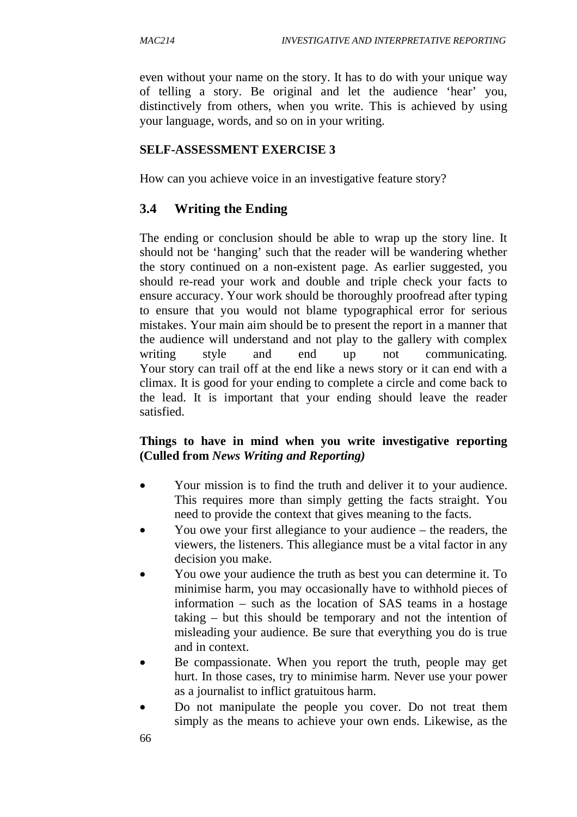even without your name on the story. It has to do with your unique way of telling a story. Be original and let the audience 'hear' you, distinctively from others, when you write. This is achieved by using your language, words, and so on in your writing.

### **SELF-ASSESSMENT EXERCISE 3**

How can you achieve voice in an investigative feature story?

# **3.4 Writing the Ending**

The ending or conclusion should be able to wrap up the story line. It should not be 'hanging' such that the reader will be wandering whether the story continued on a non-existent page. As earlier suggested, you should re-read your work and double and triple check your facts to ensure accuracy. Your work should be thoroughly proofread after typing to ensure that you would not blame typographical error for serious mistakes. Your main aim should be to present the report in a manner that the audience will understand and not play to the gallery with complex writing style and end up not communicating. Your story can trail off at the end like a news story or it can end with a climax. It is good for your ending to complete a circle and come back to the lead. It is important that your ending should leave the reader satisfied.

### **Things to have in mind when you write investigative reporting (Culled from** *News Writing and Reporting)*

- Your mission is to find the truth and deliver it to your audience. This requires more than simply getting the facts straight. You need to provide the context that gives meaning to the facts.
- You owe your first allegiance to your audience the readers, the viewers, the listeners. This allegiance must be a vital factor in any decision you make.
- You owe your audience the truth as best you can determine it. To minimise harm, you may occasionally have to withhold pieces of information – such as the location of SAS teams in a hostage taking – but this should be temporary and not the intention of misleading your audience. Be sure that everything you do is true and in context.
- Be compassionate. When you report the truth, people may get hurt. In those cases, try to minimise harm. Never use your power as a journalist to inflict gratuitous harm.
- Do not manipulate the people you cover. Do not treat them simply as the means to achieve your own ends. Likewise, as the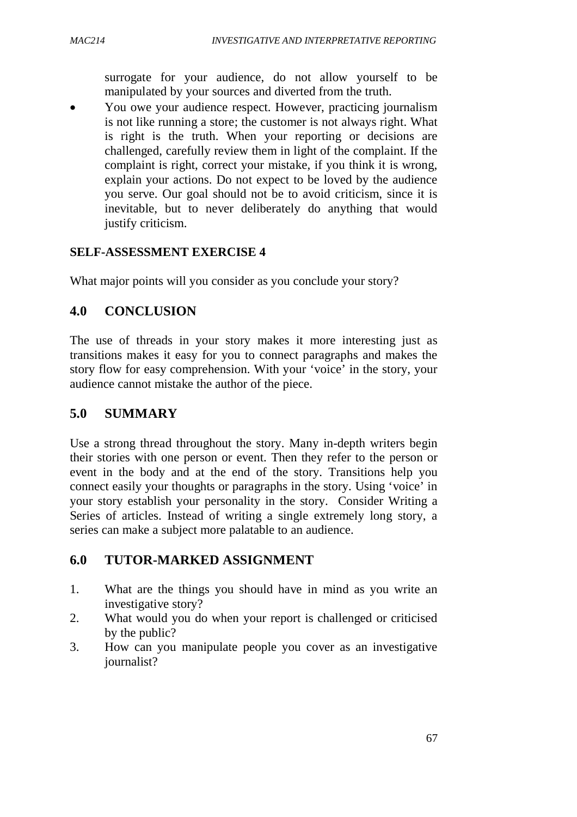surrogate for your audience, do not allow yourself to be manipulated by your sources and diverted from the truth.

 You owe your audience respect. However, practicing journalism is not like running a store; the customer is not always right. What is right is the truth. When your reporting or decisions are challenged, carefully review them in light of the complaint. If the complaint is right, correct your mistake, if you think it is wrong, explain your actions. Do not expect to be loved by the audience you serve. Our goal should not be to avoid criticism, since it is inevitable, but to never deliberately do anything that would justify criticism.

#### **SELF-ASSESSMENT EXERCISE 4**

What major points will you consider as you conclude your story?

# **4.0 CONCLUSION**

The use of threads in your story makes it more interesting just as transitions makes it easy for you to connect paragraphs and makes the story flow for easy comprehension. With your 'voice' in the story, your audience cannot mistake the author of the piece.

### **5.0 SUMMARY**

Use a strong thread throughout the story. Many in-depth writers begin their stories with one person or event. Then they refer to the person or event in the body and at the end of the story. Transitions help you connect easily your thoughts or paragraphs in the story. Using 'voice' in your story establish your personality in the story. Consider Writing a Series of articles. Instead of writing a single extremely long story, a series can make a subject more palatable to an audience.

# **6.0 TUTOR-MARKED ASSIGNMENT**

- 1. What are the things you should have in mind as you write an investigative story?
- 2. What would you do when your report is challenged or criticised by the public?
- 3. How can you manipulate people you cover as an investigative journalist?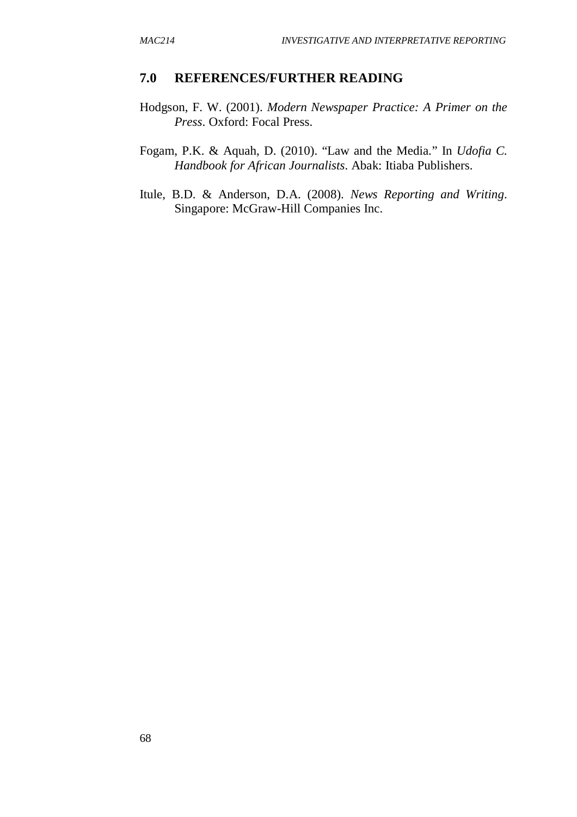#### **7.0 REFERENCES/FURTHER READING**

- Hodgson, F. W. (2001). *Modern Newspaper Practice: A Primer on the Press*. Oxford: Focal Press.
- Fogam, P.K. & Aquah, D. (2010). "Law and the Media*.*" In *Udofia C. Handbook for African Journalists*. Abak: Itiaba Publishers.
- Itule, B.D. & Anderson, D.A. (2008). *News Reporting and Writing*. Singapore: McGraw-Hill Companies Inc.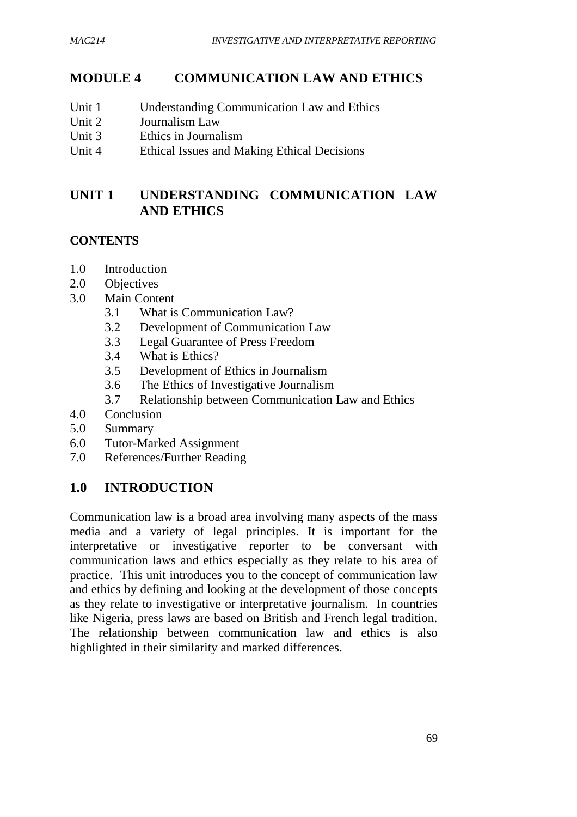# **MODULE 4 COMMUNICATION LAW AND ETHICS**

- Unit 1 Understanding Communication Law and Ethics
- Unit 2 Journalism Law
- Unit 3 Ethics in Journalism
- Unit 4 Ethical Issues and Making Ethical Decisions

# **UNIT 1 UNDERSTANDING COMMUNICATION LAW AND ETHICS**

### **CONTENTS**

- 1.0 Introduction
- 2.0 Objectives
- 3.0 Main Content
	- 3.1 What is Communication Law?
	- 3.2 Development of Communication Law
	- 3.3 Legal Guarantee of Press Freedom
	- 3.4 What is Ethics?
	- 3.5 Development of Ethics in Journalism
	- 3.6 The Ethics of Investigative Journalism
	- 3.7 Relationship between Communication Law and Ethics
- 4.0 Conclusion
- 5.0 Summary
- 6.0 Tutor-Marked Assignment
- 7.0 References/Further Reading

# **1.0 INTRODUCTION**

Communication law is a broad area involving many aspects of the mass media and a variety of legal principles. It is important for the interpretative or investigative reporter to be conversant with communication laws and ethics especially as they relate to his area of practice. This unit introduces you to the concept of communication law and ethics by defining and looking at the development of those concepts as they relate to investigative or interpretative journalism. In countries like Nigeria, press laws are based on British and French legal tradition. The relationship between communication law and ethics is also highlighted in their similarity and marked differences.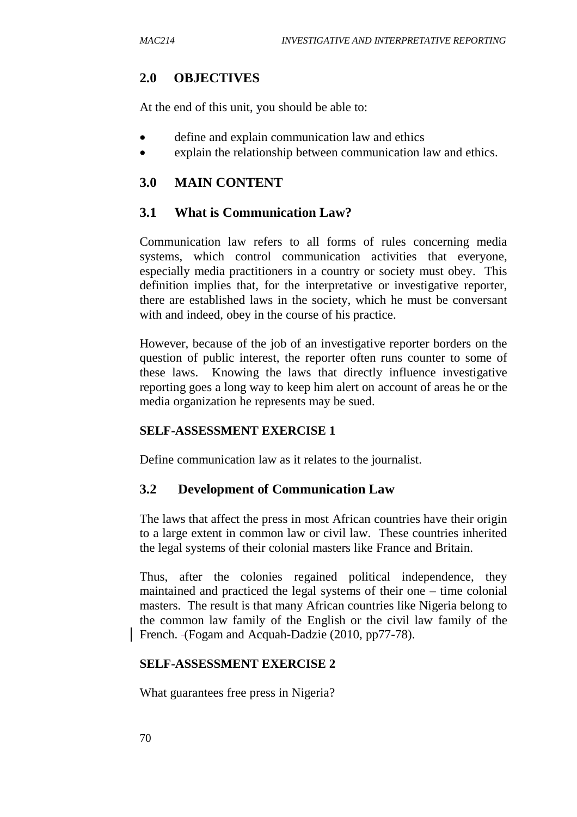### **2.0 OBJECTIVES**

At the end of this unit, you should be able to:

- define and explain communication law and ethics
- explain the relationship between communication law and ethics.

### **3.0 MAIN CONTENT**

### **3.1 What is Communication Law?**

Communication law refers to all forms of rules concerning media systems, which control communication activities that everyone, especially media practitioners in a country or society must obey. This definition implies that, for the interpretative or investigative reporter, there are established laws in the society, which he must be conversant with and indeed, obey in the course of his practice.

However, because of the job of an investigative reporter borders on the question of public interest, the reporter often runs counter to some of these laws. Knowing the laws that directly influence investigative reporting goes a long way to keep him alert on account of areas he or the media organization he represents may be sued.

#### **SELF-ASSESSMENT EXERCISE 1**

Define communication law as it relates to the journalist.

#### **3.2 Development of Communication Law**

The laws that affect the press in most African countries have their origin to a large extent in common law or civil law. These countries inherited the legal systems of their colonial masters like France and Britain.

Thus, after the colonies regained political independence, they maintained and practiced the legal systems of their one – time colonial masters. The result is that many African countries like Nigeria belong to the common law family of the English or the civil law family of the French. (Fogam and Acquah-Dadzie (2010, pp77-78).

#### **SELF-ASSESSMENT EXERCISE 2**

What guarantees free press in Nigeria?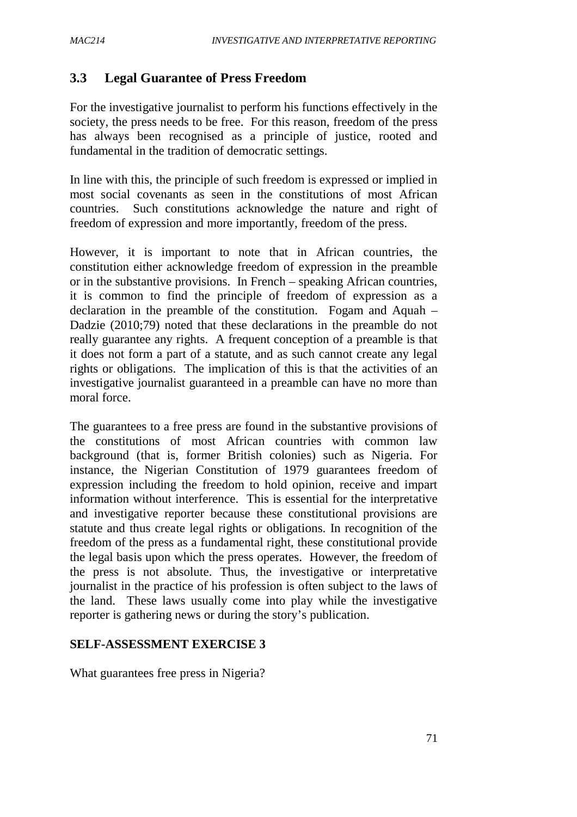### **3.3 Legal Guarantee of Press Freedom**

For the investigative journalist to perform his functions effectively in the society, the press needs to be free. For this reason, freedom of the press has always been recognised as a principle of justice, rooted and fundamental in the tradition of democratic settings.

In line with this, the principle of such freedom is expressed or implied in most social covenants as seen in the constitutions of most African countries. Such constitutions acknowledge the nature and right of freedom of expression and more importantly, freedom of the press.

However, it is important to note that in African countries, the constitution either acknowledge freedom of expression in the preamble or in the substantive provisions. In French – speaking African countries, it is common to find the principle of freedom of expression as a declaration in the preamble of the constitution. Fogam and Aquah – Dadzie (2010;79) noted that these declarations in the preamble do not really guarantee any rights. A frequent conception of a preamble is that it does not form a part of a statute, and as such cannot create any legal rights or obligations. The implication of this is that the activities of an investigative journalist guaranteed in a preamble can have no more than moral force.

The guarantees to a free press are found in the substantive provisions of the constitutions of most African countries with common law background (that is, former British colonies) such as Nigeria. For instance, the Nigerian Constitution of 1979 guarantees freedom of expression including the freedom to hold opinion, receive and impart information without interference. This is essential for the interpretative and investigative reporter because these constitutional provisions are statute and thus create legal rights or obligations. In recognition of the freedom of the press as a fundamental right, these constitutional provide the legal basis upon which the press operates. However, the freedom of the press is not absolute. Thus, the investigative or interpretative journalist in the practice of his profession is often subject to the laws of the land. These laws usually come into play while the investigative reporter is gathering news or during the story's publication.

### **SELF-ASSESSMENT EXERCISE 3**

What guarantees free press in Nigeria?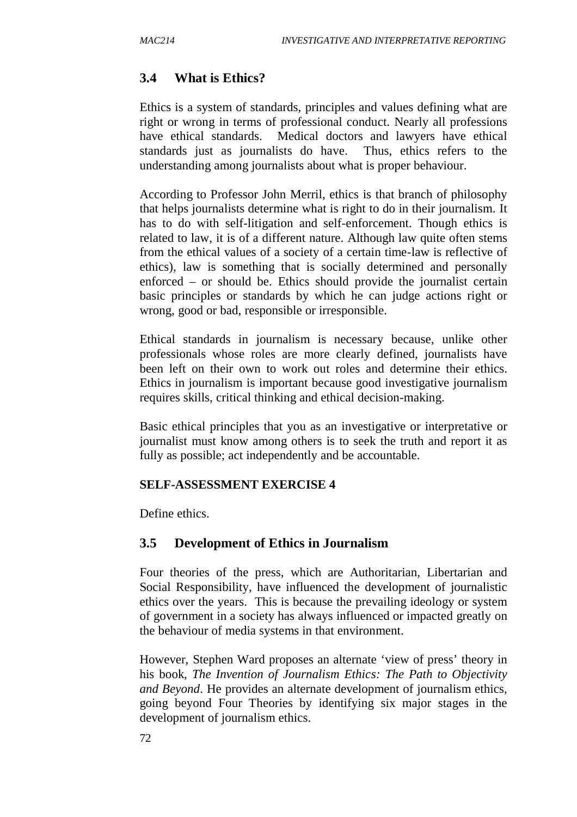### **3.4 What is Ethics?**

Ethics is a system of standards, principles and values defining what are right or wrong in terms of professional conduct. Nearly all professions have ethical standards. Medical doctors and lawyers have ethical standards just as journalists do have. Thus, ethics refers to the understanding among journalists about what is proper behaviour.

According to Professor John Merril, ethics is that branch of philosophy that helps journalists determine what is right to do in their journalism. It has to do with self-litigation and self-enforcement. Though ethics is related to law, it is of a different nature. Although law quite often stems from the ethical values of a society of a certain time-law is reflective of ethics), law is something that is socially determined and personally enforced – or should be. Ethics should provide the journalist certain basic principles or standards by which he can judge actions right or wrong, good or bad, responsible or irresponsible.

Ethical standards in journalism is necessary because, unlike other professionals whose roles are more clearly defined, journalists have been left on their own to work out roles and determine their ethics. Ethics in journalism is important because good investigative journalism requires skills, critical thinking and ethical decision-making.

Basic ethical principles that you as an investigative or interpretative or journalist must know among others is to seek the truth and report it as fully as possible; act independently and be accountable.

#### **SELF-ASSESSMENT EXERCISE 4**

Define ethics.

#### **3.5 Development of Ethics in Journalism**

Four theories of the press, which are Authoritarian, Libertarian and Social Responsibility, have influenced the development of journalistic ethics over the years. This is because the prevailing ideology or system of government in a society has always influenced or impacted greatly on the behaviour of media systems in that environment.

However, Stephen Ward proposes an alternate 'view of press' theory in his book, *The Invention of Journalism Ethics: The Path to Objectivity and Beyond*. He provides an alternate development of journalism ethics, going beyond Four Theories by identifying six major stages in the development of journalism ethics.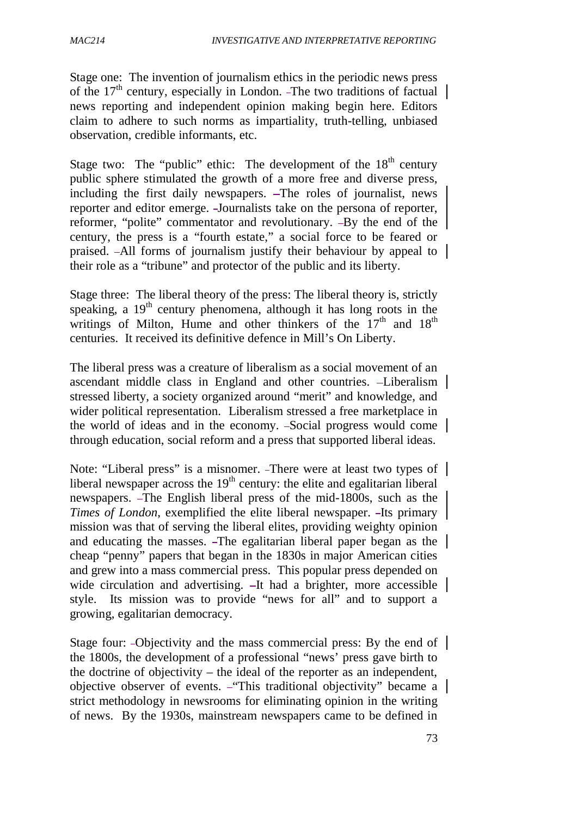Stage one: The invention of journalism ethics in the periodic news press of the  $17<sup>th</sup>$  century, especially in London. -The two traditions of factual news reporting and independent opinion making begin here. Editors claim to adhere to such norms as impartiality, truth-telling, unbiased observation, credible informants, etc.

Stage two: The "public" ethic: The development of the  $18<sup>th</sup>$  century public sphere stimulated the growth of a more free and diverse press, including the first daily newspapers.  $-$ The roles of journalist, news reporter and editor emerge. Journalists take on the persona of reporter, reformer, "polite" commentator and revolutionary. -By the end of the century, the press is a "fourth estate," a social force to be feared or praised. All forms of journalism justify their behaviour by appeal to their role as a "tribune" and protector of the public and its liberty.

Stage three: The liberal theory of the press: The liberal theory is, strictly speaking, a  $19<sup>th</sup>$  century phenomena, although it has long roots in the writings of Milton, Hume and other thinkers of the  $17<sup>th</sup>$  and  $18<sup>th</sup>$ centuries. It received its definitive defence in Mill's On Liberty.

The liberal press was a creature of liberalism as a social movement of an ascendant middle class in England and other countries. Liberalism stressed liberty, a society organized around "merit" and knowledge, and wider political representation. Liberalism stressed a free marketplace in the world of ideas and in the economy. Social progress would come through education, social reform and a press that supported liberal ideas.

Note: "Liberal press" is a misnomer. -There were at least two types of liberal newspaper across the  $19<sup>th</sup>$  century: the elite and egalitarian liberal newspapers. The English liberal press of the mid-1800s, such as the *Times of London*, exemplified the elite liberal newspaper. -Its primary mission was that of serving the liberal elites, providing weighty opinion and educating the masses. The egalitarian liberal paper began as the cheap "penny" papers that began in the 1830s in major American cities and grew into a mass commercial press. This popular press depended on wide circulation and advertising.  $-It$  had a brighter, more accessible style. Its mission was to provide "news for all" and to support a growing, egalitarian democracy.

Stage four: -Objectivity and the mass commercial press: By the end of the 1800s, the development of a professional "news' press gave birth to the doctrine of objectivity – the ideal of the reporter as an independent, objective observer of events. - This traditional objectivity" became a strict methodology in newsrooms for eliminating opinion in the writing of news. By the 1930s, mainstream newspapers came to be defined in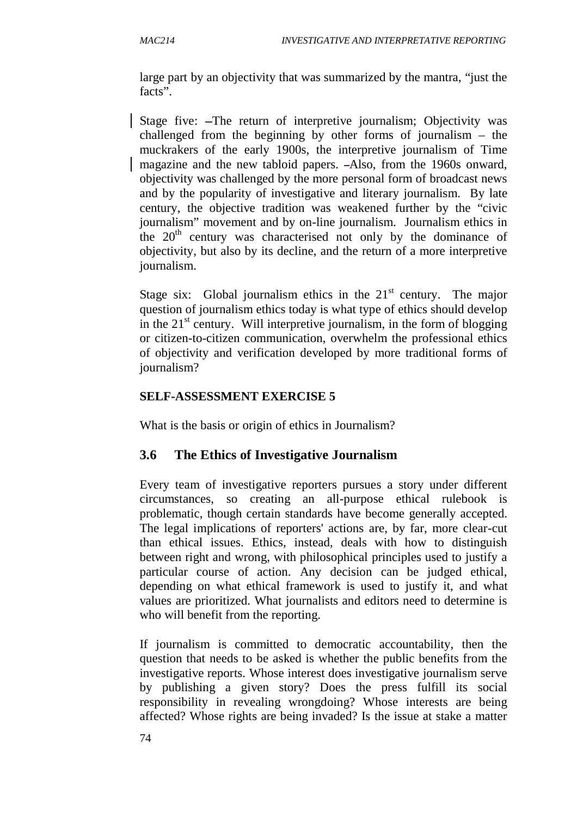large part by an objectivity that was summarized by the mantra, "just the facts".

Stage five: -The return of interpretive journalism; Objectivity was challenged from the beginning by other forms of journalism – the muckrakers of the early 1900s, the interpretive journalism of Time magazine and the new tabloid papers. Also, from the 1960s onward, objectivity was challenged by the more personal form of broadcast news and by the popularity of investigative and literary journalism. By late century, the objective tradition was weakened further by the "civic journalism" movement and by on-line journalism. Journalism ethics in the  $20<sup>th</sup>$  century was characterised not only by the dominance of objectivity, but also by its decline, and the return of a more interpretive journalism.

Stage six: Global journalism ethics in the  $21<sup>st</sup>$  century. The major question of journalism ethics today is what type of ethics should develop in the  $21<sup>st</sup>$  century. Will interpretive journalism, in the form of blogging or citizen-to-citizen communication, overwhelm the professional ethics of objectivity and verification developed by more traditional forms of journalism?

# **SELF-ASSESSMENT EXERCISE 5**

What is the basis or origin of ethics in Journalism?

# **3.6 The Ethics of Investigative Journalism**

Every team of investigative reporters pursues a story under different circumstances, so creating an all-purpose ethical rulebook is problematic, though certain standards have become generally accepted. The legal implications of reporters' actions are, by far, more clear-cut than ethical issues. Ethics, instead, deals with how to distinguish between right and wrong, with philosophical principles used to justify a particular course of action. Any decision can be judged ethical, depending on what ethical framework is used to justify it, and what values are prioritized. What journalists and editors need to determine is who will benefit from the reporting.

If journalism is committed to democratic accountability, then the question that needs to be asked is whether the public benefits from the investigative reports. Whose interest does investigative journalism serve by publishing a given story? Does the press fulfill its social responsibility in revealing wrongdoing? Whose interests are being affected? Whose rights are being invaded? Is the issue at stake a matter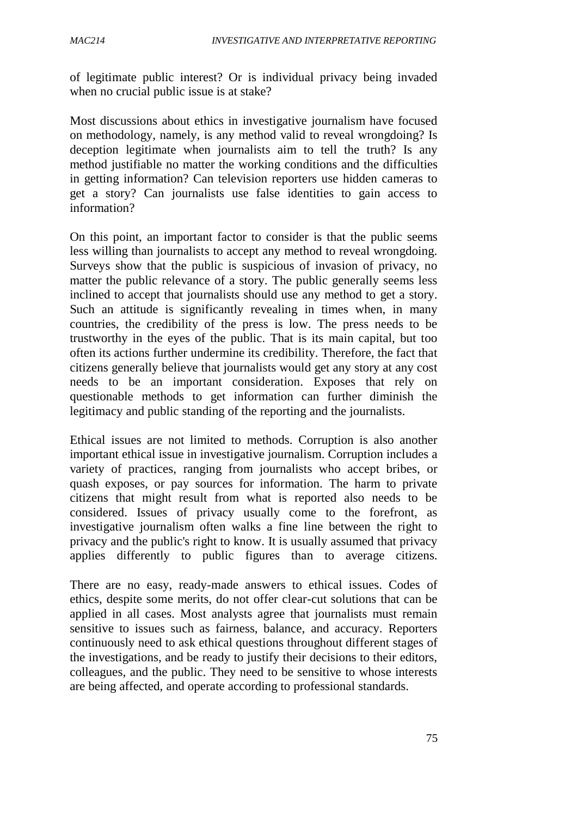of legitimate public interest? Or is individual privacy being invaded when no crucial public issue is at stake?

Most discussions about ethics in investigative journalism have focused on methodology, namely, is any method valid to reveal wrongdoing? Is deception legitimate when journalists aim to tell the truth? Is any method justifiable no matter the working conditions and the difficulties in getting information? Can television reporters use hidden cameras to get a story? Can journalists use false identities to gain access to information?

On this point, an important factor to consider is that the public seems less willing than journalists to accept any method to reveal wrongdoing. Surveys show that the public is suspicious of invasion of privacy, no matter the public relevance of a story. The public generally seems less inclined to accept that journalists should use any method to get a story. Such an attitude is significantly revealing in times when, in many countries, the credibility of the press is low. The press needs to be trustworthy in the eyes of the public. That is its main capital, but too often its actions further undermine its credibility. Therefore, the fact that citizens generally believe that journalists would get any story at any cost needs to be an important consideration. Exposes that rely on questionable methods to get information can further diminish the legitimacy and public standing of the reporting and the journalists.

Ethical issues are not limited to methods. Corruption is also another important ethical issue in investigative journalism. Corruption includes a variety of practices, ranging from journalists who accept bribes, or quash exposes, or pay sources for information. The harm to private citizens that might result from what is reported also needs to be considered. Issues of privacy usually come to the forefront, as investigative journalism often walks a fine line between the right to privacy and the public's right to know. It is usually assumed that privacy applies differently to public figures than to average citizens.

There are no easy, ready-made answers to ethical issues. Codes of ethics, despite some merits, do not offer clear-cut solutions that can be applied in all cases. Most analysts agree that journalists must remain sensitive to issues such as fairness, balance, and accuracy. Reporters continuously need to ask ethical questions throughout different stages of the investigations, and be ready to justify their decisions to their editors, colleagues, and the public. They need to be sensitive to whose interests are being affected, and operate according to professional standards.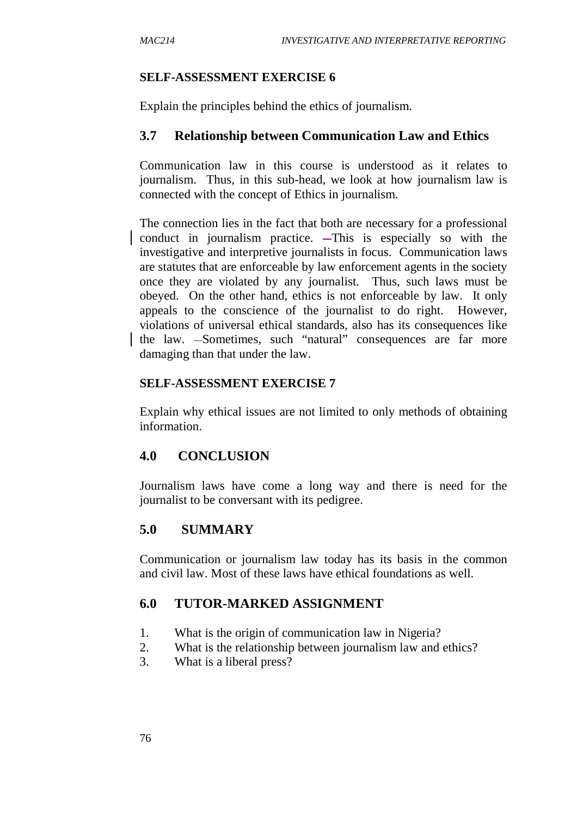#### **SELF-ASSESSMENT EXERCISE 6**

Explain the principles behind the ethics of journalism.

#### **3.7 Relationship between Communication Law and Ethics**

Communication law in this course is understood as it relates to journalism. Thus, in this sub-head, we look at how journalism law is connected with the concept of Ethics in journalism.

The connection lies in the fact that both are necessary for a professional conduct in journalism practice. This is especially so with the investigative and interpretive journalists in focus. Communication laws are statutes that are enforceable by law enforcement agents in the society once they are violated by any journalist. Thus, such laws must be obeyed. On the other hand, ethics is not enforceable by law. It only appeals to the conscience of the journalist to do right. However, violations of universal ethical standards, also has its consequences like the law. -Sometimes, such "natural" consequences are far more damaging than that under the law.

#### **SELF-ASSESSMENT EXERCISE 7**

Explain why ethical issues are not limited to only methods of obtaining information.

#### **4.0 CONCLUSION**

Journalism laws have come a long way and there is need for the journalist to be conversant with its pedigree.

#### **5.0 SUMMARY**

Communication or journalism law today has its basis in the common and civil law. Most of these laws have ethical foundations as well.

#### **6.0 TUTOR-MARKED ASSIGNMENT**

- 1. What is the origin of communication law in Nigeria?
- 2. What is the relationship between journalism law and ethics?
- 3. What is a liberal press?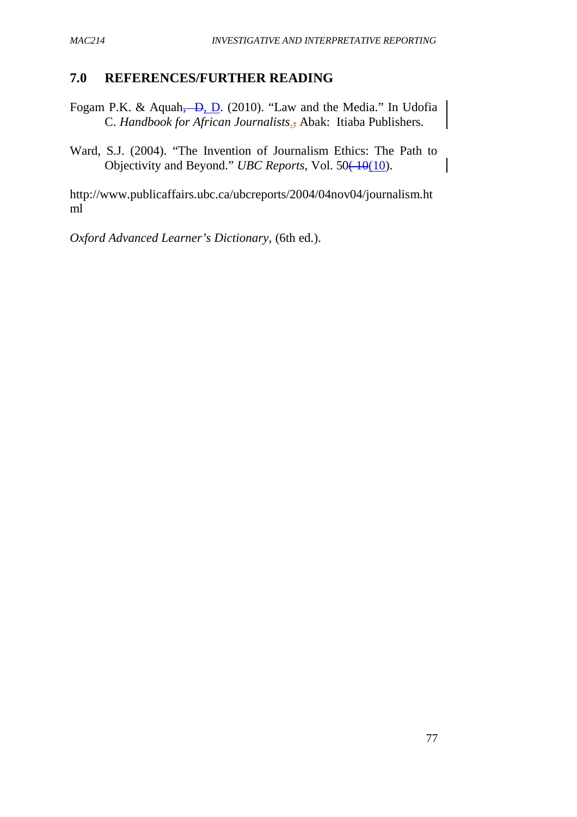### **7.0 REFERENCES/FURTHER READING**

- Fogam P.K. & Aquah, D. (2010). "Law and the Media." In Udofia C. *Handbook for African Journalists*., Abak: Itiaba Publishers.
- Ward, S.J. (2004). "The Invention of Journalism Ethics: The Path to Objectivity and Beyond." *UBC Reports*, Vol. 50<del>(10</del>(10).

http://www.publicaffairs.ubc.ca/ubcreports/2004/04nov04/journalism.ht ml

*Oxford Advanced Learner's Dictionary*, (6th ed.).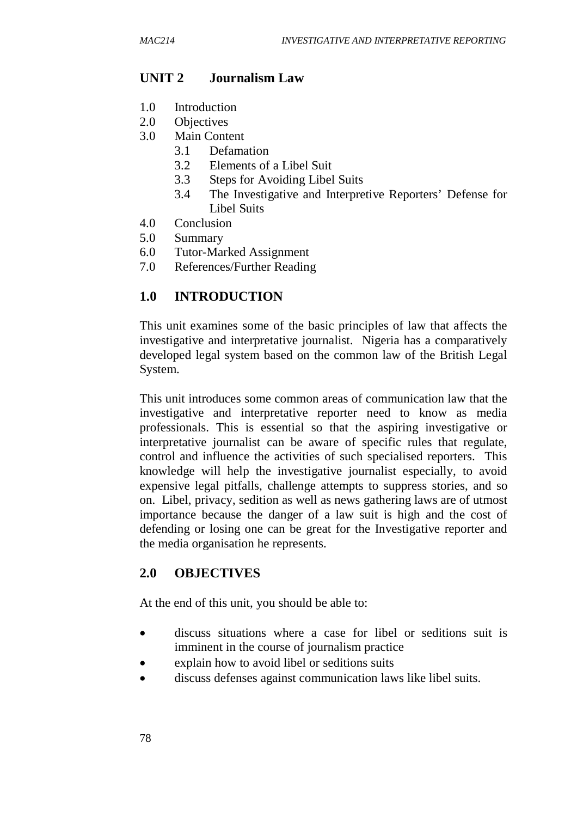### **UNIT 2 Journalism Law**

- 1.0 Introduction
- 2.0 Objectives
- 3.0 Main Content
	- 3.1 Defamation
	- 3.2 Elements of a Libel Suit
	- 3.3 Steps for Avoiding Libel Suits
	- 3.4 The Investigative and Interpretive Reporters' Defense for Libel Suits
- 4.0 Conclusion
- 5.0 Summary
- 6.0 Tutor-Marked Assignment
- 7.0 References/Further Reading

#### **1.0 INTRODUCTION**

This unit examines some of the basic principles of law that affects the investigative and interpretative journalist. Nigeria has a comparatively developed legal system based on the common law of the British Legal System.

This unit introduces some common areas of communication law that the investigative and interpretative reporter need to know as media professionals. This is essential so that the aspiring investigative or interpretative journalist can be aware of specific rules that regulate, control and influence the activities of such specialised reporters. This knowledge will help the investigative journalist especially, to avoid expensive legal pitfalls, challenge attempts to suppress stories, and so on. Libel, privacy, sedition as well as news gathering laws are of utmost importance because the danger of a law suit is high and the cost of defending or losing one can be great for the Investigative reporter and the media organisation he represents.

#### **2.0 OBJECTIVES**

At the end of this unit, you should be able to:

- discuss situations where a case for libel or seditions suit is imminent in the course of journalism practice
- explain how to avoid libel or seditions suits
- discuss defenses against communication laws like libel suits.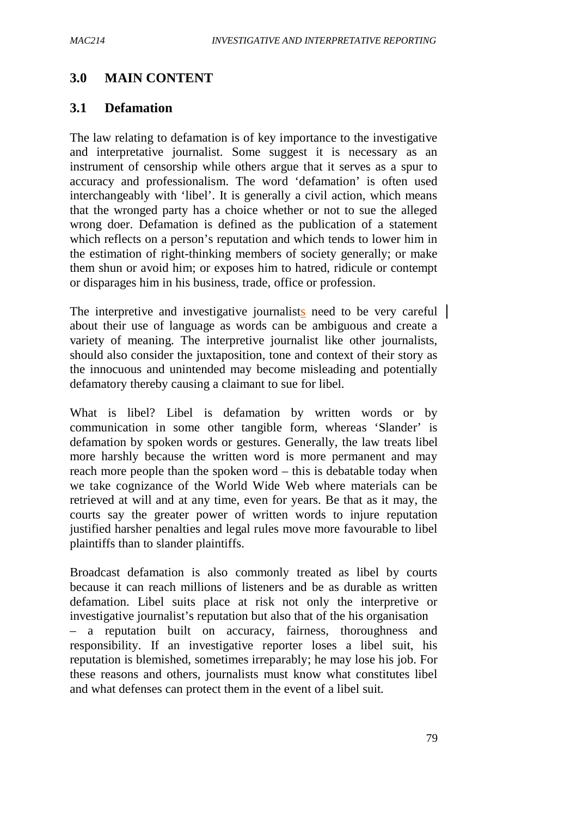# **3.0 MAIN CONTENT**

### **3.1 Defamation**

The law relating to defamation is of key importance to the investigative and interpretative journalist. Some suggest it is necessary as an instrument of censorship while others argue that it serves as a spur to accuracy and professionalism. The word 'defamation' is often used interchangeably with 'libel'. It is generally a civil action, which means that the wronged party has a choice whether or not to sue the alleged wrong doer. Defamation is defined as the publication of a statement which reflects on a person's reputation and which tends to lower him in the estimation of right-thinking members of society generally; or make them shun or avoid him; or exposes him to hatred, ridicule or contempt or disparages him in his business, trade, office or profession.

The interpretive and investigative journalists need to be very careful  $\vert$ about their use of language as words can be ambiguous and create a variety of meaning. The interpretive journalist like other journalists, should also consider the juxtaposition, tone and context of their story as the innocuous and unintended may become misleading and potentially defamatory thereby causing a claimant to sue for libel.

What is libel? Libel is defamation by written words or by communication in some other tangible form, whereas 'Slander' is defamation by spoken words or gestures. Generally, the law treats libel more harshly because the written word is more permanent and may reach more people than the spoken word – this is debatable today when we take cognizance of the World Wide Web where materials can be retrieved at will and at any time, even for years. Be that as it may, the courts say the greater power of written words to injure reputation justified harsher penalties and legal rules move more favourable to libel plaintiffs than to slander plaintiffs.

Broadcast defamation is also commonly treated as libel by courts because it can reach millions of listeners and be as durable as written defamation. Libel suits place at risk not only the interpretive or investigative journalist's reputation but also that of the his organisation – a reputation built on accuracy, fairness, thoroughness and responsibility. If an investigative reporter loses a libel suit, his reputation is blemished, sometimes irreparably; he may lose his job. For these reasons and others, journalists must know what constitutes libel and what defenses can protect them in the event of a libel suit.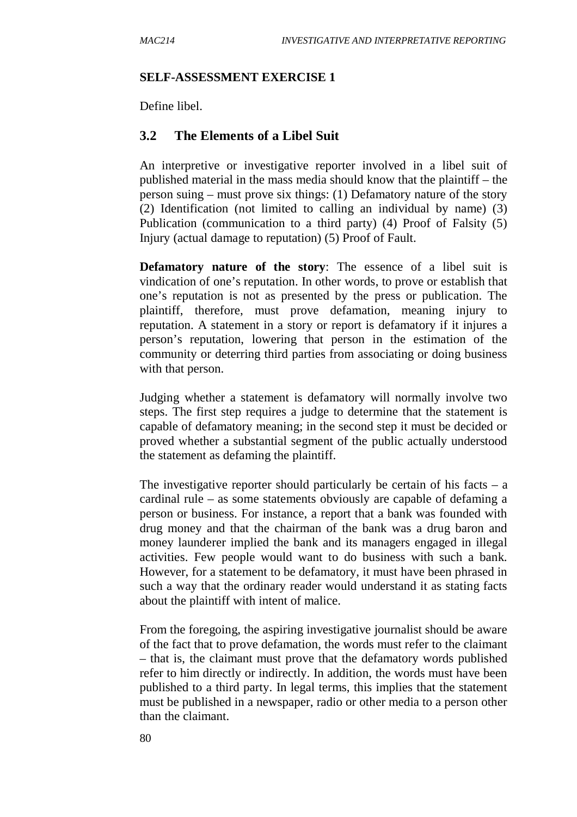#### **SELF-ASSESSMENT EXERCISE 1**

Define libel.

#### **3.2 The Elements of a Libel Suit**

An interpretive or investigative reporter involved in a libel suit of published material in the mass media should know that the plaintiff – the person suing – must prove six things: (1) Defamatory nature of the story (2) Identification (not limited to calling an individual by name) (3) Publication (communication to a third party) (4) Proof of Falsity (5) Injury (actual damage to reputation) (5) Proof of Fault.

**Defamatory nature of the story**: The essence of a libel suit is vindication of one's reputation. In other words, to prove or establish that one's reputation is not as presented by the press or publication. The plaintiff, therefore, must prove defamation, meaning injury to reputation. A statement in a story or report is defamatory if it injures a person's reputation, lowering that person in the estimation of the community or deterring third parties from associating or doing business with that person.

Judging whether a statement is defamatory will normally involve two steps. The first step requires a judge to determine that the statement is capable of defamatory meaning; in the second step it must be decided or proved whether a substantial segment of the public actually understood the statement as defaming the plaintiff.

The investigative reporter should particularly be certain of his facts  $- a$ cardinal rule – as some statements obviously are capable of defaming a person or business. For instance, a report that a bank was founded with drug money and that the chairman of the bank was a drug baron and money launderer implied the bank and its managers engaged in illegal activities. Few people would want to do business with such a bank. However, for a statement to be defamatory, it must have been phrased in such a way that the ordinary reader would understand it as stating facts about the plaintiff with intent of malice.

From the foregoing, the aspiring investigative journalist should be aware of the fact that to prove defamation, the words must refer to the claimant – that is, the claimant must prove that the defamatory words published refer to him directly or indirectly. In addition, the words must have been published to a third party. In legal terms, this implies that the statement must be published in a newspaper, radio or other media to a person other than the claimant.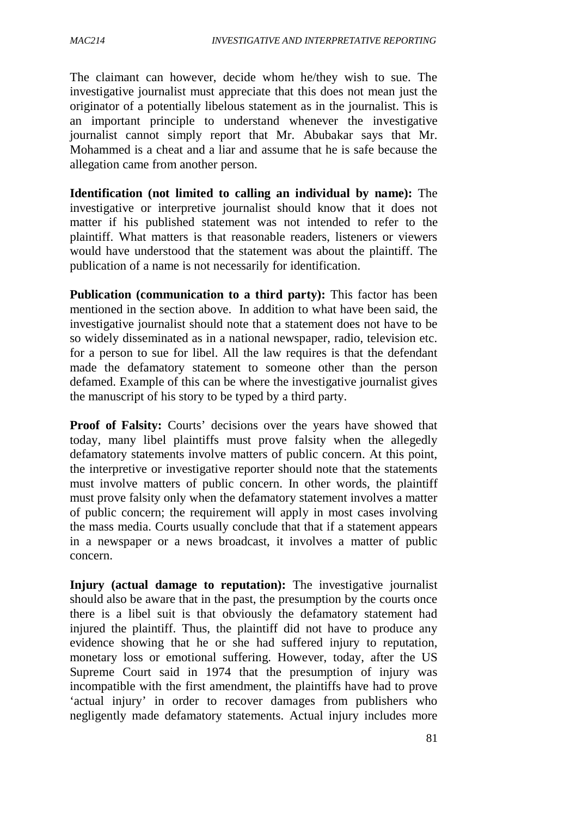The claimant can however, decide whom he/they wish to sue. The investigative journalist must appreciate that this does not mean just the originator of a potentially libelous statement as in the journalist. This is an important principle to understand whenever the investigative journalist cannot simply report that Mr. Abubakar says that Mr. Mohammed is a cheat and a liar and assume that he is safe because the allegation came from another person.

**Identification (not limited to calling an individual by name):** The investigative or interpretive journalist should know that it does not matter if his published statement was not intended to refer to the plaintiff. What matters is that reasonable readers, listeners or viewers would have understood that the statement was about the plaintiff. The publication of a name is not necessarily for identification.

**Publication (communication to a third party):** This factor has been mentioned in the section above. In addition to what have been said, the investigative journalist should note that a statement does not have to be so widely disseminated as in a national newspaper, radio, television etc. for a person to sue for libel. All the law requires is that the defendant made the defamatory statement to someone other than the person defamed. Example of this can be where the investigative journalist gives the manuscript of his story to be typed by a third party.

**Proof of Falsity:** Courts' decisions over the years have showed that today, many libel plaintiffs must prove falsity when the allegedly defamatory statements involve matters of public concern. At this point, the interpretive or investigative reporter should note that the statements must involve matters of public concern. In other words, the plaintiff must prove falsity only when the defamatory statement involves a matter of public concern; the requirement will apply in most cases involving the mass media. Courts usually conclude that that if a statement appears in a newspaper or a news broadcast, it involves a matter of public concern.

**Injury (actual damage to reputation):** The investigative journalist should also be aware that in the past, the presumption by the courts once there is a libel suit is that obviously the defamatory statement had injured the plaintiff. Thus, the plaintiff did not have to produce any evidence showing that he or she had suffered injury to reputation, monetary loss or emotional suffering. However, today, after the US Supreme Court said in 1974 that the presumption of injury was incompatible with the first amendment, the plaintiffs have had to prove 'actual injury' in order to recover damages from publishers who negligently made defamatory statements. Actual injury includes more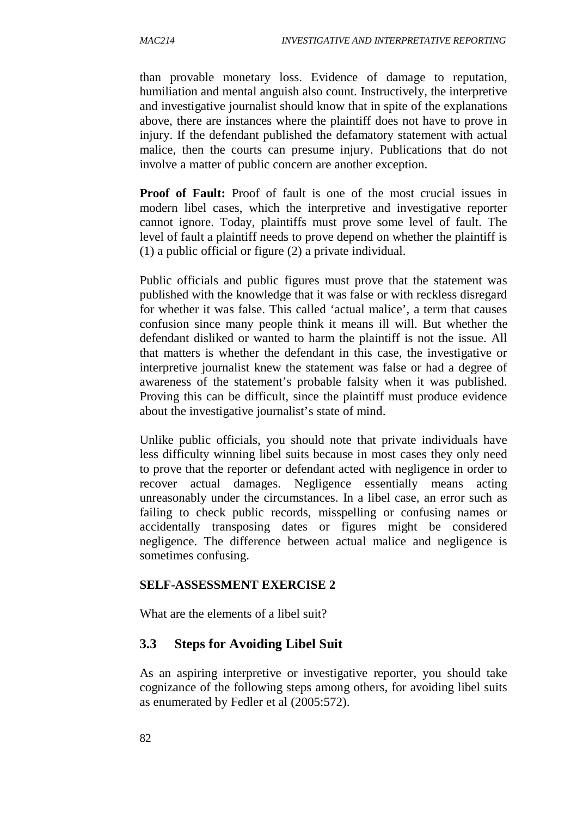than provable monetary loss. Evidence of damage to reputation, humiliation and mental anguish also count. Instructively, the interpretive and investigative journalist should know that in spite of the explanations above, there are instances where the plaintiff does not have to prove in injury. If the defendant published the defamatory statement with actual malice, then the courts can presume injury. Publications that do not involve a matter of public concern are another exception.

**Proof of Fault:** Proof of fault is one of the most crucial issues in modern libel cases, which the interpretive and investigative reporter cannot ignore. Today, plaintiffs must prove some level of fault. The level of fault a plaintiff needs to prove depend on whether the plaintiff is (1) a public official or figure (2) a private individual.

Public officials and public figures must prove that the statement was published with the knowledge that it was false or with reckless disregard for whether it was false. This called 'actual malice', a term that causes confusion since many people think it means ill will. But whether the defendant disliked or wanted to harm the plaintiff is not the issue. All that matters is whether the defendant in this case, the investigative or interpretive journalist knew the statement was false or had a degree of awareness of the statement's probable falsity when it was published. Proving this can be difficult, since the plaintiff must produce evidence about the investigative journalist's state of mind.

Unlike public officials, you should note that private individuals have less difficulty winning libel suits because in most cases they only need to prove that the reporter or defendant acted with negligence in order to recover actual damages. Negligence essentially means acting unreasonably under the circumstances. In a libel case, an error such as failing to check public records, misspelling or confusing names or accidentally transposing dates or figures might be considered negligence. The difference between actual malice and negligence is sometimes confusing.

#### **SELF-ASSESSMENT EXERCISE 2**

What are the elements of a libel suit?

#### **3.3 Steps for Avoiding Libel Suit**

As an aspiring interpretive or investigative reporter, you should take cognizance of the following steps among others, for avoiding libel suits as enumerated by Fedler et al (2005:572).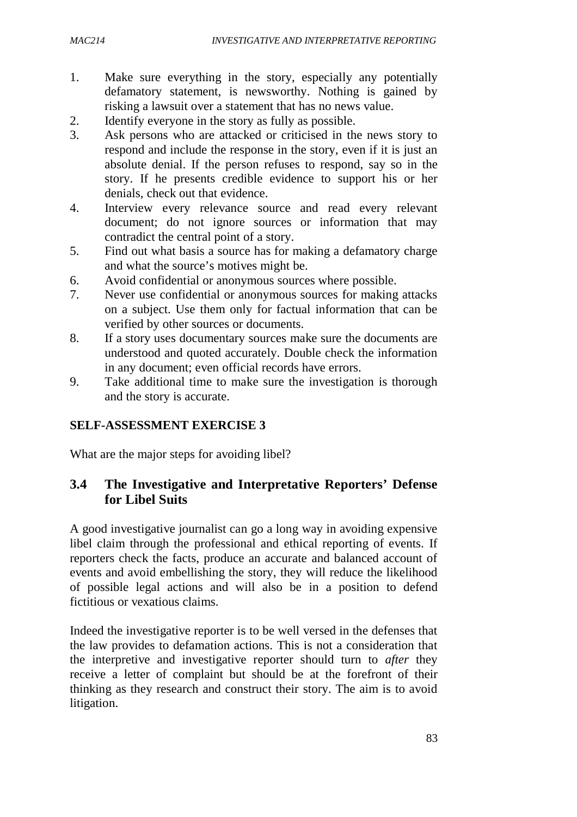- 1. Make sure everything in the story, especially any potentially defamatory statement, is newsworthy. Nothing is gained by risking a lawsuit over a statement that has no news value.
- 2. Identify everyone in the story as fully as possible.
- 3. Ask persons who are attacked or criticised in the news story to respond and include the response in the story, even if it is just an absolute denial. If the person refuses to respond, say so in the story. If he presents credible evidence to support his or her denials, check out that evidence.
- 4. Interview every relevance source and read every relevant document; do not ignore sources or information that may contradict the central point of a story.
- 5. Find out what basis a source has for making a defamatory charge and what the source's motives might be.
- 6. Avoid confidential or anonymous sources where possible.
- 7. Never use confidential or anonymous sources for making attacks on a subject. Use them only for factual information that can be verified by other sources or documents.
- 8. If a story uses documentary sources make sure the documents are understood and quoted accurately. Double check the information in any document; even official records have errors.
- 9. Take additional time to make sure the investigation is thorough and the story is accurate.

#### **SELF-ASSESSMENT EXERCISE 3**

What are the major steps for avoiding libel?

# **3.4 The Investigative and Interpretative Reporters' Defense for Libel Suits**

A good investigative journalist can go a long way in avoiding expensive libel claim through the professional and ethical reporting of events. If reporters check the facts, produce an accurate and balanced account of events and avoid embellishing the story, they will reduce the likelihood of possible legal actions and will also be in a position to defend fictitious or vexatious claims.

Indeed the investigative reporter is to be well versed in the defenses that the law provides to defamation actions. This is not a consideration that the interpretive and investigative reporter should turn to *after* they receive a letter of complaint but should be at the forefront of their thinking as they research and construct their story. The aim is to avoid litigation.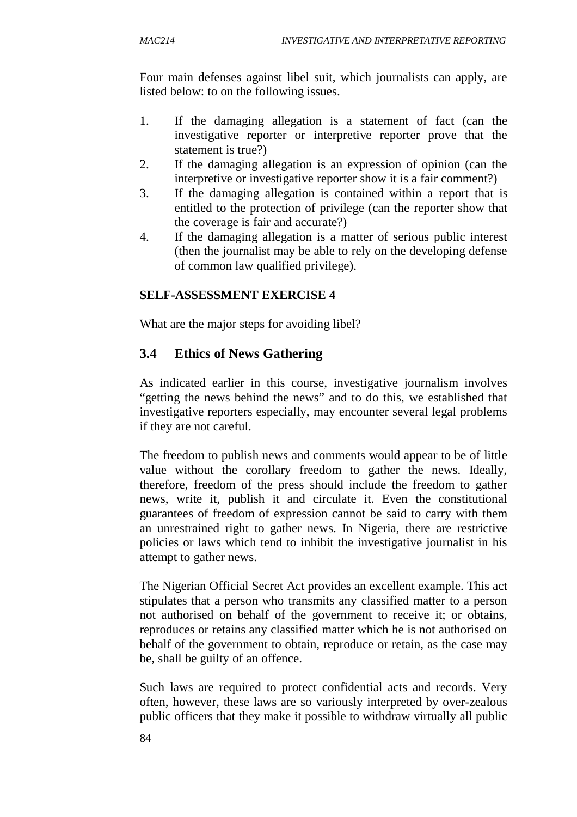Four main defenses against libel suit, which journalists can apply, are listed below: to on the following issues.

- 1. If the damaging allegation is a statement of fact (can the investigative reporter or interpretive reporter prove that the statement is true?)
- 2. If the damaging allegation is an expression of opinion (can the interpretive or investigative reporter show it is a fair comment?)
- 3. If the damaging allegation is contained within a report that is entitled to the protection of privilege (can the reporter show that the coverage is fair and accurate?)
- 4. If the damaging allegation is a matter of serious public interest (then the journalist may be able to rely on the developing defense of common law qualified privilege).

#### **SELF-ASSESSMENT EXERCISE 4**

What are the major steps for avoiding libel?

# **3.4 Ethics of News Gathering**

As indicated earlier in this course, investigative journalism involves "getting the news behind the news" and to do this, we established that investigative reporters especially, may encounter several legal problems if they are not careful.

The freedom to publish news and comments would appear to be of little value without the corollary freedom to gather the news. Ideally, therefore, freedom of the press should include the freedom to gather news, write it, publish it and circulate it. Even the constitutional guarantees of freedom of expression cannot be said to carry with them an unrestrained right to gather news. In Nigeria, there are restrictive policies or laws which tend to inhibit the investigative journalist in his attempt to gather news.

The Nigerian Official Secret Act provides an excellent example. This act stipulates that a person who transmits any classified matter to a person not authorised on behalf of the government to receive it; or obtains, reproduces or retains any classified matter which he is not authorised on behalf of the government to obtain, reproduce or retain, as the case may be, shall be guilty of an offence.

Such laws are required to protect confidential acts and records. Very often, however, these laws are so variously interpreted by over-zealous public officers that they make it possible to withdraw virtually all public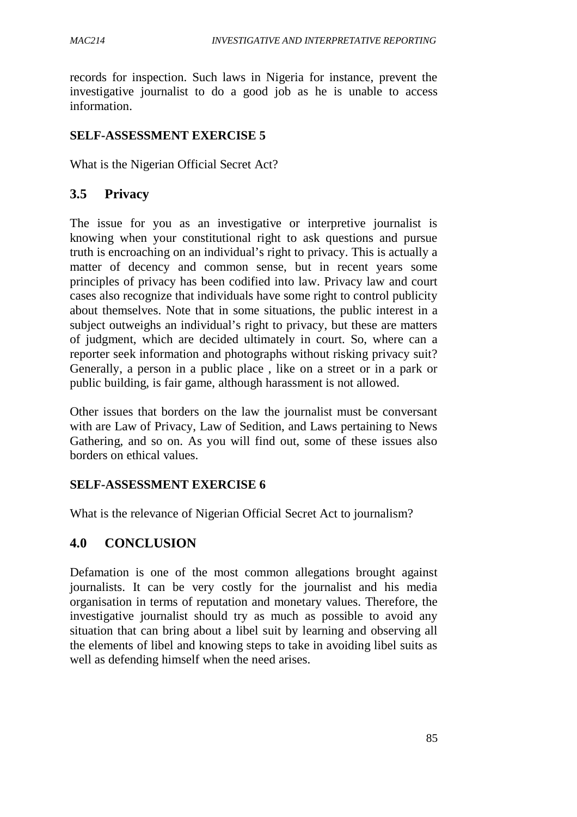records for inspection. Such laws in Nigeria for instance, prevent the investigative journalist to do a good job as he is unable to access information.

#### **SELF-ASSESSMENT EXERCISE 5**

What is the Nigerian Official Secret Act?

### **3.5 Privacy**

The issue for you as an investigative or interpretive journalist is knowing when your constitutional right to ask questions and pursue truth is encroaching on an individual's right to privacy. This is actually a matter of decency and common sense, but in recent years some principles of privacy has been codified into law. Privacy law and court cases also recognize that individuals have some right to control publicity about themselves. Note that in some situations, the public interest in a subject outweighs an individual's right to privacy, but these are matters of judgment, which are decided ultimately in court. So, where can a reporter seek information and photographs without risking privacy suit? Generally, a person in a public place , like on a street or in a park or public building, is fair game, although harassment is not allowed.

Other issues that borders on the law the journalist must be conversant with are Law of Privacy, Law of Sedition, and Laws pertaining to News Gathering, and so on. As you will find out, some of these issues also borders on ethical values.

#### **SELF-ASSESSMENT EXERCISE 6**

What is the relevance of Nigerian Official Secret Act to journalism?

# **4.0 CONCLUSION**

Defamation is one of the most common allegations brought against journalists. It can be very costly for the journalist and his media organisation in terms of reputation and monetary values. Therefore, the investigative journalist should try as much as possible to avoid any situation that can bring about a libel suit by learning and observing all the elements of libel and knowing steps to take in avoiding libel suits as well as defending himself when the need arises.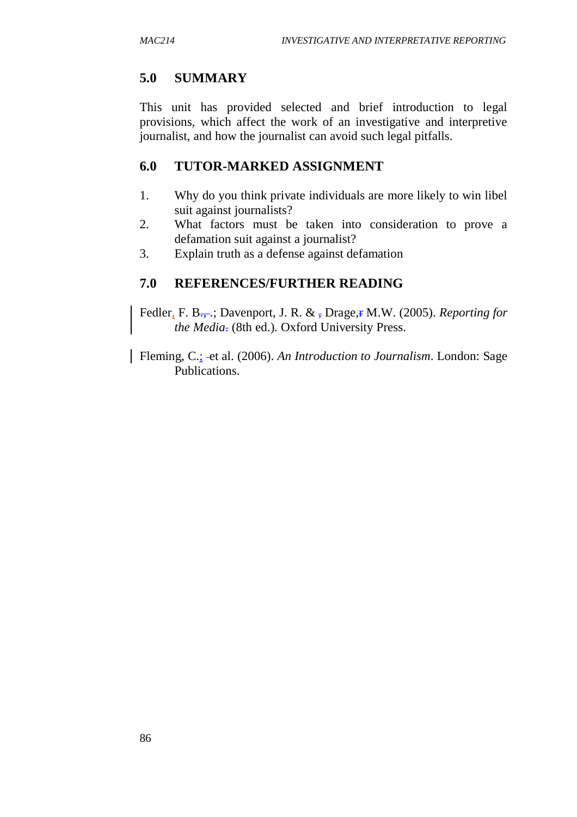# **5.0 SUMMARY**

This unit has provided selected and brief introduction to legal provisions, which affect the work of an investigative and interpretive journalist, and how the journalist can avoid such legal pitfalls.

# **6.0 TUTOR-MARKED ASSIGNMENT**

- 1. Why do you think private individuals are more likely to win libel suit against journalists?
- 2. What factors must be taken into consideration to prove a defamation suit against a journalist?
- 3. Explain truth as a defense against defamation

# **7.0 REFERENCES/FURTHER READING**

Fedler, F. B<sub> $\rightarrow$ </sub>: Davenport, J. R. &  $\bar{x}$  Drage,  $\bar{r}$  M.W. (2005). *Reporting for the Media*. (8th ed.). Oxford University Press.

Fleming, C.; et al. (2006). *An Introduction to Journalism*. London: Sage Publications.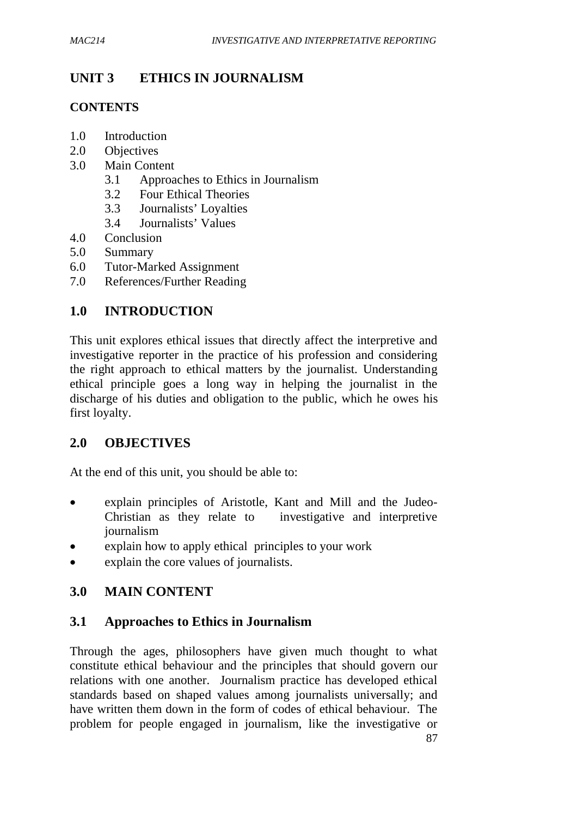# **UNIT 3 ETHICS IN JOURNALISM**

### **CONTENTS**

- 1.0 Introduction
- 2.0 Objectives
- 3.0 Main Content
	- 3.1 Approaches to Ethics in Journalism
	- 3.2 Four Ethical Theories
	- 3.3 Journalists' Loyalties
	- 3.4 Journalists' Values
- 4.0 Conclusion
- 5.0 Summary
- 6.0 Tutor-Marked Assignment
- 7.0 References/Further Reading

# **1.0 INTRODUCTION**

This unit explores ethical issues that directly affect the interpretive and investigative reporter in the practice of his profession and considering the right approach to ethical matters by the journalist. Understanding ethical principle goes a long way in helping the journalist in the discharge of his duties and obligation to the public, which he owes his first loyalty.

# **2.0 OBJECTIVES**

At the end of this unit, you should be able to:

- explain principles of Aristotle, Kant and Mill and the Judeo-Christian as they relate to investigative and interpretive journalism
- explain how to apply ethical principles to your work
- explain the core values of journalists.

# **3.0 MAIN CONTENT**

# **3.1 Approaches to Ethics in Journalism**

Through the ages, philosophers have given much thought to what constitute ethical behaviour and the principles that should govern our relations with one another. Journalism practice has developed ethical standards based on shaped values among journalists universally; and have written them down in the form of codes of ethical behaviour. The problem for people engaged in journalism, like the investigative or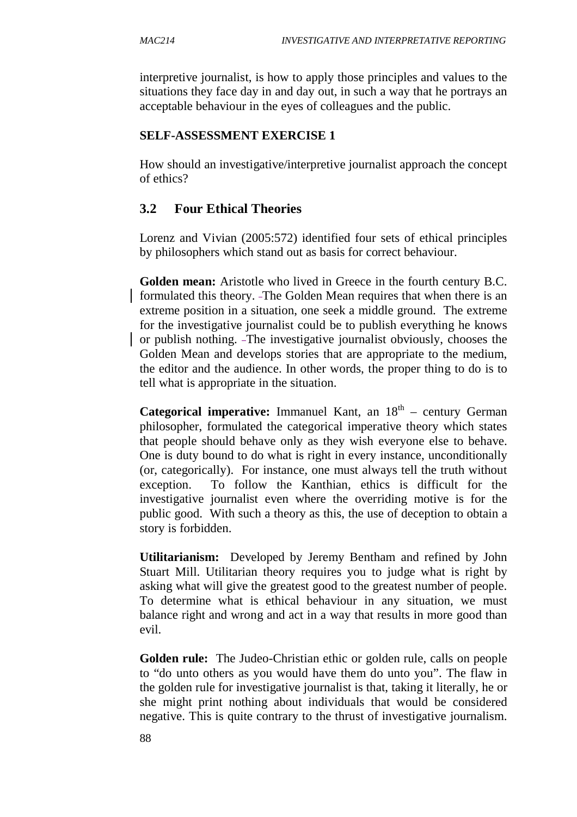interpretive journalist, is how to apply those principles and values to the situations they face day in and day out, in such a way that he portrays an acceptable behaviour in the eyes of colleagues and the public.

#### **SELF-ASSESSMENT EXERCISE 1**

How should an investigative/interpretive journalist approach the concept of ethics?

# **3.2 Four Ethical Theories**

Lorenz and Vivian (2005:572) identified four sets of ethical principles by philosophers which stand out as basis for correct behaviour.

**Golden mean:** Aristotle who lived in Greece in the fourth century B.C. formulated this theory. The Golden Mean requires that when there is an extreme position in a situation, one seek a middle ground. The extreme for the investigative journalist could be to publish everything he knows or publish nothing. The investigative journalist obviously, chooses the Golden Mean and develops stories that are appropriate to the medium, the editor and the audience. In other words, the proper thing to do is to tell what is appropriate in the situation.

Categorical imperative: Immanuel Kant, an  $18<sup>th</sup>$  – century German philosopher, formulated the categorical imperative theory which states that people should behave only as they wish everyone else to behave. One is duty bound to do what is right in every instance, unconditionally (or, categorically). For instance, one must always tell the truth without exception. To follow the Kanthian, ethics is difficult for the investigative journalist even where the overriding motive is for the public good. With such a theory as this, the use of deception to obtain a story is forbidden.

**Utilitarianism:** Developed by Jeremy Bentham and refined by John Stuart Mill. Utilitarian theory requires you to judge what is right by asking what will give the greatest good to the greatest number of people. To determine what is ethical behaviour in any situation, we must balance right and wrong and act in a way that results in more good than evil.

**Golden rule:** The Judeo-Christian ethic or golden rule, calls on people to "do unto others as you would have them do unto you". The flaw in the golden rule for investigative journalist is that, taking it literally, he or she might print nothing about individuals that would be considered negative. This is quite contrary to the thrust of investigative journalism.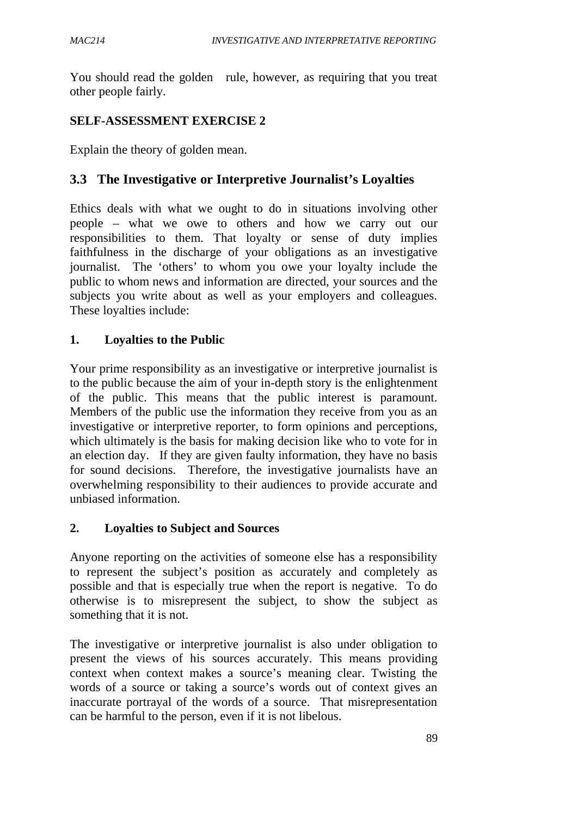You should read the golden rule, however, as requiring that you treat other people fairly.

### **SELF-ASSESSMENT EXERCISE 2**

Explain the theory of golden mean.

### **3.3 The Investigative or Interpretive Journalist's Loyalties**

Ethics deals with what we ought to do in situations involving other people – what we owe to others and how we carry out our responsibilities to them. That loyalty or sense of duty implies faithfulness in the discharge of your obligations as an investigative journalist. The 'others' to whom you owe your loyalty include the public to whom news and information are directed, your sources and the subjects you write about as well as your employers and colleagues. These loyalties include:

#### **1. Loyalties to the Public**

Your prime responsibility as an investigative or interpretive journalist is to the public because the aim of your in-depth story is the enlightenment of the public. This means that the public interest is paramount. Members of the public use the information they receive from you as an investigative or interpretive reporter, to form opinions and perceptions, which ultimately is the basis for making decision like who to vote for in an election day. If they are given faulty information, they have no basis for sound decisions. Therefore, the investigative journalists have an overwhelming responsibility to their audiences to provide accurate and unbiased information.

#### **2. Loyalties to Subject and Sources**

Anyone reporting on the activities of someone else has a responsibility to represent the subject's position as accurately and completely as possible and that is especially true when the report is negative. To do otherwise is to misrepresent the subject, to show the subject as something that it is not.

The investigative or interpretive journalist is also under obligation to present the views of his sources accurately. This means providing context when context makes a source's meaning clear. Twisting the words of a source or taking a source's words out of context gives an inaccurate portrayal of the words of a source. That misrepresentation can be harmful to the person, even if it is not libelous.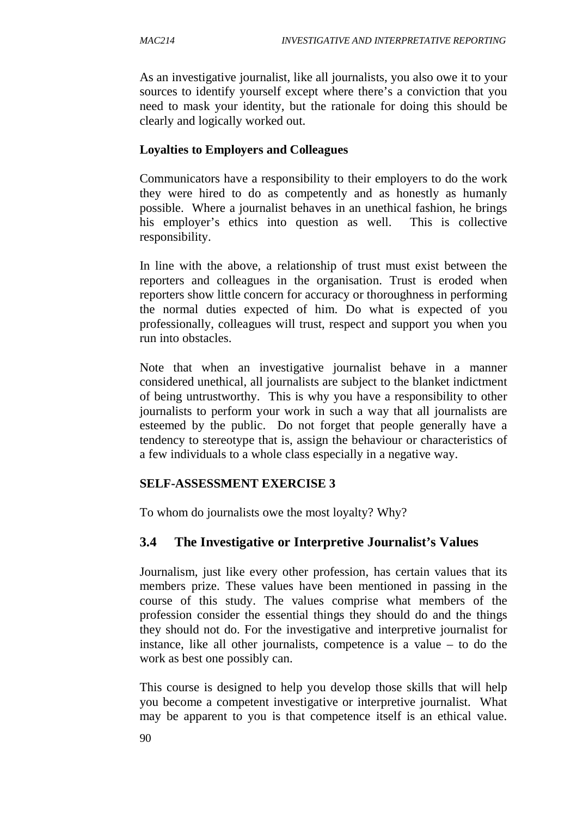As an investigative journalist, like all journalists, you also owe it to your sources to identify yourself except where there's a conviction that you need to mask your identity, but the rationale for doing this should be clearly and logically worked out.

#### **Loyalties to Employers and Colleagues**

Communicators have a responsibility to their employers to do the work they were hired to do as competently and as honestly as humanly possible. Where a journalist behaves in an unethical fashion, he brings his employer's ethics into question as well. This is collective responsibility.

In line with the above, a relationship of trust must exist between the reporters and colleagues in the organisation. Trust is eroded when reporters show little concern for accuracy or thoroughness in performing the normal duties expected of him. Do what is expected of you professionally, colleagues will trust, respect and support you when you run into obstacles.

Note that when an investigative journalist behave in a manner considered unethical, all journalists are subject to the blanket indictment of being untrustworthy. This is why you have a responsibility to other journalists to perform your work in such a way that all journalists are esteemed by the public. Do not forget that people generally have a tendency to stereotype that is, assign the behaviour or characteristics of a few individuals to a whole class especially in a negative way.

#### **SELF-ASSESSMENT EXERCISE 3**

To whom do journalists owe the most loyalty? Why?

# **3.4 The Investigative or Interpretive Journalist's Values**

Journalism, just like every other profession, has certain values that its members prize. These values have been mentioned in passing in the course of this study. The values comprise what members of the profession consider the essential things they should do and the things they should not do. For the investigative and interpretive journalist for instance, like all other journalists, competence is a value – to do the work as best one possibly can.

This course is designed to help you develop those skills that will help you become a competent investigative or interpretive journalist. What may be apparent to you is that competence itself is an ethical value.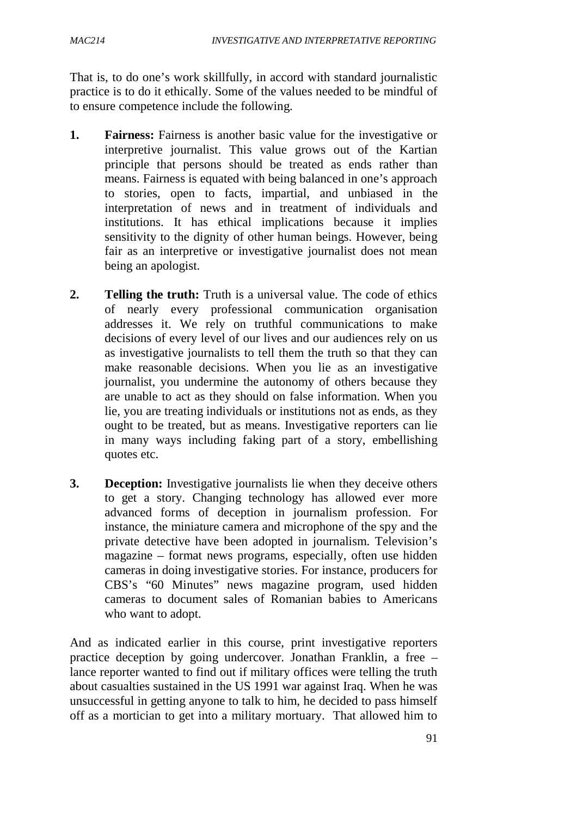That is, to do one's work skillfully, in accord with standard journalistic practice is to do it ethically. Some of the values needed to be mindful of to ensure competence include the following.

- **1. Fairness:** Fairness is another basic value for the investigative or interpretive journalist. This value grows out of the Kartian principle that persons should be treated as ends rather than means. Fairness is equated with being balanced in one's approach to stories, open to facts, impartial, and unbiased in the interpretation of news and in treatment of individuals and institutions. It has ethical implications because it implies sensitivity to the dignity of other human beings. However, being fair as an interpretive or investigative journalist does not mean being an apologist.
- **2. Telling the truth:** Truth is a universal value. The code of ethics of nearly every professional communication organisation addresses it. We rely on truthful communications to make decisions of every level of our lives and our audiences rely on us as investigative journalists to tell them the truth so that they can make reasonable decisions. When you lie as an investigative journalist, you undermine the autonomy of others because they are unable to act as they should on false information. When you lie, you are treating individuals or institutions not as ends, as they ought to be treated, but as means. Investigative reporters can lie in many ways including faking part of a story, embellishing quotes etc.
- **3. Deception:** Investigative journalists lie when they deceive others to get a story. Changing technology has allowed ever more advanced forms of deception in journalism profession. For instance, the miniature camera and microphone of the spy and the private detective have been adopted in journalism. Television's magazine – format news programs, especially, often use hidden cameras in doing investigative stories. For instance, producers for CBS's "60 Minutes" news magazine program, used hidden cameras to document sales of Romanian babies to Americans who want to adopt.

And as indicated earlier in this course, print investigative reporters practice deception by going undercover. Jonathan Franklin, a free – lance reporter wanted to find out if military offices were telling the truth about casualties sustained in the US 1991 war against Iraq. When he was unsuccessful in getting anyone to talk to him, he decided to pass himself off as a mortician to get into a military mortuary. That allowed him to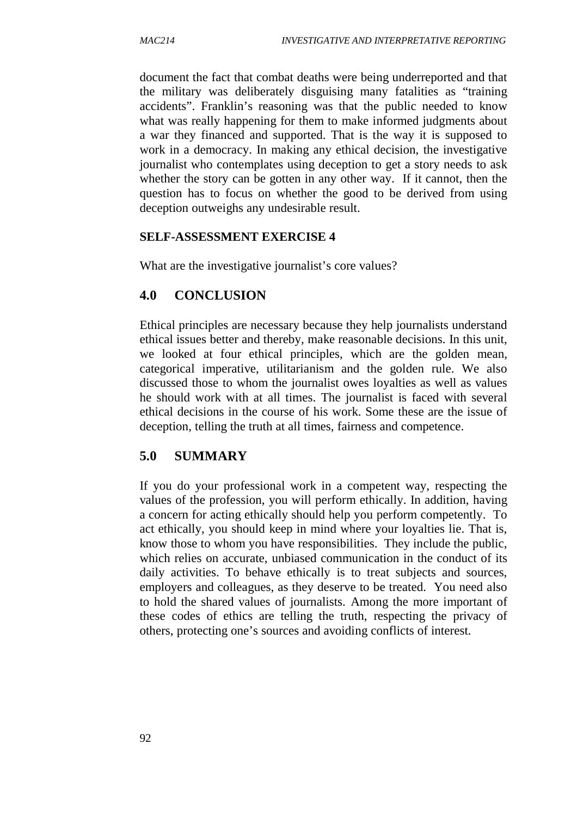document the fact that combat deaths were being underreported and that the military was deliberately disguising many fatalities as "training accidents". Franklin's reasoning was that the public needed to know what was really happening for them to make informed judgments about a war they financed and supported. That is the way it is supposed to work in a democracy. In making any ethical decision, the investigative journalist who contemplates using deception to get a story needs to ask whether the story can be gotten in any other way. If it cannot, then the question has to focus on whether the good to be derived from using deception outweighs any undesirable result.

#### **SELF-ASSESSMENT EXERCISE 4**

What are the investigative journalist's core values?

#### **4.0 CONCLUSION**

Ethical principles are necessary because they help journalists understand ethical issues better and thereby, make reasonable decisions. In this unit, we looked at four ethical principles, which are the golden mean, categorical imperative, utilitarianism and the golden rule. We also discussed those to whom the journalist owes loyalties as well as values he should work with at all times. The journalist is faced with several ethical decisions in the course of his work. Some these are the issue of deception, telling the truth at all times, fairness and competence.

#### **5.0 SUMMARY**

If you do your professional work in a competent way, respecting the values of the profession, you will perform ethically. In addition, having a concern for acting ethically should help you perform competently. To act ethically, you should keep in mind where your loyalties lie. That is, know those to whom you have responsibilities. They include the public, which relies on accurate, unbiased communication in the conduct of its daily activities. To behave ethically is to treat subjects and sources, employers and colleagues, as they deserve to be treated. You need also to hold the shared values of journalists. Among the more important of these codes of ethics are telling the truth, respecting the privacy of others, protecting one's sources and avoiding conflicts of interest.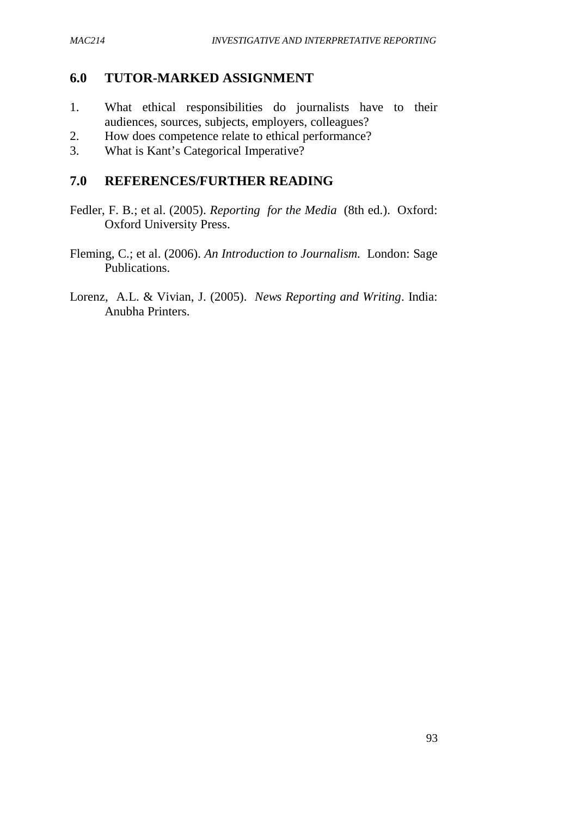#### **6.0 TUTOR-MARKED ASSIGNMENT**

- 1. What ethical responsibilities do journalists have to their audiences, sources, subjects, employers, colleagues?
- 2. How does competence relate to ethical performance?
- 3. What is Kant's Categorical Imperative?

#### **7.0 REFERENCES/FURTHER READING**

- Fedler, F. B.; et al. (2005). *Reporting for the Media* (8th ed.). Oxford: Oxford University Press.
- Fleming, C.; et al. (2006). *An Introduction to Journalism.* London: Sage Publications.
- Lorenz, A.L. & Vivian, J. (2005). *News Reporting and Writing*. India: Anubha Printers.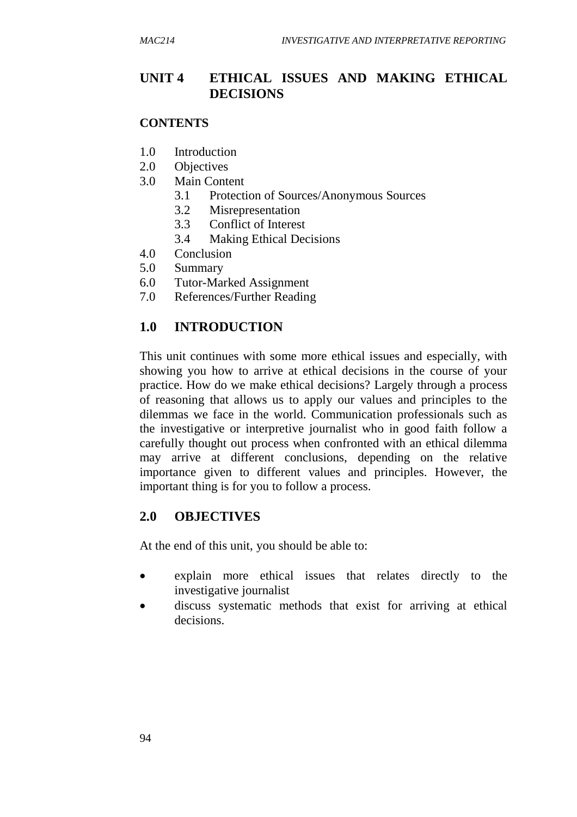### **UNIT 4 ETHICAL ISSUES AND MAKING ETHICAL DECISIONS**

#### **CONTENTS**

- 1.0 Introduction
- 2.0 Objectives
- 3.0 Main Content
	- 3.1 Protection of Sources/Anonymous Sources
	- 3.2 Misrepresentation
	- 3.3 Conflict of Interest
	- 3.4 Making Ethical Decisions
- 4.0 Conclusion
- 5.0 Summary
- 6.0 Tutor-Marked Assignment
- 7.0 References/Further Reading

#### **1.0 INTRODUCTION**

This unit continues with some more ethical issues and especially, with showing you how to arrive at ethical decisions in the course of your practice. How do we make ethical decisions? Largely through a process of reasoning that allows us to apply our values and principles to the dilemmas we face in the world. Communication professionals such as the investigative or interpretive journalist who in good faith follow a carefully thought out process when confronted with an ethical dilemma may arrive at different conclusions, depending on the relative importance given to different values and principles. However, the important thing is for you to follow a process.

#### **2.0 OBJECTIVES**

At the end of this unit, you should be able to:

- explain more ethical issues that relates directly to the investigative journalist
- discuss systematic methods that exist for arriving at ethical decisions.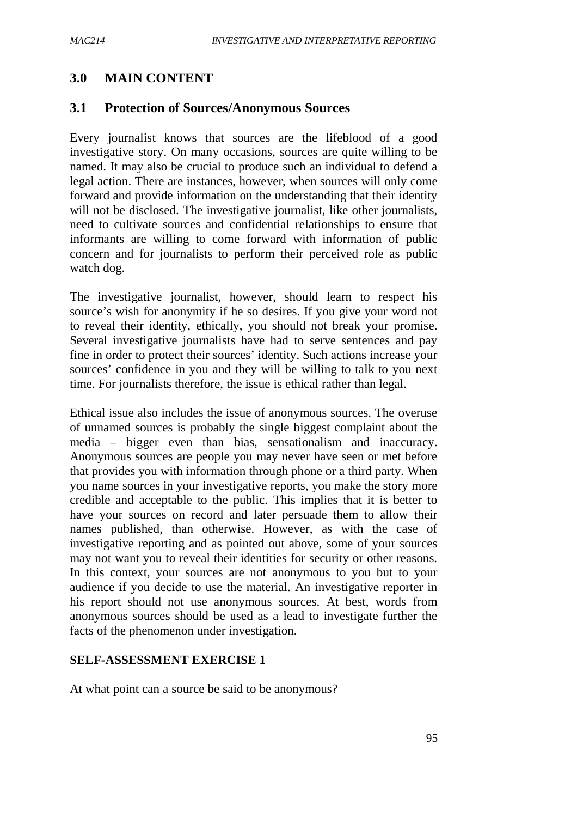# **3.0 MAIN CONTENT**

## **3.1 Protection of Sources/Anonymous Sources**

Every journalist knows that sources are the lifeblood of a good investigative story. On many occasions, sources are quite willing to be named. It may also be crucial to produce such an individual to defend a legal action. There are instances, however, when sources will only come forward and provide information on the understanding that their identity will not be disclosed. The investigative journalist, like other journalists, need to cultivate sources and confidential relationships to ensure that informants are willing to come forward with information of public concern and for journalists to perform their perceived role as public watch dog.

The investigative journalist, however, should learn to respect his source's wish for anonymity if he so desires. If you give your word not to reveal their identity, ethically, you should not break your promise. Several investigative journalists have had to serve sentences and pay fine in order to protect their sources' identity. Such actions increase your sources' confidence in you and they will be willing to talk to you next time. For journalists therefore, the issue is ethical rather than legal.

Ethical issue also includes the issue of anonymous sources. The overuse of unnamed sources is probably the single biggest complaint about the media – bigger even than bias, sensationalism and inaccuracy. Anonymous sources are people you may never have seen or met before that provides you with information through phone or a third party. When you name sources in your investigative reports, you make the story more credible and acceptable to the public. This implies that it is better to have your sources on record and later persuade them to allow their names published, than otherwise. However, as with the case of investigative reporting and as pointed out above, some of your sources may not want you to reveal their identities for security or other reasons. In this context, your sources are not anonymous to you but to your audience if you decide to use the material. An investigative reporter in his report should not use anonymous sources. At best, words from anonymous sources should be used as a lead to investigate further the facts of the phenomenon under investigation.

#### **SELF-ASSESSMENT EXERCISE 1**

At what point can a source be said to be anonymous?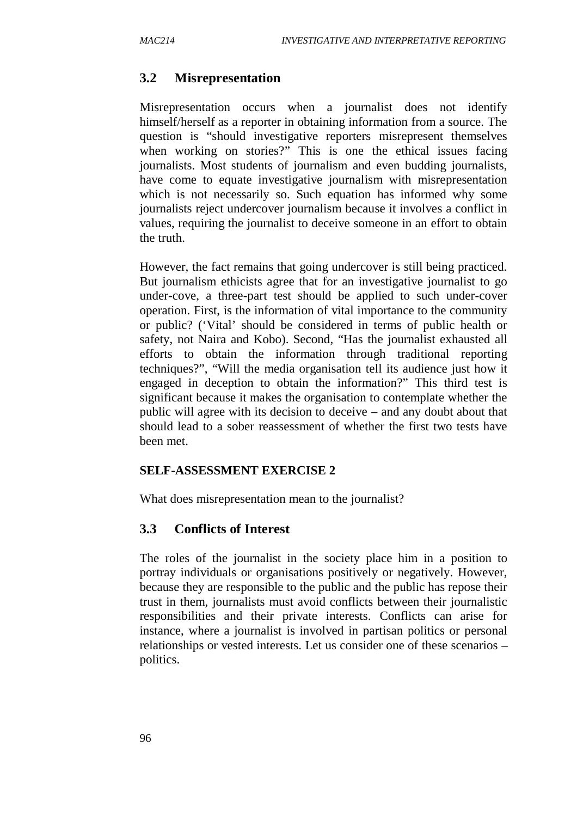## **3.2 Misrepresentation**

Misrepresentation occurs when a journalist does not identify himself/herself as a reporter in obtaining information from a source. The question is "should investigative reporters misrepresent themselves when working on stories?" This is one the ethical issues facing journalists. Most students of journalism and even budding journalists, have come to equate investigative journalism with misrepresentation which is not necessarily so. Such equation has informed why some journalists reject undercover journalism because it involves a conflict in values, requiring the journalist to deceive someone in an effort to obtain the truth.

However, the fact remains that going undercover is still being practiced. But journalism ethicists agree that for an investigative journalist to go under-cove, a three-part test should be applied to such under-cover operation. First, is the information of vital importance to the community or public? ('Vital' should be considered in terms of public health or safety, not Naira and Kobo). Second, "Has the journalist exhausted all efforts to obtain the information through traditional reporting techniques?", "Will the media organisation tell its audience just how it engaged in deception to obtain the information?" This third test is significant because it makes the organisation to contemplate whether the public will agree with its decision to deceive – and any doubt about that should lead to a sober reassessment of whether the first two tests have been met.

#### **SELF-ASSESSMENT EXERCISE 2**

What does misrepresentation mean to the journalist?

#### **3.3 Conflicts of Interest**

The roles of the journalist in the society place him in a position to portray individuals or organisations positively or negatively. However, because they are responsible to the public and the public has repose their trust in them, journalists must avoid conflicts between their journalistic responsibilities and their private interests. Conflicts can arise for instance, where a journalist is involved in partisan politics or personal relationships or vested interests. Let us consider one of these scenarios – politics.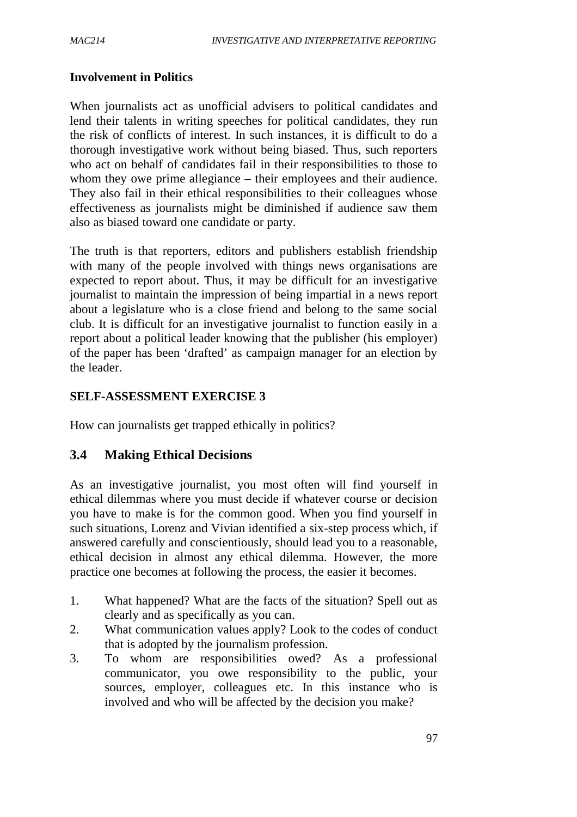#### **Involvement in Politics**

When journalists act as unofficial advisers to political candidates and lend their talents in writing speeches for political candidates, they run the risk of conflicts of interest. In such instances, it is difficult to do a thorough investigative work without being biased. Thus, such reporters who act on behalf of candidates fail in their responsibilities to those to whom they owe prime allegiance – their employees and their audience. They also fail in their ethical responsibilities to their colleagues whose effectiveness as journalists might be diminished if audience saw them also as biased toward one candidate or party.

The truth is that reporters, editors and publishers establish friendship with many of the people involved with things news organisations are expected to report about. Thus, it may be difficult for an investigative journalist to maintain the impression of being impartial in a news report about a legislature who is a close friend and belong to the same social club. It is difficult for an investigative journalist to function easily in a report about a political leader knowing that the publisher (his employer) of the paper has been 'drafted' as campaign manager for an election by the leader.

#### **SELF-ASSESSMENT EXERCISE 3**

How can journalists get trapped ethically in politics?

## **3.4 Making Ethical Decisions**

As an investigative journalist, you most often will find yourself in ethical dilemmas where you must decide if whatever course or decision you have to make is for the common good. When you find yourself in such situations, Lorenz and Vivian identified a six-step process which, if answered carefully and conscientiously, should lead you to a reasonable, ethical decision in almost any ethical dilemma. However, the more practice one becomes at following the process, the easier it becomes.

- 1. What happened? What are the facts of the situation? Spell out as clearly and as specifically as you can.
- 2. What communication values apply? Look to the codes of conduct that is adopted by the journalism profession.
- 3. To whom are responsibilities owed? As a professional communicator, you owe responsibility to the public, your sources, employer, colleagues etc. In this instance who is involved and who will be affected by the decision you make?